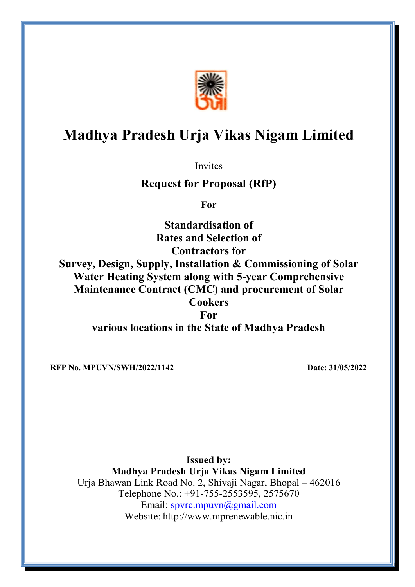

# Madhya Pradesh Urja Vikas Nigam Limited

Invites

# Request for Proposal (RfP)

For

Standardisation of Rates and Selection of Contractors for Survey, Design, Supply, Installation & Commissioning of Solar Water Heating System along with 5-year Comprehensive Maintenance Contract (CMC) and procurement of Solar **Cookers** For various locations in the State of Madhya Pradesh

RFP No. MPUVN/SWH/2022/1142 Date: 31/05/2022

Issued by: Madhya Pradesh Urja Vikas Nigam Limited Urja Bhawan Link Road No. 2, Shivaji Nagar, Bhopal – 462016 Telephone No.: +91-755-2553595, 2575670 Email: spvrc.mpuvn@gmail.com Website: http://www.mprenewable.nic.in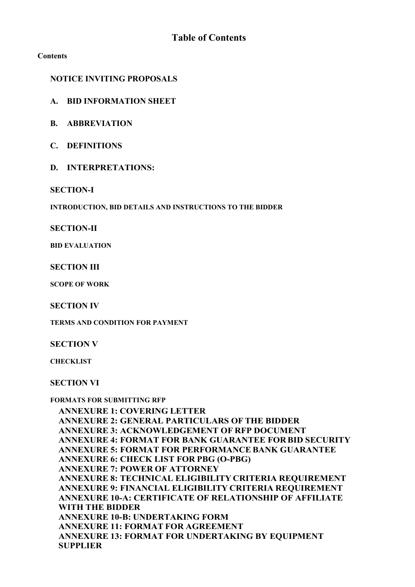#### Contents

## NOTICE INVITING PROPOSALS

- A. BID INFORMATION SHEET
- B. ABBREVIATION
- C. DEFINITIONS
- D. INTERPRETATIONS:

#### SECTION-I

INTRODUCTION, BID DETAILS AND INSTRUCTIONS TO THE BIDDER

#### SECTION-II

BID EVALUATION

**SECTION III** 

SCOPE OF WORK

SECTION IV

TERMS AND CONDITION FOR PAYMENT

SECTION V

**CHECKLIST** 

SECTION VI

#### FORMATS FOR SUBMITTING RFP

ANNEXURE 1: COVERING LETTER ANNEXURE 2: GENERAL PARTICULARS OF THE BIDDER ANNEXURE 3: ACKNOWLEDGEMENT OF RFP DOCUMENT ANNEXURE 4: FORMAT FOR BANK GUARANTEE FOR BID SECURITY ANNEXURE 5: FORMAT FOR PERFORMANCE BANK GUARANTEE ANNEXURE 6: CHECK LIST FOR PBG (O-PBG) ANNEXURE 7: POWER OF ATTORNEY ANNEXURE 8: TECHNICAL ELIGIBILITY CRITERIA REQUIREMENT ANNEXURE 9: FINANCIAL ELIGIBILITY CRITERIA REQUIREMENT ANNEXURE 10-A: CERTIFICATE OF RELATIONSHIP OF AFFILIATE WITH THE BIDDER ANNEXURE 10-B: UNDERTAKING FORM ANNEXURE 11: FORMAT FOR AGREEMENT ANNEXURE 13: FORMAT FOR UNDERTAKING BY EQUIPMENT SUPPLIER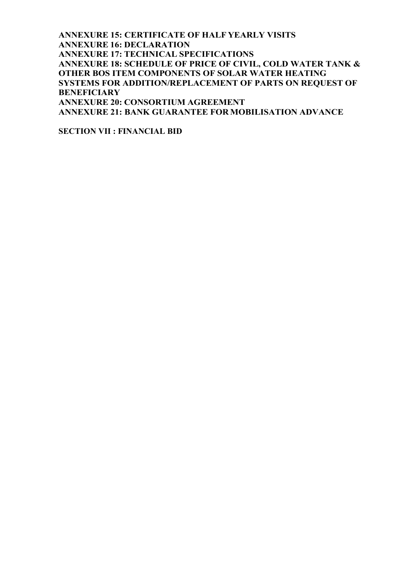ANNEXURE 15: CERTIFICATE OF HALF YEARLY VISITS ANNEXURE 16: DECLARATION ANNEXURE 17: TECHNICAL SPECIFICATIONS ANNEXURE 18: SCHEDULE OF PRICE OF CIVIL, COLD WATER TANK & OTHER BOS ITEM COMPONENTS OF SOLAR WATER HEATING SYSTEMS FOR ADDITION/REPLACEMENT OF PARTS ON REQUEST OF **BENEFICIARY** ANNEXURE 20: CONSORTIUM AGREEMENT ANNEXURE 21: BANK GUARANTEE FOR MOBILISATION ADVANCE

SECTION VII : FINANCIAL BID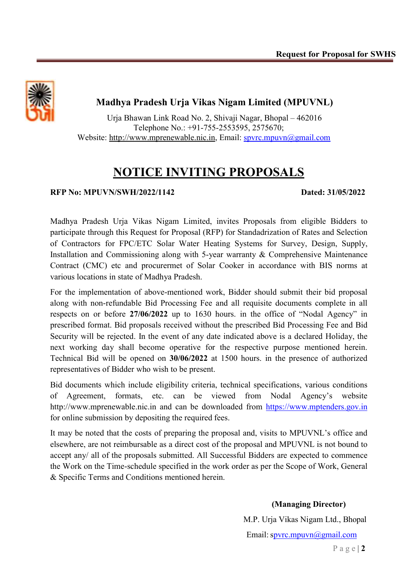

# Madhya Pradesh Urja Vikas Nigam Limited (MPUVNL)

Urja Bhawan Link Road No. 2, Shivaji Nagar, Bhopal – 462016 Telephone No.: +91-755-2553595, 2575670; Website: http://www.mprenewable.nic.in, Email: spvrc.mpuvn@gmail.com

# NOTICE INVITING PROPOSALS

#### RFP No: MPUVN/SWH/2022/1142 Dated: 31/05/2022

Madhya Pradesh Urja Vikas Nigam Limited, invites Proposals from eligible Bidders to participate through this Request for Proposal (RFP) for Standadrization of Rates and Selection of Contractors for FPC/ETC Solar Water Heating Systems for Survey, Design, Supply, Installation and Commissioning along with 5-year warranty & Comprehensive Maintenance Contract (CMC) etc and procurermet of Solar Cooker in accordance with BIS norms at various locations in state of Madhya Pradesh.

For the implementation of above-mentioned work, Bidder should submit their bid proposal along with non-refundable Bid Processing Fee and all requisite documents complete in all respects on or before 27/06/2022 up to 1630 hours. in the office of "Nodal Agency" in prescribed format. Bid proposals received without the prescribed Bid Processing Fee and Bid Security will be rejected. In the event of any date indicated above is a declared Holiday, the next working day shall become operative for the respective purpose mentioned herein. Technical Bid will be opened on 30/06/2022 at 1500 hours. in the presence of authorized representatives of Bidder who wish to be present.

Bid documents which include eligibility criteria, technical specifications, various conditions of Agreement, formats, etc. can be viewed from Nodal Agency's website http://www.mprenewable.nic.in and can be downloaded from https://www.mptenders.gov.in for online submission by depositing the required fees.

It may be noted that the costs of preparing the proposal and, visits to MPUVNL's office and elsewhere, are not reimbursable as a direct cost of the proposal and MPUVNL is not bound to accept any/ all of the proposals submitted. All Successful Bidders are expected to commence the Work on the Time-schedule specified in the work order as per the Scope of Work, General & Specific Terms and Conditions mentioned herein.

> (Managing Director) M.P. Urja Vikas Nigam Ltd., Bhopal Email: spvrc.mpuvn@gmail.com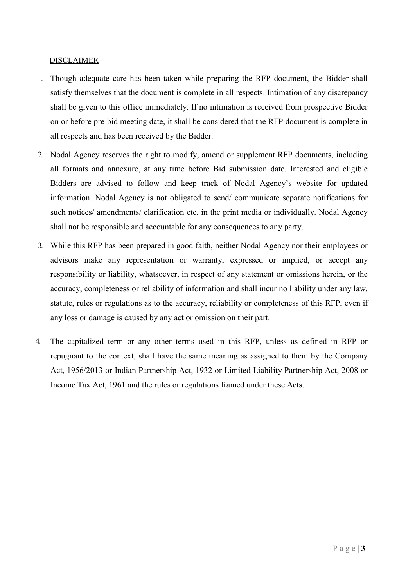#### DISCLAIMER

- 1. Though adequate care has been taken while preparing the RFP document, the Bidder shall satisfy themselves that the document is complete in all respects. Intimation of any discrepancy shall be given to this office immediately. If no intimation is received from prospective Bidder on or before pre-bid meeting date, it shall be considered that the RFP document is complete in all respects and has been received by the Bidder.
- 2. Nodal Agency reserves the right to modify, amend or supplement RFP documents, including all formats and annexure, at any time before Bid submission date. Interested and eligible Bidders are advised to follow and keep track of Nodal Agency's website for updated information. Nodal Agency is not obligated to send/ communicate separate notifications for such notices/ amendments/ clarification etc. in the print media or individually. Nodal Agency shall not be responsible and accountable for any consequences to any party.
- 3. While this RFP has been prepared in good faith, neither Nodal Agency nor their employees or advisors make any representation or warranty, expressed or implied, or accept any responsibility or liability, whatsoever, in respect of any statement or omissions herein, or the accuracy, completeness or reliability of information and shall incur no liability under any law, statute, rules or regulations as to the accuracy, reliability or completeness of this RFP, even if any loss or damage is caused by any act or omission on their part.
- 4. The capitalized term or any other terms used in this RFP, unless as defined in RFP or repugnant to the context, shall have the same meaning as assigned to them by the Company Act, 1956/2013 or Indian Partnership Act, 1932 or Limited Liability Partnership Act, 2008 or Income Tax Act, 1961 and the rules or regulations framed under these Acts.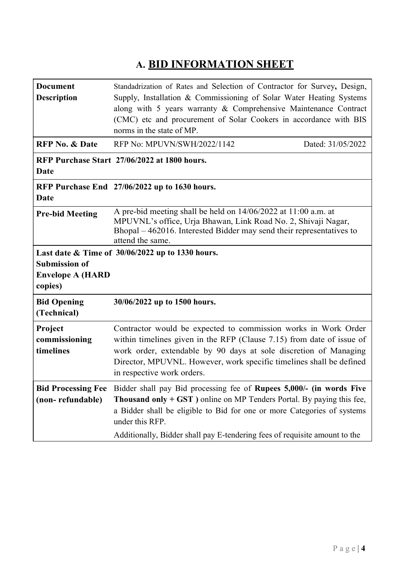# A. BID INFORMATION SHEET

| <b>Document</b>           | Standadrization of Rates and Selection of Contractor for Survey, Design,                |                   |  |  |  |
|---------------------------|-----------------------------------------------------------------------------------------|-------------------|--|--|--|
| <b>Description</b>        | Supply, Installation & Commissioning of Solar Water Heating Systems                     |                   |  |  |  |
|                           | along with 5 years warranty & Comprehensive Maintenance Contract                        |                   |  |  |  |
|                           | (CMC) etc and procurement of Solar Cookers in accordance with BIS                       |                   |  |  |  |
|                           | norms in the state of MP.                                                               |                   |  |  |  |
| <b>RFP No. &amp; Date</b> | RFP No: MPUVN/SWH/2022/1142                                                             | Dated: 31/05/2022 |  |  |  |
|                           | RFP Purchase Start 27/06/2022 at 1800 hours.                                            |                   |  |  |  |
| <b>Date</b>               |                                                                                         |                   |  |  |  |
|                           | RFP Purchase End 27/06/2022 up to 1630 hours.                                           |                   |  |  |  |
| Date                      |                                                                                         |                   |  |  |  |
| <b>Pre-bid Meeting</b>    | A pre-bid meeting shall be held on 14/06/2022 at 11:00 a.m. at                          |                   |  |  |  |
|                           | MPUVNL's office, Urja Bhawan, Link Road No. 2, Shivaji Nagar,                           |                   |  |  |  |
|                           | Bhopal - 462016. Interested Bidder may send their representatives to                    |                   |  |  |  |
|                           | attend the same.                                                                        |                   |  |  |  |
|                           | Last date & Time of 30/06/2022 up to 1330 hours.                                        |                   |  |  |  |
| <b>Submission of</b>      |                                                                                         |                   |  |  |  |
| <b>Envelope A (HARD</b>   |                                                                                         |                   |  |  |  |
| copies)                   |                                                                                         |                   |  |  |  |
| <b>Bid Opening</b>        | 30/06/2022 up to 1500 hours.                                                            |                   |  |  |  |
| (Technical)               |                                                                                         |                   |  |  |  |
| Project                   | Contractor would be expected to commission works in Work Order                          |                   |  |  |  |
| commissioning             | within timelines given in the RFP (Clause 7.15) from date of issue of                   |                   |  |  |  |
| timelines                 | work order, extendable by 90 days at sole discretion of Managing                        |                   |  |  |  |
|                           | Director, MPUVNL. However, work specific timelines shall be defined                     |                   |  |  |  |
|                           | in respective work orders.                                                              |                   |  |  |  |
|                           | Bid Processing Fee Bidder shall pay Bid processing fee of Rupees 5,000/- (in words Five |                   |  |  |  |
| (non-refundable)          | <b>Thousand only + GST</b> ) online on MP Tenders Portal. By paying this fee,           |                   |  |  |  |
|                           | a Bidder shall be eligible to Bid for one or more Categories of systems                 |                   |  |  |  |
|                           | under this RFP.                                                                         |                   |  |  |  |
|                           | Additionally, Bidder shall pay E-tendering fees of requisite amount to the              |                   |  |  |  |
|                           |                                                                                         |                   |  |  |  |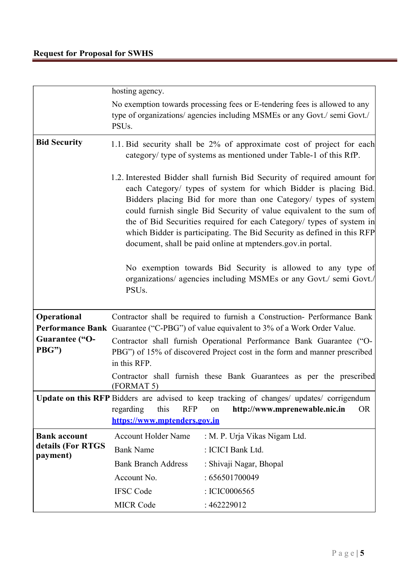|                               | hosting agency.                                                                                                                                                                                                                                                                                                                                                                                                                                                                                       |  |  |  |  |
|-------------------------------|-------------------------------------------------------------------------------------------------------------------------------------------------------------------------------------------------------------------------------------------------------------------------------------------------------------------------------------------------------------------------------------------------------------------------------------------------------------------------------------------------------|--|--|--|--|
|                               | No exemption towards processing fees or E-tendering fees is allowed to any<br>type of organizations/ agencies including MSMEs or any Govt./ semi Govt./<br>PSU <sub>s</sub> .                                                                                                                                                                                                                                                                                                                         |  |  |  |  |
| <b>Bid Security</b>           | 1.1. Bid security shall be 2% of approximate cost of project for each<br>category/ type of systems as mentioned under Table-1 of this RfP.                                                                                                                                                                                                                                                                                                                                                            |  |  |  |  |
|                               | 1.2. Interested Bidder shall furnish Bid Security of required amount for<br>each Category/ types of system for which Bidder is placing Bid.<br>Bidders placing Bid for more than one Category/ types of system<br>could furnish single Bid Security of value equivalent to the sum of<br>the of Bid Securities required for each Category/ types of system in<br>which Bidder is participating. The Bid Security as defined in this RFP<br>document, shall be paid online at mptenders.gov.in portal. |  |  |  |  |
|                               | No exemption towards Bid Security is allowed to any type of<br>organizations/ agencies including MSMEs or any Govt./ semi Govt./<br>PSU <sub>s</sub> .                                                                                                                                                                                                                                                                                                                                                |  |  |  |  |
| Operational                   | Contractor shall be required to furnish a Construction- Performance Bank<br><b>Performance Bank</b> Guarantee ("C-PBG") of value equivalent to 3% of a Work Order Value.                                                                                                                                                                                                                                                                                                                              |  |  |  |  |
| Guarantee ("O-<br>PBG")       | Contractor shall furnish Operational Performance Bank Guarantee ("O-<br>PBG") of 15% of discovered Project cost in the form and manner prescribed<br>in this RFP.<br>Contractor shall furnish these Bank Guarantees as per the prescribed<br>(FORMAT 5)                                                                                                                                                                                                                                               |  |  |  |  |
|                               |                                                                                                                                                                                                                                                                                                                                                                                                                                                                                                       |  |  |  |  |
|                               | Update on this RFP Bidders are advised to keep tracking of changes/ updates/ corrigendum<br><b>RFP</b><br>regarding<br>this<br>http://www.mprenewable.nic.in<br>OR.<br>on<br>https://www.mptenders.gov.in                                                                                                                                                                                                                                                                                             |  |  |  |  |
| <b>Bank account</b>           | <b>Account Holder Name</b><br>: M. P. Urja Vikas Nigam Ltd.                                                                                                                                                                                                                                                                                                                                                                                                                                           |  |  |  |  |
| details (For RTGS<br>payment) | <b>Bank Name</b><br>: ICICI Bank Ltd.                                                                                                                                                                                                                                                                                                                                                                                                                                                                 |  |  |  |  |
|                               | <b>Bank Branch Address</b><br>: Shivaji Nagar, Bhopal                                                                                                                                                                                                                                                                                                                                                                                                                                                 |  |  |  |  |
|                               | Account No.<br>: 656501700049                                                                                                                                                                                                                                                                                                                                                                                                                                                                         |  |  |  |  |
|                               | <b>IFSC Code</b><br>: ICIC0006565                                                                                                                                                                                                                                                                                                                                                                                                                                                                     |  |  |  |  |
|                               | <b>MICR Code</b><br>: 462229012                                                                                                                                                                                                                                                                                                                                                                                                                                                                       |  |  |  |  |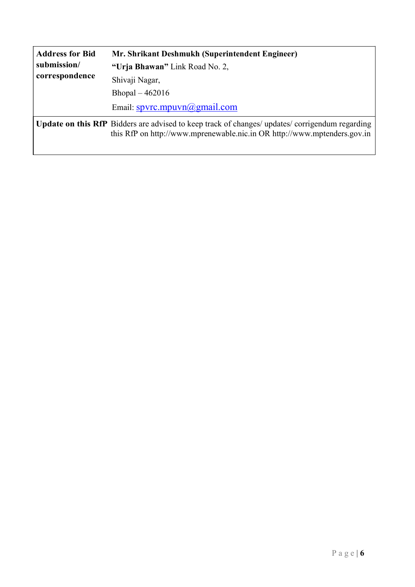| <b>Address for Bid</b> | Mr. Shrikant Deshmukh (Superintendent Engineer)                                                                                                                                    |  |  |
|------------------------|------------------------------------------------------------------------------------------------------------------------------------------------------------------------------------|--|--|
| submission/            | "Urja Bhawan" Link Road No. 2,                                                                                                                                                     |  |  |
| correspondence         | Shivaji Nagar,                                                                                                                                                                     |  |  |
|                        | Bhopal $-462016$                                                                                                                                                                   |  |  |
|                        | Email: $spyrc.mpuvn@gmail.com$                                                                                                                                                     |  |  |
|                        | <b>Update on this RfP</b> Bidders are advised to keep track of changes/ updates/ corrigendum regarding<br>this RfP on http://www.mprenewable.nic.in OR http://www.mptenders.gov.in |  |  |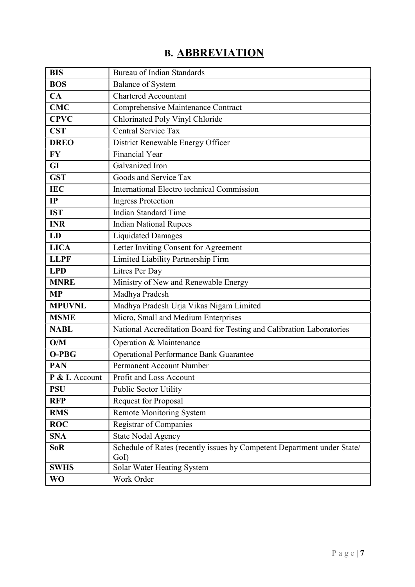# B. ABBREVIATION

| <b>BIS</b>        | <b>Bureau of Indian Standards</b>                                       |  |  |  |
|-------------------|-------------------------------------------------------------------------|--|--|--|
| <b>BOS</b>        | <b>Balance of System</b>                                                |  |  |  |
| CA                | <b>Chartered Accountant</b>                                             |  |  |  |
| <b>CMC</b>        | Comprehensive Maintenance Contract                                      |  |  |  |
| <b>CPVC</b>       | Chlorinated Poly Vinyl Chloride                                         |  |  |  |
| <b>CST</b>        | Central Service Tax                                                     |  |  |  |
| <b>DREO</b>       | District Renewable Energy Officer                                       |  |  |  |
| <b>FY</b>         | <b>Financial Year</b>                                                   |  |  |  |
| GI                | Galvanized Iron                                                         |  |  |  |
| <b>GST</b>        | Goods and Service Tax                                                   |  |  |  |
| <b>IEC</b>        | International Electro technical Commission                              |  |  |  |
| IP                | <b>Ingress Protection</b>                                               |  |  |  |
| <b>IST</b>        | <b>Indian Standard Time</b>                                             |  |  |  |
| <b>INR</b>        | <b>Indian National Rupees</b>                                           |  |  |  |
| LD                | <b>Liquidated Damages</b>                                               |  |  |  |
| <b>LICA</b>       | Letter Inviting Consent for Agreement                                   |  |  |  |
| <b>LLPF</b>       | Limited Liability Partnership Firm                                      |  |  |  |
| <b>LPD</b>        | Litres Per Day                                                          |  |  |  |
| <b>MNRE</b>       | Ministry of New and Renewable Energy                                    |  |  |  |
| <b>MP</b>         | Madhya Pradesh                                                          |  |  |  |
| <b>MPUVNL</b>     | Madhya Pradesh Urja Vikas Nigam Limited                                 |  |  |  |
| <b>MSME</b>       | Micro, Small and Medium Enterprises                                     |  |  |  |
| <b>NABL</b>       | National Accreditation Board for Testing and Calibration Laboratories   |  |  |  |
| O/M               | Operation & Maintenance                                                 |  |  |  |
| O-PBG             | <b>Operational Performance Bank Guarantee</b>                           |  |  |  |
| <b>PAN</b>        | Permanent Account Number                                                |  |  |  |
| P & L Account     | Profit and Loss Account                                                 |  |  |  |
| <b>PSU</b>        | Public Sector Utility                                                   |  |  |  |
| <b>RFP</b>        | Request for Proposal                                                    |  |  |  |
| <b>RMS</b>        | <b>Remote Monitoring System</b>                                         |  |  |  |
| <b>ROC</b>        | <b>Registrar of Companies</b>                                           |  |  |  |
| <b>SNA</b>        | <b>State Nodal Agency</b>                                               |  |  |  |
| <b>SoR</b>        | Schedule of Rates (recently issues by Competent Department under State/ |  |  |  |
|                   | GoI)                                                                    |  |  |  |
| $SWH\overline{S}$ | Solar Water Heating System                                              |  |  |  |
| <b>WO</b>         | Work Order                                                              |  |  |  |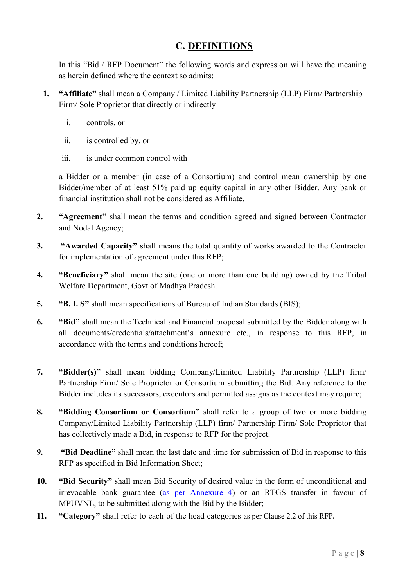# C. DEFINITIONS

In this "Bid / RFP Document" the following words and expression will have the meaning as herein defined where the context so admits:

- 1. "Affiliate" shall mean a Company / Limited Liability Partnership (LLP) Firm/ Partnership Firm/ Sole Proprietor that directly or indirectly
	- i. controls, or
	- ii. is controlled by, or
	- iii. is under common control with

a Bidder or a member (in case of a Consortium) and control mean ownership by one Bidder/member of at least 51% paid up equity capital in any other Bidder. Any bank or financial institution shall not be considered as Affiliate.

- 2. "Agreement" shall mean the terms and condition agreed and signed between Contractor and Nodal Agency;
- 3. "Awarded Capacity" shall means the total quantity of works awarded to the Contractor for implementation of agreement under this RFP;
- 4. "Beneficiary" shall mean the site (one or more than one building) owned by the Tribal Welfare Department, Govt of Madhya Pradesh.
- 5. "B. I. S" shall mean specifications of Bureau of Indian Standards (BIS);
- 6. "Bid" shall mean the Technical and Financial proposal submitted by the Bidder along with all documents/credentials/attachment's annexure etc., in response to this RFP, in accordance with the terms and conditions hereof;
- 7. "Bidder(s)" shall mean bidding Company/Limited Liability Partnership (LLP) firm/ Partnership Firm/ Sole Proprietor or Consortium submitting the Bid. Any reference to the Bidder includes its successors, executors and permitted assigns as the context may require;
- 8. "Bidding Consortium or Consortium" shall refer to a group of two or more bidding Company/Limited Liability Partnership (LLP) firm/ Partnership Firm/ Sole Proprietor that has collectively made a Bid, in response to RFP for the project.
- 9. "Bid Deadline" shall mean the last date and time for submission of Bid in response to this RFP as specified in Bid Information Sheet;
- 10. "Bid Security" shall mean Bid Security of desired value in the form of unconditional and irrevocable bank guarantee (as per Annexure 4) or an RTGS transfer in favour of MPUVNL, to be submitted along with the Bid by the Bidder;
- 11. "Category" shall refer to each of the head categories as per Clause 2.2 of this RFP.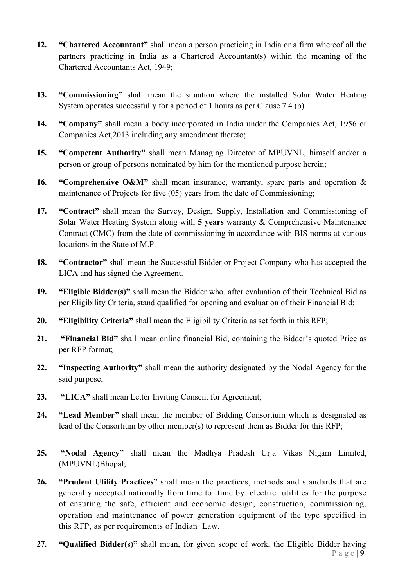- 12. "Chartered Accountant" shall mean a person practicing in India or a firm whereof all the partners practicing in India as a Chartered Accountant(s) within the meaning of the Chartered Accountants Act, 1949;
- 13. "Commissioning" shall mean the situation where the installed Solar Water Heating System operates successfully for a period of 1 hours as per Clause 7.4 (b).
- 14. "Company" shall mean a body incorporated in India under the Companies Act, 1956 or Companies Act,2013 including any amendment thereto;
- 15. "Competent Authority" shall mean Managing Director of MPUVNL, himself and/or a person or group of persons nominated by him for the mentioned purpose herein;
- 16. "Comprehensive O&M" shall mean insurance, warranty, spare parts and operation  $\&$ maintenance of Projects for five (05) years from the date of Commissioning;
- 17. "Contract" shall mean the Survey, Design, Supply, Installation and Commissioning of Solar Water Heating System along with 5 years warranty & Comprehensive Maintenance Contract (CMC) from the date of commissioning in accordance with BIS norms at various locations in the State of M.P.
- 18. "Contractor" shall mean the Successful Bidder or Project Company who has accepted the LICA and has signed the Agreement.
- 19. "Eligible Bidder(s)" shall mean the Bidder who, after evaluation of their Technical Bid as per Eligibility Criteria, stand qualified for opening and evaluation of their Financial Bid;
- 20. "Eligibility Criteria" shall mean the Eligibility Criteria as set forth in this RFP;
- 21. "Financial Bid" shall mean online financial Bid, containing the Bidder's quoted Price as per RFP format;
- 22. "Inspecting Authority" shall mean the authority designated by the Nodal Agency for the said purpose;
- 23. "LICA" shall mean Letter Inviting Consent for Agreement:
- 24. "Lead Member" shall mean the member of Bidding Consortium which is designated as lead of the Consortium by other member(s) to represent them as Bidder for this RFP;
- 25. "Nodal Agency" shall mean the Madhya Pradesh Urja Vikas Nigam Limited, (MPUVNL)Bhopal;
- 26. "Prudent Utility Practices" shall mean the practices, methods and standards that are generally accepted nationally from time to time by electric utilities for the purpose of ensuring the safe, efficient and economic design, construction, commissioning, operation and maintenance of power generation equipment of the type specified in this RFP, as per requirements of Indian Law.
- $P$  a g e | 9 27. "Qualified Bidder(s)" shall mean, for given scope of work, the Eligible Bidder having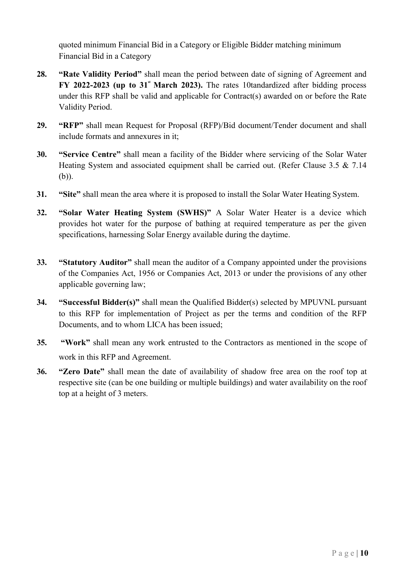quoted minimum Financial Bid in a Category or Eligible Bidder matching minimum Financial Bid in a Category

- 28. "Rate Validity Period" shall mean the period between date of signing of Agreement and FY 2022-2023 (up to  $31^{\circ}$  March 2023). The rates 10tandardized after bidding process under this RFP shall be valid and applicable for Contract(s) awarded on or before the Rate Validity Period.
- 29. "RFP" shall mean Request for Proposal (RFP)/Bid document/Tender document and shall include formats and annexures in it;
- 30. "Service Centre" shall mean a facility of the Bidder where servicing of the Solar Water Heating System and associated equipment shall be carried out. (Refer Clause 3.5 & 7.14 (b)).
- 31. "Site" shall mean the area where it is proposed to install the Solar Water Heating System.
- 32. "Solar Water Heating System (SWHS)" A Solar Water Heater is a device which provides hot water for the purpose of bathing at required temperature as per the given specifications, harnessing Solar Energy available during the daytime.
- 33. "Statutory Auditor" shall mean the auditor of a Company appointed under the provisions of the Companies Act, 1956 or Companies Act, 2013 or under the provisions of any other applicable governing law;
- 34. "Successful Bidder(s)" shall mean the Qualified Bidder(s) selected by MPUVNL pursuant to this RFP for implementation of Project as per the terms and condition of the RFP Documents, and to whom LICA has been issued;
- 35. "Work" shall mean any work entrusted to the Contractors as mentioned in the scope of work in this RFP and Agreement.
- 36. "Zero Date" shall mean the date of availability of shadow free area on the roof top at respective site (can be one building or multiple buildings) and water availability on the roof top at a height of 3 meters.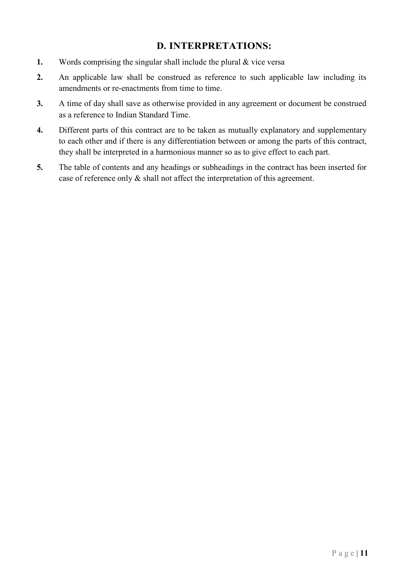# D. INTERPRETATIONS:

- 1. Words comprising the singular shall include the plural & vice versa
- 2. An applicable law shall be construed as reference to such applicable law including its amendments or re-enactments from time to time.
- 3. A time of day shall save as otherwise provided in any agreement or document be construed as a reference to Indian Standard Time.
- 4. Different parts of this contract are to be taken as mutually explanatory and supplementary to each other and if there is any differentiation between or among the parts of this contract, they shall be interpreted in a harmonious manner so as to give effect to each part.
- 5. The table of contents and any headings or subheadings in the contract has been inserted for case of reference only & shall not affect the interpretation of this agreement.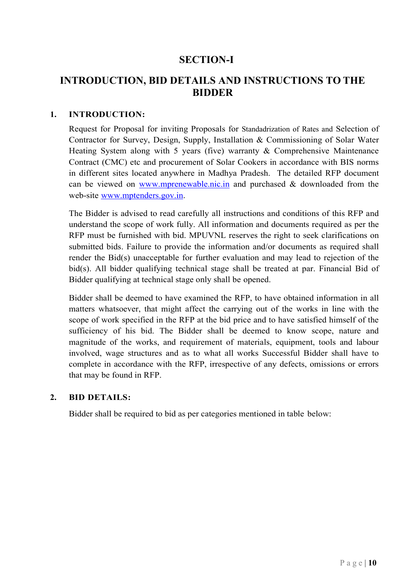# SECTION-I

# INTRODUCTION, BID DETAILS AND INSTRUCTIONS TO THE BIDDER

#### 1. INTRODUCTION:

Request for Proposal for inviting Proposals for Standadrization of Rates and Selection of Contractor for Survey, Design, Supply, Installation & Commissioning of Solar Water Heating System along with 5 years (five) warranty & Comprehensive Maintenance Contract (CMC) etc and procurement of Solar Cookers in accordance with BIS norms in different sites located anywhere in Madhya Pradesh. The detailed RFP document can be viewed on  $\frac{www.mprenewable.nic.in}{www.mprenewable.nic.in}$  and purchased & downloaded from the web-site www.mptenders.gov.in.

The Bidder is advised to read carefully all instructions and conditions of this RFP and understand the scope of work fully. All information and documents required as per the RFP must be furnished with bid. MPUVNL reserves the right to seek clarifications on submitted bids. Failure to provide the information and/or documents as required shall render the Bid(s) unacceptable for further evaluation and may lead to rejection of the bid(s). All bidder qualifying technical stage shall be treated at par. Financial Bid of Bidder qualifying at technical stage only shall be opened.

Bidder shall be deemed to have examined the RFP, to have obtained information in all matters whatsoever, that might affect the carrying out of the works in line with the scope of work specified in the RFP at the bid price and to have satisfied himself of the sufficiency of his bid. The Bidder shall be deemed to know scope, nature and magnitude of the works, and requirement of materials, equipment, tools and labour involved, wage structures and as to what all works Successful Bidder shall have to complete in accordance with the RFP, irrespective of any defects, omissions or errors that may be found in RFP.

#### 2. BID DETAILS:

Bidder shall be required to bid as per categories mentioned in table below: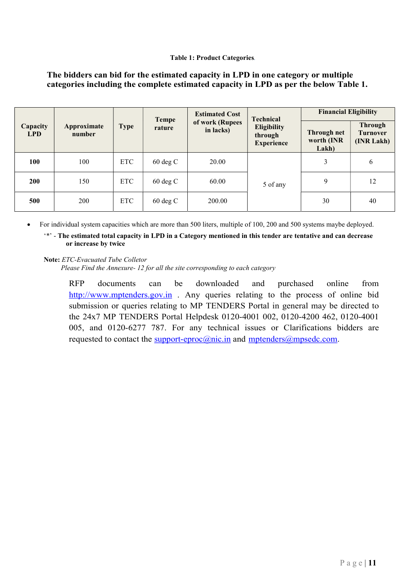#### Table 1: Product Categories.

#### The bidders can bid for the estimated capacity in LPD in one category or multiple categories including the complete estimated capacity in LPD as per the below Table 1.

| Capacity<br><b>LPD</b> | Approximate<br>number | <b>Type</b> | <b>Tempe</b><br>rature | <b>Estimated Cost</b><br>of work (Rupees<br>in lacks) | <b>Technical</b><br><b>Eligibility</b><br>through<br><b>Experience</b> | <b>Financial Eligibility</b>              |                                                 |
|------------------------|-----------------------|-------------|------------------------|-------------------------------------------------------|------------------------------------------------------------------------|-------------------------------------------|-------------------------------------------------|
|                        |                       |             |                        |                                                       |                                                                        | <b>Through net</b><br>worth (INR<br>Lakh) | <b>Through</b><br><b>Turnover</b><br>(INR Lakh) |
| 100                    | 100                   | <b>ETC</b>  | $60 \deg C$            | 20.00                                                 | 5 of any                                                               | 3                                         | 6                                               |
| <b>200</b>             | 150                   | ETC         | $60 \deg C$            | 60.00                                                 |                                                                        | 9                                         | 12                                              |
| 500                    | 200                   | <b>ETC</b>  | $60 \deg C$            | 200.00                                                |                                                                        | 30                                        | 40                                              |

For individual system capacities which are more than 500 liters, multiple of 100, 200 and 500 systems maybe deployed.

'\*' - The estimated total capacity in LPD in a Category mentioned in this tender are tentative and can decrease or increase by twice

Note: ETC-Evacuated Tube Colletor

Please Find the Annexure- 12 for all the site corresponding to each category

RFP documents can be downloaded and purchased online from http://www.mptenders.gov.in . Any queries relating to the process of online bid submission or queries relating to MP TENDERS Portal in general may be directed to the 24x7 MP TENDERS Portal Helpdesk 0120-4001 002, 0120-4200 462, 0120-4001 005, and 0120-6277 787. For any technical issues or Clarifications bidders are requested to contact the support-eproc@nic.in and mptenders@mpsedc.com.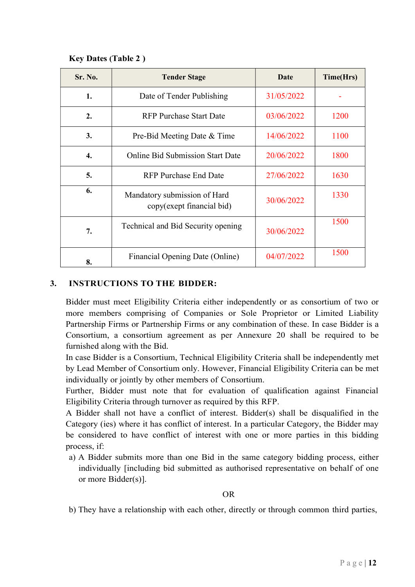### Key Dates (Table 2 )

| <b>Sr. No.</b> | <b>Tender Stage</b>                                       | <b>Date</b> | Time(Hrs) |
|----------------|-----------------------------------------------------------|-------------|-----------|
| 1.             | Date of Tender Publishing                                 | 31/05/2022  |           |
| 2.             | <b>RFP Purchase Start Date</b>                            | 03/06/2022  | 1200      |
| 3.             | Pre-Bid Meeting Date & Time                               | 14/06/2022  | 1100      |
| 4.             | <b>Online Bid Submission Start Date</b>                   | 20/06/2022  | 1800      |
| 5.             | <b>RFP Purchase End Date</b>                              | 27/06/2022  | 1630      |
| 6.             | Mandatory submission of Hard<br>copy(exept financial bid) | 30/06/2022  | 1330      |
| 7.             | Technical and Bid Security opening                        | 30/06/2022  | 1500      |
| 8.             | Financial Opening Date (Online)                           | 04/07/2022  | 1500      |

## 3. INSTRUCTIONS TO THE BIDDER:

Bidder must meet Eligibility Criteria either independently or as consortium of two or more members comprising of Companies or Sole Proprietor or Limited Liability Partnership Firms or Partnership Firms or any combination of these. In case Bidder is a Consortium, a consortium agreement as per Annexure 20 shall be required to be furnished along with the Bid.

In case Bidder is a Consortium, Technical Eligibility Criteria shall be independently met by Lead Member of Consortium only. However, Financial Eligibility Criteria can be met individually or jointly by other members of Consortium.

Further, Bidder must note that for evaluation of qualification against Financial Eligibility Criteria through turnover as required by this RFP.

A Bidder shall not have a conflict of interest. Bidder(s) shall be disqualified in the Category (ies) where it has conflict of interest. In a particular Category, the Bidder may be considered to have conflict of interest with one or more parties in this bidding process, if:

a) A Bidder submits more than one Bid in the same category bidding process, either individually [including bid submitted as authorised representative on behalf of one or more Bidder(s)].

OR

b) They have a relationship with each other, directly or through common third parties,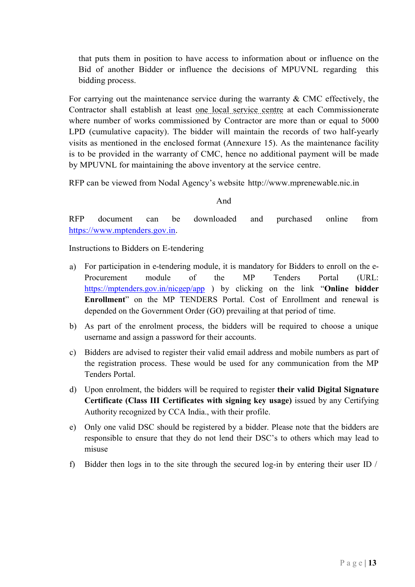that puts them in position to have access to information about or influence on the Bid of another Bidder or influence the decisions of MPUVNL regarding this bidding process.

For carrying out the maintenance service during the warranty & CMC effectively, the Contractor shall establish at least one local service centre at each Commissionerate where number of works commissioned by Contractor are more than or equal to 5000 LPD (cumulative capacity). The bidder will maintain the records of two half-yearly visits as mentioned in the enclosed format (Annexure 15). As the maintenance facility is to be provided in the warranty of CMC, hence no additional payment will be made by MPUVNL for maintaining the above inventory at the service centre.

RFP can be viewed from Nodal Agency's website http://www.mprenewable.nic.in

And

RFP document can be downloaded and purchased online from https://www.mptenders.gov.in.

Instructions to Bidders on E-tendering

- a) For participation in e-tendering module, it is mandatory for Bidders to enroll on the e-Procurement module of the MP Tenders Portal (URL: https://mptenders.gov.in/nicgep/app ) by clicking on the link "Online bidder" Enrollment" on the MP TENDERS Portal. Cost of Enrollment and renewal is depended on the Government Order (GO) prevailing at that period of time.
- b) As part of the enrolment process, the bidders will be required to choose a unique username and assign a password for their accounts.
- c) Bidders are advised to register their valid email address and mobile numbers as part of the registration process. These would be used for any communication from the MP Tenders Portal.
- d) Upon enrolment, the bidders will be required to register their valid Digital Signature Certificate (Class III Certificates with signing key usage) issued by any Certifying Authority recognized by CCA India., with their profile.
- e) Only one valid DSC should be registered by a bidder. Please note that the bidders are responsible to ensure that they do not lend their DSC's to others which may lead to misuse
- f) Bidder then logs in to the site through the secured log-in by entering their user ID /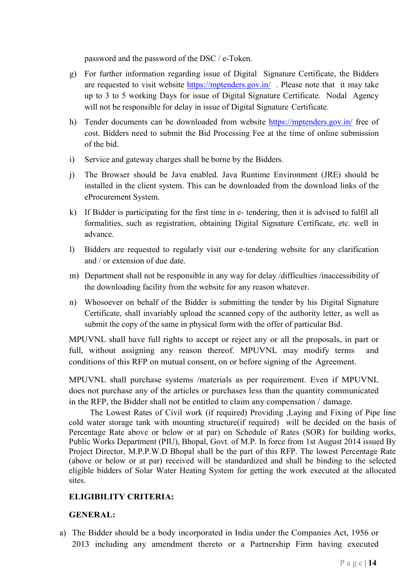password and the password of the DSC / e-Token.

- g) For further information regarding issue of Digital Signature Certificate, the Bidders are requested to visit website https://mptenders.gov.in/ . Please note that it may take up to 3 to 5 working Days for issue of Digital Signature Certificate. Nodal Agency will not be responsible for delay in issue of Digital Signature Certificate.
- h) Tender documents can be downloaded from website https://mptenders.gov.in/ free of cost. Bidders need to submit the Bid Processing Fee at the time of online submission of the bid.
- i) Service and gateway charges shall be borne by the Bidders.
- j) The Browser should be Java enabled. Java Runtime Environment (JRE) should be installed in the client system. This can be downloaded from the download links of the eProcurement System.
- k) If Bidder is participating for the first time in e- tendering, then it is advised to fulfil all formalities, such as registration, obtaining Digital Signature Certificate, etc. well in advance.
- l) Bidders are requested to regularly visit our e-tendering website for any clarification and / or extension of due date.
- m) Department shall not be responsible in any way for delay /difficulties /inaccessibility of the downloading facility from the website for any reason whatever.
- n) Whosoever on behalf of the Bidder is submitting the tender by his Digital Signature Certificate, shall invariably upload the scanned copy of the authority letter, as well as submit the copy of the same in physical form with the offer of particular Bid.

MPUVNL shall have full rights to accept or reject any or all the proposals, in part or full, without assigning any reason thereof. MPUVNL may modify terms and conditions of this RFP on mutual consent, on or before signing of the Agreement.

MPUVNL shall purchase systems /materials as per requirement. Even if MPUVNL does not purchase any of the articles or purchases less than the quantity communicated in the RFP, the Bidder shall not be entitled to claim any compensation / damage.

The Lowest Rates of Civil work (if required) Providing ,Laying and Fixing of Pipe line cold water storage tank with mounting structure(if required) will be decided on the basis of Percentage Rate above or below or at par) on Schedule of Rates (SOR) for building works, Public Works Department (PIU), Bhopal, Govt. of M.P. In force from 1st August 2014 issued By Project Director, M.P.P.W.D Bhopal shall be the part of this RFP. The lowest Percentage Rate (above or below or at par) received will be standardized and shall be binding to the selected eligible bidders of Solar Water Heating System for getting the work executed at the allocated sites.

# ELIGIBILITY CRITERIA:

# GENERAL:

a) The Bidder should be a body incorporated in India under the Companies Act, 1956 or 2013 including any amendment thereto or a Partnership Firm having executed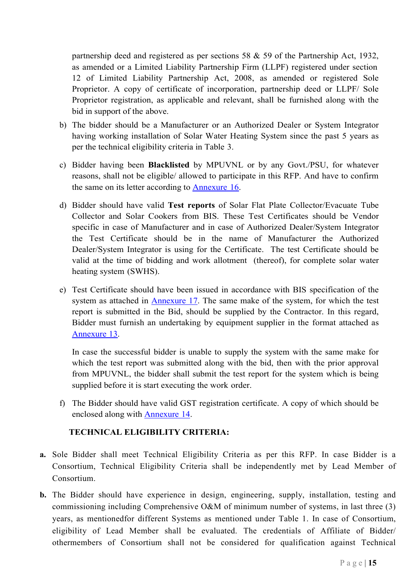partnership deed and registered as per sections 58 & 59 of the Partnership Act, 1932, as amended or a Limited Liability Partnership Firm (LLPF) registered under section 12 of Limited Liability Partnership Act, 2008, as amended or registered Sole Proprietor. A copy of certificate of incorporation, partnership deed or LLPF/ Sole Proprietor registration, as applicable and relevant, shall be furnished along with the bid in support of the above.

- b) The bidder should be a Manufacturer or an Authorized Dealer or System Integrator having working installation of Solar Water Heating System since the past 5 years as per the technical eligibility criteria in Table 3.
- c) Bidder having been Blacklisted by MPUVNL or by any Govt./PSU, for whatever reasons, shall not be eligible/ allowed to participate in this RFP. And have to confirm the same on its letter according to Annexure 16.
- d) Bidder should have valid Test reports of Solar Flat Plate Collector/Evacuate Tube Collector and Solar Cookers from BIS. These Test Certificates should be Vendor specific in case of Manufacturer and in case of Authorized Dealer/System Integrator the Test Certificate should be in the name of Manufacturer the Authorized Dealer/System Integrator is using for the Certificate. The test Certificate should be valid at the time of bidding and work allotment (thereof), for complete solar water heating system (SWHS).
- e) Test Certificate should have been issued in accordance with BIS specification of the system as attached in Annexure 17. The same make of the system, for which the test report is submitted in the Bid, should be supplied by the Contractor. In this regard, Bidder must furnish an undertaking by equipment supplier in the format attached as Annexure 13.

In case the successful bidder is unable to supply the system with the same make for which the test report was submitted along with the bid, then with the prior approval from MPUVNL, the bidder shall submit the test report for the system which is being supplied before it is start executing the work order.

f) The Bidder should have valid GST registration certificate. A copy of which should be enclosed along with Annexure 14.

#### TECHNICAL ELIGIBILITY CRITERIA:

- a. Sole Bidder shall meet Technical Eligibility Criteria as per this RFP. In case Bidder is a Consortium, Technical Eligibility Criteria shall be independently met by Lead Member of Consortium.
- b. The Bidder should have experience in design, engineering, supply, installation, testing and commissioning including Comprehensive O&M of minimum number of systems, in last three (3) years, as mentionedfor different Systems as mentioned under Table 1. In case of Consortium, eligibility of Lead Member shall be evaluated. The credentials of Affiliate of Bidder/ othermembers of Consortium shall not be considered for qualification against Technical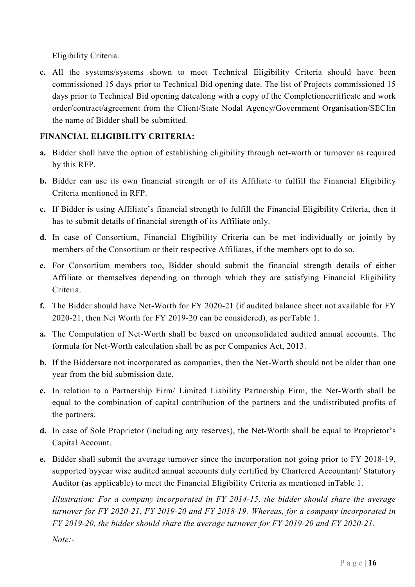Eligibility Criteria.

c. All the systems/systems shown to meet Technical Eligibility Criteria should have been commissioned 15 days prior to Technical Bid opening date. The list of Projects commissioned 15 days prior to Technical Bid opening datealong with a copy of the Completioncertificate and work order/contract/agreement from the Client/State Nodal Agency/Government Organisation/SECIin the name of Bidder shall be submitted.

# FINANCIAL ELIGIBILITY CRITERIA:

- a. Bidder shall have the option of establishing eligibility through net-worth or turnover as required by this RFP.
- b. Bidder can use its own financial strength or of its Affiliate to fulfill the Financial Eligibility Criteria mentioned in RFP.
- c. If Bidder is using Affiliate's financial strength to fulfill the Financial Eligibility Criteria, then it has to submit details of financial strength of its Affiliate only.
- d. In case of Consortium, Financial Eligibility Criteria can be met individually or jointly by members of the Consortium or their respective Affiliates, if the members opt to do so.
- e. For Consortium members too, Bidder should submit the financial strength details of either Affiliate or themselves depending on through which they are satisfying Financial Eligibility Criteria.
- f. The Bidder should have Net-Worth for FY 2020-21 (if audited balance sheet not available for FY 2020-21, then Net Worth for FY 2019-20 can be considered), as perTable 1.
- a. The Computation of Net-Worth shall be based on unconsolidated audited annual accounts. The formula for Net-Worth calculation shall be as per Companies Act, 2013.
- b. If the Biddersare not incorporated as companies, then the Net-Worth should not be older than one year from the bid submission date.
- c. In relation to a Partnership Firm/ Limited Liability Partnership Firm, the Net-Worth shall be equal to the combination of capital contribution of the partners and the undistributed profits of the partners.
- d. In case of Sole Proprietor (including any reserves), the Net-Worth shall be equal to Proprietor's Capital Account.
- e. Bidder shall submit the average turnover since the incorporation not going prior to FY 2018-19, supported byyear wise audited annual accounts duly certified by Chartered Accountant/ Statutory Auditor (as applicable) to meet the Financial Eligibility Criteria as mentioned inTable 1.

Illustration: For a company incorporated in FY 2014-15, the bidder should share the average turnover for FY 2020-21, FY 2019-20 and FY 2018-19. Whereas, for a company incorporated in FY 2019-20, the bidder should share the average turnover for FY 2019-20 and FY 2020-21.

Note:-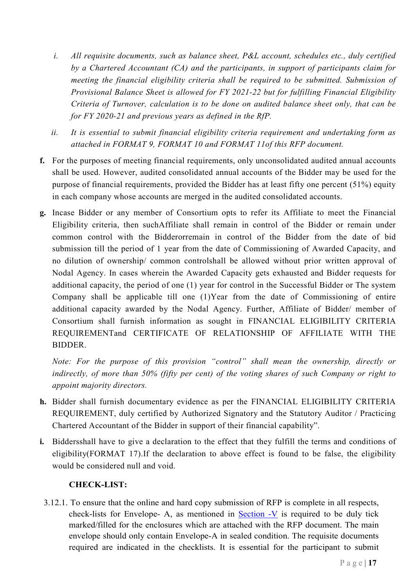- i. All requisite documents, such as balance sheet, P&L account, schedules etc., duly certified by a Chartered Accountant (CA) and the participants, in support of participants claim for meeting the financial eligibility criteria shall be required to be submitted. Submission of Provisional Balance Sheet is allowed for FY 2021-22 but for fulfilling Financial Eligibility Criteria of Turnover, calculation is to be done on audited balance sheet only, that can be for FY 2020-21 and previous years as defined in the RfP.
- ii. It is essential to submit financial eligibility criteria requirement and undertaking form as attached in FORMAT 9, FORMAT 10 and FORMAT 11of this RFP document.
- f. For the purposes of meeting financial requirements, only unconsolidated audited annual accounts shall be used. However, audited consolidated annual accounts of the Bidder may be used for the purpose of financial requirements, provided the Bidder has at least fifty one percent (51%) equity in each company whose accounts are merged in the audited consolidated accounts.
- g. Incase Bidder or any member of Consortium opts to refer its Affiliate to meet the Financial Eligibility criteria, then suchAffiliate shall remain in control of the Bidder or remain under common control with the Bidderorremain in control of the Bidder from the date of bid submission till the period of 1 year from the date of Commissioning of Awarded Capacity, and no dilution of ownership/ common controlshall be allowed without prior written approval of Nodal Agency. In cases wherein the Awarded Capacity gets exhausted and Bidder requests for additional capacity, the period of one (1) year for control in the Successful Bidder or The system Company shall be applicable till one (1)Year from the date of Commissioning of entire additional capacity awarded by the Nodal Agency. Further, Affiliate of Bidder/ member of Consortium shall furnish information as sought in FINANCIAL ELIGIBILITY CRITERIA REQUIREMENTand CERTIFICATE OF RELATIONSHIP OF AFFILIATE WITH THE BIDDER.

Note: For the purpose of this provision "control" shall mean the ownership, directly or indirectly, of more than 50% (fifty per cent) of the voting shares of such Company or right to appoint majority directors.

- h. Bidder shall furnish documentary evidence as per the FINANCIAL ELIGIBILITY CRITERIA REQUIREMENT, duly certified by Authorized Signatory and the Statutory Auditor / Practicing Chartered Accountant of the Bidder in support of their financial capability".
- i. Biddersshall have to give a declaration to the effect that they fulfill the terms and conditions of eligibility(FORMAT 17).If the declaration to above effect is found to be false, the eligibility would be considered null and void.

# CHECK-LIST:

3.12.1. To ensure that the online and hard copy submission of RFP is complete in all respects, check-lists for Envelope- A, as mentioned in Section -V is required to be duly tick marked/filled for the enclosures which are attached with the RFP document. The main envelope should only contain Envelope-A in sealed condition. The requisite documents required are indicated in the checklists. It is essential for the participant to submit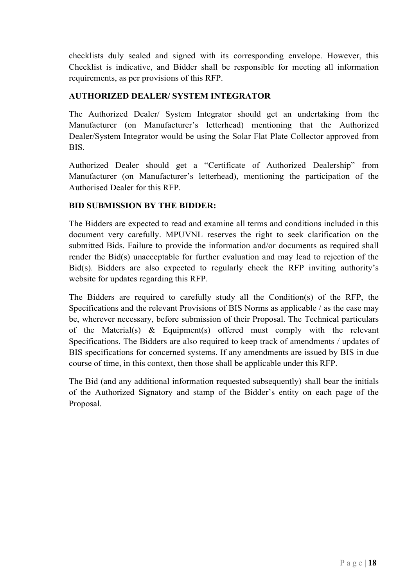checklists duly sealed and signed with its corresponding envelope. However, this Checklist is indicative, and Bidder shall be responsible for meeting all information requirements, as per provisions of this RFP.

#### AUTHORIZED DEALER/ SYSTEM INTEGRATOR

The Authorized Dealer/ System Integrator should get an undertaking from the Manufacturer (on Manufacturer's letterhead) mentioning that the Authorized Dealer/System Integrator would be using the Solar Flat Plate Collector approved from BIS.

Authorized Dealer should get a "Certificate of Authorized Dealership" from Manufacturer (on Manufacturer's letterhead), mentioning the participation of the Authorised Dealer for this RFP.

#### BID SUBMISSION BY THE BIDDER:

The Bidders are expected to read and examine all terms and conditions included in this document very carefully. MPUVNL reserves the right to seek clarification on the submitted Bids. Failure to provide the information and/or documents as required shall render the Bid(s) unacceptable for further evaluation and may lead to rejection of the Bid(s). Bidders are also expected to regularly check the RFP inviting authority's website for updates regarding this RFP.

The Bidders are required to carefully study all the Condition(s) of the RFP, the Specifications and the relevant Provisions of BIS Norms as applicable / as the case may be, wherever necessary, before submission of their Proposal. The Technical particulars of the Material(s)  $\&$  Equipment(s) offered must comply with the relevant Specifications. The Bidders are also required to keep track of amendments / updates of BIS specifications for concerned systems. If any amendments are issued by BIS in due course of time, in this context, then those shall be applicable under this RFP.

The Bid (and any additional information requested subsequently) shall bear the initials of the Authorized Signatory and stamp of the Bidder's entity on each page of the Proposal.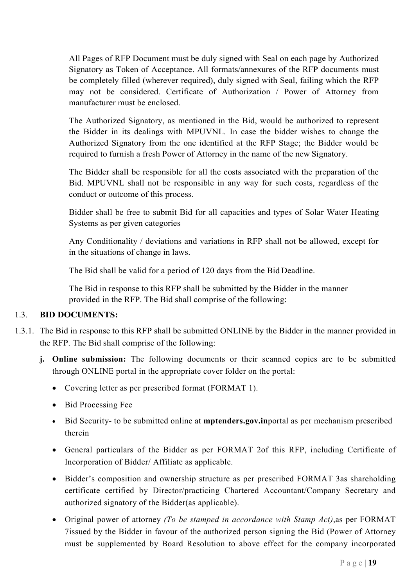All Pages of RFP Document must be duly signed with Seal on each page by Authorized Signatory as Token of Acceptance. All formats/annexures of the RFP documents must be completely filled (wherever required), duly signed with Seal, failing which the RFP may not be considered. Certificate of Authorization / Power of Attorney from manufacturer must be enclosed.

The Authorized Signatory, as mentioned in the Bid, would be authorized to represent the Bidder in its dealings with MPUVNL. In case the bidder wishes to change the Authorized Signatory from the one identified at the RFP Stage; the Bidder would be required to furnish a fresh Power of Attorney in the name of the new Signatory.

The Bidder shall be responsible for all the costs associated with the preparation of the Bid. MPUVNL shall not be responsible in any way for such costs, regardless of the conduct or outcome of this process.

Bidder shall be free to submit Bid for all capacities and types of Solar Water Heating Systems as per given categories

Any Conditionality / deviations and variations in RFP shall not be allowed, except for in the situations of change in laws.

The Bid shall be valid for a period of 120 days from the Bid Deadline.

The Bid in response to this RFP shall be submitted by the Bidder in the manner provided in the RFP. The Bid shall comprise of the following:

# 1.3. BID DOCUMENTS:

- 1.3.1. The Bid in response to this RFP shall be submitted ONLINE by the Bidder in the manner provided in the RFP. The Bid shall comprise of the following:
	- j. Online submission: The following documents or their scanned copies are to be submitted through ONLINE portal in the appropriate cover folder on the portal:
		- Covering letter as per prescribed format (FORMAT 1).
		- Bid Processing Fee
		- Bid Security- to be submitted online at mptenders.gov.inportal as per mechanism prescribed therein
		- General particulars of the Bidder as per FORMAT 2of this RFP, including Certificate of Incorporation of Bidder/ Affiliate as applicable.
		- Bidder's composition and ownership structure as per prescribed FORMAT 3as shareholding certificate certified by Director/practicing Chartered Accountant/Company Secretary and authorized signatory of the Bidder(as applicable).
		- Original power of attorney *(To be stamped in accordance with Stamp Act)*, as per FORMAT 7issued by the Bidder in favour of the authorized person signing the Bid (Power of Attorney must be supplemented by Board Resolution to above effect for the company incorporated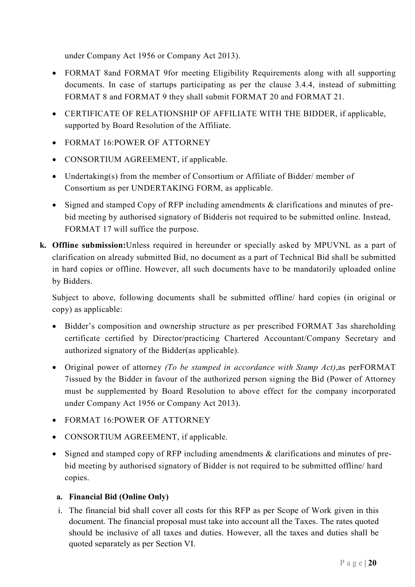under Company Act 1956 or Company Act 2013).

- FORMAT 8and FORMAT 9for meeting Eligibility Requirements along with all supporting documents. In case of startups participating as per the clause 3.4.4, instead of submitting FORMAT 8 and FORMAT 9 they shall submit FORMAT 20 and FORMAT 21.
- CERTIFICATE OF RELATIONSHIP OF AFFILIATE WITH THE BIDDER, if applicable, supported by Board Resolution of the Affiliate.
- FORMAT 16:POWER OF ATTORNEY
- CONSORTIUM AGREEMENT, if applicable.
- Undertaking(s) from the member of Consortium or Affiliate of Bidder/ member of Consortium as per UNDERTAKING FORM, as applicable.
- Signed and stamped Copy of RFP including amendments & clarifications and minutes of prebid meeting by authorised signatory of Bidderis not required to be submitted online. Instead, FORMAT 17 will suffice the purpose.
- k. Offline submission:Unless required in hereunder or specially asked by MPUVNL as a part of clarification on already submitted Bid, no document as a part of Technical Bid shall be submitted in hard copies or offline. However, all such documents have to be mandatorily uploaded online by Bidders.

Subject to above, following documents shall be submitted offline/ hard copies (in original or copy) as applicable:

- Bidder's composition and ownership structure as per prescribed FORMAT 3as shareholding certificate certified by Director/practicing Chartered Accountant/Company Secretary and authorized signatory of the Bidder(as applicable).
- Original power of attorney *(To be stamped in accordance with Stamp Act)*, as perFORMAT 7issued by the Bidder in favour of the authorized person signing the Bid (Power of Attorney must be supplemented by Board Resolution to above effect for the company incorporated under Company Act 1956 or Company Act 2013).
- FORMAT 16:POWER OF ATTORNEY
- CONSORTIUM AGREEMENT, if applicable.
- $\bullet$  Signed and stamped copy of RFP including amendments & clarifications and minutes of prebid meeting by authorised signatory of Bidder is not required to be submitted offline/ hard copies.

# a. Financial Bid (Online Only)

i. The financial bid shall cover all costs for this RFP as per Scope of Work given in this document. The financial proposal must take into account all the Taxes. The rates quoted should be inclusive of all taxes and duties. However, all the taxes and duties shall be quoted separately as per Section VI.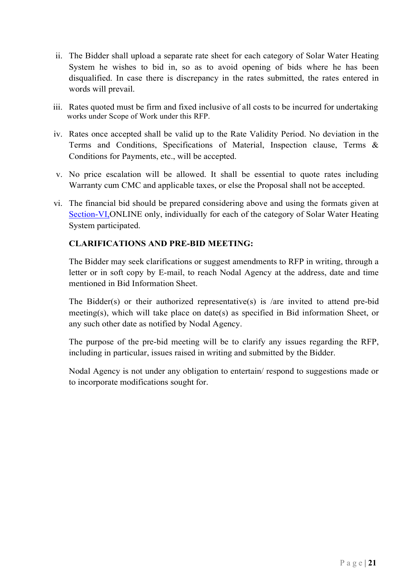- ii. The Bidder shall upload a separate rate sheet for each category of Solar Water Heating System he wishes to bid in, so as to avoid opening of bids where he has been disqualified. In case there is discrepancy in the rates submitted, the rates entered in words will prevail.
- iii. Rates quoted must be firm and fixed inclusive of all costs to be incurred for undertaking works under Scope of Work under this RFP.
- iv. Rates once accepted shall be valid up to the Rate Validity Period. No deviation in the Terms and Conditions, Specifications of Material, Inspection clause, Terms & Conditions for Payments, etc., will be accepted.
- v. No price escalation will be allowed. It shall be essential to quote rates including Warranty cum CMC and applicable taxes, or else the Proposal shall not be accepted.
- vi. The financial bid should be prepared considering above and using the formats given at Section-VI,ONLINE only, individually for each of the category of Solar Water Heating System participated.

#### CLARIFICATIONS AND PRE-BID MEETING:

The Bidder may seek clarifications or suggest amendments to RFP in writing, through a letter or in soft copy by E-mail, to reach Nodal Agency at the address, date and time mentioned in Bid Information Sheet.

The Bidder(s) or their authorized representative(s) is /are invited to attend pre-bid meeting(s), which will take place on date(s) as specified in Bid information Sheet, or any such other date as notified by Nodal Agency.

The purpose of the pre-bid meeting will be to clarify any issues regarding the RFP, including in particular, issues raised in writing and submitted by the Bidder.

Nodal Agency is not under any obligation to entertain/ respond to suggestions made or to incorporate modifications sought for.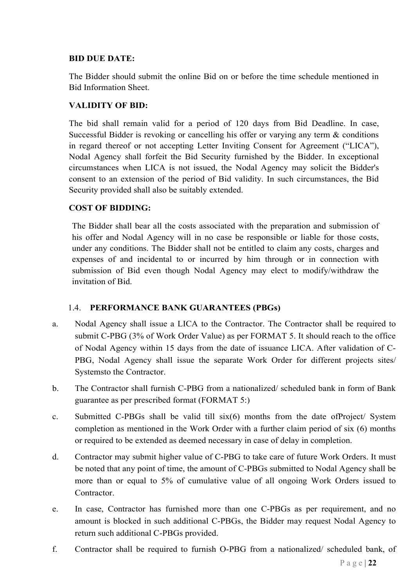#### BID DUE DATE:

The Bidder should submit the online Bid on or before the time schedule mentioned in Bid Information Sheet.

## VALIDITY OF BID:

The bid shall remain valid for a period of 120 days from Bid Deadline. In case, Successful Bidder is revoking or cancelling his offer or varying any term & conditions in regard thereof or not accepting Letter Inviting Consent for Agreement ("LICA"), Nodal Agency shall forfeit the Bid Security furnished by the Bidder. In exceptional circumstances when LICA is not issued, the Nodal Agency may solicit the Bidder's consent to an extension of the period of Bid validity. In such circumstances, the Bid Security provided shall also be suitably extended.

#### COST OF BIDDING:

The Bidder shall bear all the costs associated with the preparation and submission of his offer and Nodal Agency will in no case be responsible or liable for those costs, under any conditions. The Bidder shall not be entitled to claim any costs, charges and expenses of and incidental to or incurred by him through or in connection with submission of Bid even though Nodal Agency may elect to modify/withdraw the invitation of Bid.

#### 1.4. PERFORMANCE BANK GUARANTEES (PBGs)

- a. Nodal Agency shall issue a LICA to the Contractor. The Contractor shall be required to submit C-PBG (3% of Work Order Value) as per FORMAT 5. It should reach to the office of Nodal Agency within 15 days from the date of issuance LICA. After validation of C-PBG, Nodal Agency shall issue the separate Work Order for different projects sites/ Systemsto the Contractor.
- b. The Contractor shall furnish C-PBG from a nationalized/ scheduled bank in form of Bank guarantee as per prescribed format (FORMAT 5:)
- c. Submitted C-PBGs shall be valid till six(6) months from the date ofProject/ System completion as mentioned in the Work Order with a further claim period of six (6) months or required to be extended as deemed necessary in case of delay in completion.
- d. Contractor may submit higher value of C-PBG to take care of future Work Orders. It must be noted that any point of time, the amount of C-PBGs submitted to Nodal Agency shall be more than or equal to 5% of cumulative value of all ongoing Work Orders issued to Contractor.
- e. In case, Contractor has furnished more than one C-PBGs as per requirement, and no amount is blocked in such additional C-PBGs, the Bidder may request Nodal Agency to return such additional C-PBGs provided.
- f. Contractor shall be required to furnish O-PBG from a nationalized/ scheduled bank, of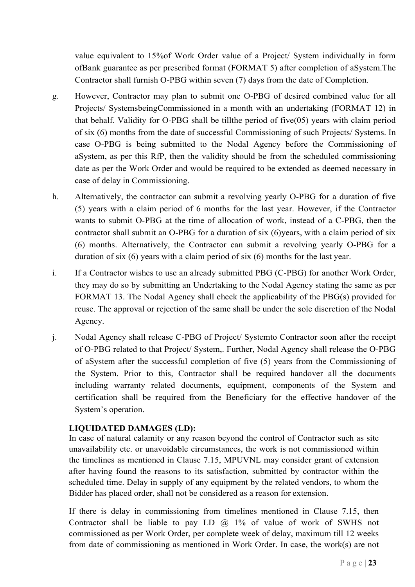value equivalent to 15%of Work Order value of a Project/ System individually in form ofBank guarantee as per prescribed format (FORMAT 5) after completion of aSystem.The Contractor shall furnish O-PBG within seven (7) days from the date of Completion.

- g. However, Contractor may plan to submit one O-PBG of desired combined value for all Projects/ SystemsbeingCommissioned in a month with an undertaking (FORMAT 12) in that behalf. Validity for O-PBG shall be tillthe period of five(05) years with claim period of six (6) months from the date of successful Commissioning of such Projects/ Systems. In case O-PBG is being submitted to the Nodal Agency before the Commissioning of aSystem, as per this RfP, then the validity should be from the scheduled commissioning date as per the Work Order and would be required to be extended as deemed necessary in case of delay in Commissioning.
- h. Alternatively, the contractor can submit a revolving yearly O-PBG for a duration of five (5) years with a claim period of 6 months for the last year. However, if the Contractor wants to submit O-PBG at the time of allocation of work, instead of a C-PBG, then the contractor shall submit an O-PBG for a duration of six (6)years, with a claim period of six (6) months. Alternatively, the Contractor can submit a revolving yearly O-PBG for a duration of six (6) years with a claim period of six (6) months for the last year.
- i. If a Contractor wishes to use an already submitted PBG (C-PBG) for another Work Order, they may do so by submitting an Undertaking to the Nodal Agency stating the same as per FORMAT 13. The Nodal Agency shall check the applicability of the PBG(s) provided for reuse. The approval or rejection of the same shall be under the sole discretion of the Nodal Agency.
- j. Nodal Agency shall release C-PBG of Project/ Systemto Contractor soon after the receipt of O-PBG related to that Project/ System,. Further, Nodal Agency shall release the O-PBG of aSystem after the successful completion of five (5) years from the Commissioning of the System. Prior to this, Contractor shall be required handover all the documents including warranty related documents, equipment, components of the System and certification shall be required from the Beneficiary for the effective handover of the System's operation.

#### LIQUIDATED DAMAGES (LD):

In case of natural calamity or any reason beyond the control of Contractor such as site unavailability etc. or unavoidable circumstances, the work is not commissioned within the timelines as mentioned in Clause 7.15, MPUVNL may consider grant of extension after having found the reasons to its satisfaction, submitted by contractor within the scheduled time. Delay in supply of any equipment by the related vendors, to whom the Bidder has placed order, shall not be considered as a reason for extension.

If there is delay in commissioning from timelines mentioned in Clause 7.15, then Contractor shall be liable to pay LD  $\omega$  1% of value of work of SWHS not commissioned as per Work Order, per complete week of delay, maximum till 12 weeks from date of commissioning as mentioned in Work Order. In case, the work(s) are not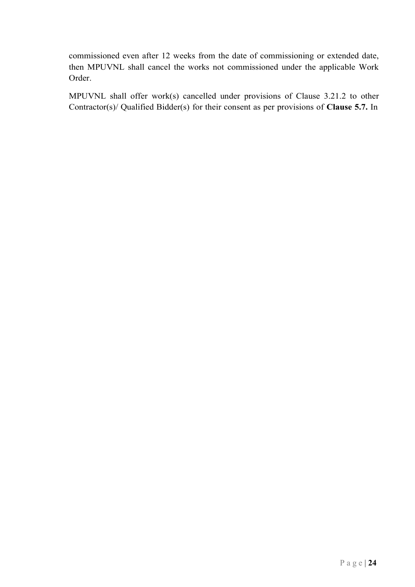commissioned even after 12 weeks from the date of commissioning or extended date, then MPUVNL shall cancel the works not commissioned under the applicable Work Order.

MPUVNL shall offer work(s) cancelled under provisions of Clause 3.21.2 to other Contractor(s)/ Qualified Bidder(s) for their consent as per provisions of Clause 5.7. In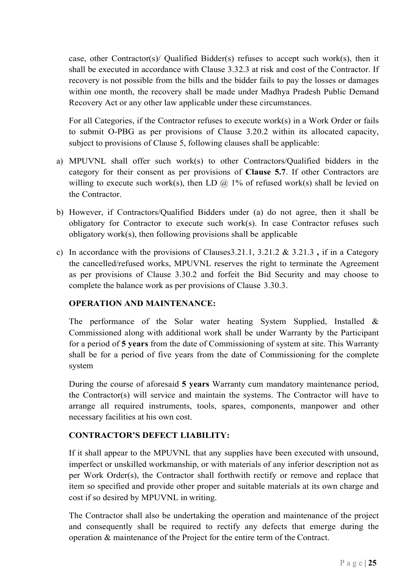case, other Contractor(s)/ Qualified Bidder(s) refuses to accept such work(s), then it shall be executed in accordance with Clause 3.32.3 at risk and cost of the Contractor. If recovery is not possible from the bills and the bidder fails to pay the losses or damages within one month, the recovery shall be made under Madhya Pradesh Public Demand Recovery Act or any other law applicable under these circumstances.

For all Categories, if the Contractor refuses to execute work(s) in a Work Order or fails to submit O-PBG as per provisions of Clause 3.20.2 within its allocated capacity, subject to provisions of Clause 5, following clauses shall be applicable:

- a) MPUVNL shall offer such work(s) to other Contractors/Qualified bidders in the category for their consent as per provisions of Clause 5.7. If other Contractors are willing to execute such work(s), then LD  $\omega$  1% of refused work(s) shall be levied on the Contractor.
- b) However, if Contractors/Qualified Bidders under (a) do not agree, then it shall be obligatory for Contractor to execute such work(s). In case Contractor refuses such obligatory work(s), then following provisions shall be applicable
- c) In accordance with the provisions of Clauses 3.21.1, 3.21.2 & 3.21.3, if in a Category the cancelled/refused works, MPUVNL reserves the right to terminate the Agreement as per provisions of Clause 3.30.2 and forfeit the Bid Security and may choose to complete the balance work as per provisions of Clause 3.30.3.

# OPERATION AND MAINTENANCE:

The performance of the Solar water heating System Supplied, Installed & Commissioned along with additional work shall be under Warranty by the Participant for a period of 5 years from the date of Commissioning of system at site. This Warranty shall be for a period of five years from the date of Commissioning for the complete system

During the course of aforesaid 5 years Warranty cum mandatory maintenance period, the Contractor(s) will service and maintain the systems. The Contractor will have to arrange all required instruments, tools, spares, components, manpower and other necessary facilities at his own cost.

# CONTRACTOR'S DEFECT LIABILITY:

If it shall appear to the MPUVNL that any supplies have been executed with unsound, imperfect or unskilled workmanship, or with materials of any inferior description not as per Work Order(s), the Contractor shall forthwith rectify or remove and replace that item so specified and provide other proper and suitable materials at its own charge and cost if so desired by MPUVNL in writing.

The Contractor shall also be undertaking the operation and maintenance of the project and consequently shall be required to rectify any defects that emerge during the operation & maintenance of the Project for the entire term of the Contract.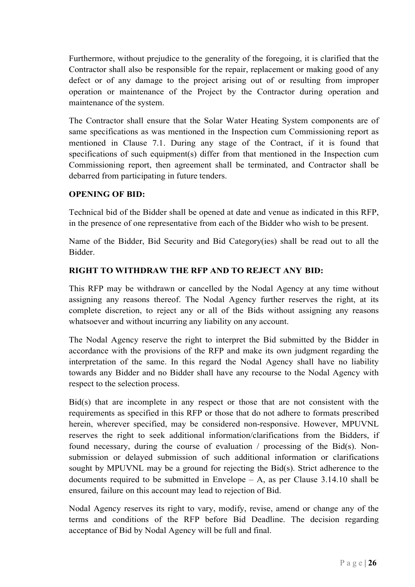Furthermore, without prejudice to the generality of the foregoing, it is clarified that the Contractor shall also be responsible for the repair, replacement or making good of any defect or of any damage to the project arising out of or resulting from improper operation or maintenance of the Project by the Contractor during operation and maintenance of the system.

The Contractor shall ensure that the Solar Water Heating System components are of same specifications as was mentioned in the Inspection cum Commissioning report as mentioned in Clause 7.1. During any stage of the Contract, if it is found that specifications of such equipment(s) differ from that mentioned in the Inspection cum Commissioning report, then agreement shall be terminated, and Contractor shall be debarred from participating in future tenders.

#### OPENING OF BID:

Technical bid of the Bidder shall be opened at date and venue as indicated in this RFP, in the presence of one representative from each of the Bidder who wish to be present.

Name of the Bidder, Bid Security and Bid Category(ies) shall be read out to all the Bidder.

## RIGHT TO WITHDRAW THE RFP AND TO REJECT ANY BID:

This RFP may be withdrawn or cancelled by the Nodal Agency at any time without assigning any reasons thereof. The Nodal Agency further reserves the right, at its complete discretion, to reject any or all of the Bids without assigning any reasons whatsoever and without incurring any liability on any account.

The Nodal Agency reserve the right to interpret the Bid submitted by the Bidder in accordance with the provisions of the RFP and make its own judgment regarding the interpretation of the same. In this regard the Nodal Agency shall have no liability towards any Bidder and no Bidder shall have any recourse to the Nodal Agency with respect to the selection process.

Bid(s) that are incomplete in any respect or those that are not consistent with the requirements as specified in this RFP or those that do not adhere to formats prescribed herein, wherever specified, may be considered non-responsive. However, MPUVNL reserves the right to seek additional information/clarifications from the Bidders, if found necessary, during the course of evaluation / processing of the Bid(s). Nonsubmission or delayed submission of such additional information or clarifications sought by MPUVNL may be a ground for rejecting the Bid(s). Strict adherence to the documents required to be submitted in Envelope  $- A$ , as per Clause 3.14.10 shall be ensured, failure on this account may lead to rejection of Bid.

Nodal Agency reserves its right to vary, modify, revise, amend or change any of the terms and conditions of the RFP before Bid Deadline. The decision regarding acceptance of Bid by Nodal Agency will be full and final.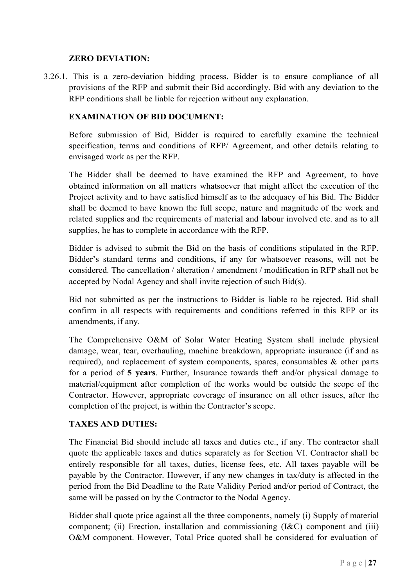### ZERO DEVIATION:

3.26.1. This is a zero-deviation bidding process. Bidder is to ensure compliance of all provisions of the RFP and submit their Bid accordingly. Bid with any deviation to the RFP conditions shall be liable for rejection without any explanation.

# EXAMINATION OF BID DOCUMENT:

Before submission of Bid, Bidder is required to carefully examine the technical specification, terms and conditions of RFP/ Agreement, and other details relating to envisaged work as per the RFP.

The Bidder shall be deemed to have examined the RFP and Agreement, to have obtained information on all matters whatsoever that might affect the execution of the Project activity and to have satisfied himself as to the adequacy of his Bid. The Bidder shall be deemed to have known the full scope, nature and magnitude of the work and related supplies and the requirements of material and labour involved etc. and as to all supplies, he has to complete in accordance with the RFP.

Bidder is advised to submit the Bid on the basis of conditions stipulated in the RFP. Bidder's standard terms and conditions, if any for whatsoever reasons, will not be considered. The cancellation / alteration / amendment / modification in RFP shall not be accepted by Nodal Agency and shall invite rejection of such Bid(s).

Bid not submitted as per the instructions to Bidder is liable to be rejected. Bid shall confirm in all respects with requirements and conditions referred in this RFP or its amendments, if any.

The Comprehensive O&M of Solar Water Heating System shall include physical damage, wear, tear, overhauling, machine breakdown, appropriate insurance (if and as required), and replacement of system components, spares, consumables & other parts for a period of 5 years. Further, Insurance towards theft and/or physical damage to material/equipment after completion of the works would be outside the scope of the Contractor. However, appropriate coverage of insurance on all other issues, after the completion of the project, is within the Contractor's scope.

# TAXES AND DUTIES:

The Financial Bid should include all taxes and duties etc., if any. The contractor shall quote the applicable taxes and duties separately as for Section VI. Contractor shall be entirely responsible for all taxes, duties, license fees, etc. All taxes payable will be payable by the Contractor. However, if any new changes in tax/duty is affected in the period from the Bid Deadline to the Rate Validity Period and/or period of Contract, the same will be passed on by the Contractor to the Nodal Agency.

Bidder shall quote price against all the three components, namely (i) Supply of material component; (ii) Erection, installation and commissioning (I&C) component and (iii) O&M component. However, Total Price quoted shall be considered for evaluation of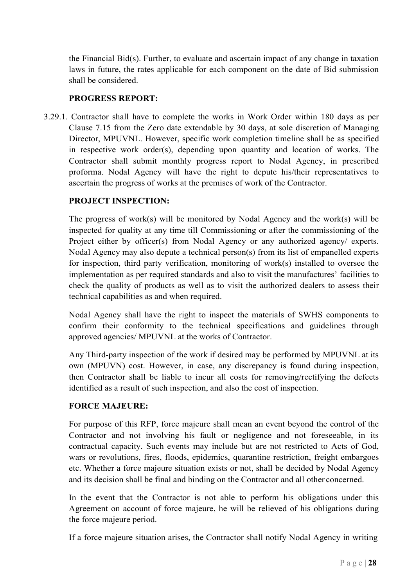the Financial Bid(s). Further, to evaluate and ascertain impact of any change in taxation laws in future, the rates applicable for each component on the date of Bid submission shall be considered.

#### PROGRESS REPORT:

3.29.1. Contractor shall have to complete the works in Work Order within 180 days as per Clause 7.15 from the Zero date extendable by 30 days, at sole discretion of Managing Director, MPUVNL. However, specific work completion timeline shall be as specified in respective work order(s), depending upon quantity and location of works. The Contractor shall submit monthly progress report to Nodal Agency, in prescribed proforma. Nodal Agency will have the right to depute his/their representatives to ascertain the progress of works at the premises of work of the Contractor.

## PROJECT INSPECTION:

The progress of work(s) will be monitored by Nodal Agency and the work(s) will be inspected for quality at any time till Commissioning or after the commissioning of the Project either by officer(s) from Nodal Agency or any authorized agency/ experts. Nodal Agency may also depute a technical person(s) from its list of empanelled experts for inspection, third party verification, monitoring of work(s) installed to oversee the implementation as per required standards and also to visit the manufactures' facilities to check the quality of products as well as to visit the authorized dealers to assess their technical capabilities as and when required.

Nodal Agency shall have the right to inspect the materials of SWHS components to confirm their conformity to the technical specifications and guidelines through approved agencies/ MPUVNL at the works of Contractor.

Any Third-party inspection of the work if desired may be performed by MPUVNL at its own (MPUVN) cost. However, in case, any discrepancy is found during inspection, then Contractor shall be liable to incur all costs for removing/rectifying the defects identified as a result of such inspection, and also the cost of inspection.

#### FORCE MAJEURE:

For purpose of this RFP, force majeure shall mean an event beyond the control of the Contractor and not involving his fault or negligence and not foreseeable, in its contractual capacity. Such events may include but are not restricted to Acts of God, wars or revolutions, fires, floods, epidemics, quarantine restriction, freight embargoes etc. Whether a force majeure situation exists or not, shall be decided by Nodal Agency and its decision shall be final and binding on the Contractor and all other concerned.

In the event that the Contractor is not able to perform his obligations under this Agreement on account of force majeure, he will be relieved of his obligations during the force majeure period.

If a force majeure situation arises, the Contractor shall notify Nodal Agency in writing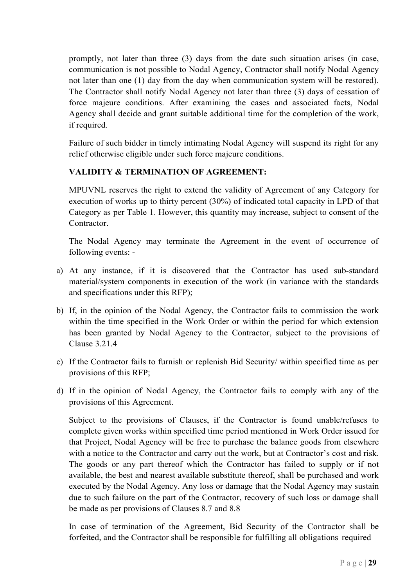promptly, not later than three (3) days from the date such situation arises (in case, communication is not possible to Nodal Agency, Contractor shall notify Nodal Agency not later than one (1) day from the day when communication system will be restored). The Contractor shall notify Nodal Agency not later than three (3) days of cessation of force majeure conditions. After examining the cases and associated facts, Nodal Agency shall decide and grant suitable additional time for the completion of the work, if required.

Failure of such bidder in timely intimating Nodal Agency will suspend its right for any relief otherwise eligible under such force majeure conditions.

# VALIDITY & TERMINATION OF AGREEMENT:

MPUVNL reserves the right to extend the validity of Agreement of any Category for execution of works up to thirty percent (30%) of indicated total capacity in LPD of that Category as per Table 1. However, this quantity may increase, subject to consent of the Contractor.

The Nodal Agency may terminate the Agreement in the event of occurrence of following events: -

- a) At any instance, if it is discovered that the Contractor has used sub-standard material/system components in execution of the work (in variance with the standards and specifications under this RFP);
- b) If, in the opinion of the Nodal Agency, the Contractor fails to commission the work within the time specified in the Work Order or within the period for which extension has been granted by Nodal Agency to the Contractor, subject to the provisions of Clause 3.21.4
- c) If the Contractor fails to furnish or replenish Bid Security/ within specified time as per provisions of this RFP;
- d) If in the opinion of Nodal Agency, the Contractor fails to comply with any of the provisions of this Agreement.

Subject to the provisions of Clauses, if the Contractor is found unable/refuses to complete given works within specified time period mentioned in Work Order issued for that Project, Nodal Agency will be free to purchase the balance goods from elsewhere with a notice to the Contractor and carry out the work, but at Contractor's cost and risk. The goods or any part thereof which the Contractor has failed to supply or if not available, the best and nearest available substitute thereof, shall be purchased and work executed by the Nodal Agency. Any loss or damage that the Nodal Agency may sustain due to such failure on the part of the Contractor, recovery of such loss or damage shall be made as per provisions of Clauses 8.7 and 8.8

In case of termination of the Agreement, Bid Security of the Contractor shall be forfeited, and the Contractor shall be responsible for fulfilling all obligations required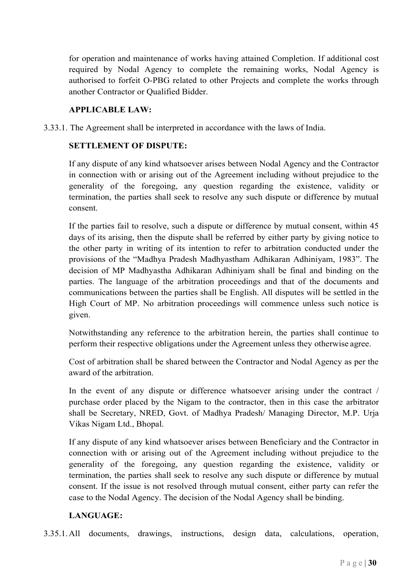for operation and maintenance of works having attained Completion. If additional cost required by Nodal Agency to complete the remaining works, Nodal Agency is authorised to forfeit O-PBG related to other Projects and complete the works through another Contractor or Qualified Bidder.

### APPLICABLE LAW:

3.33.1. The Agreement shall be interpreted in accordance with the laws of India.

### SETTLEMENT OF DISPUTE:

If any dispute of any kind whatsoever arises between Nodal Agency and the Contractor in connection with or arising out of the Agreement including without prejudice to the generality of the foregoing, any question regarding the existence, validity or termination, the parties shall seek to resolve any such dispute or difference by mutual consent.

If the parties fail to resolve, such a dispute or difference by mutual consent, within 45 days of its arising, then the dispute shall be referred by either party by giving notice to the other party in writing of its intention to refer to arbitration conducted under the provisions of the "Madhya Pradesh Madhyastham Adhikaran Adhiniyam, 1983". The decision of MP Madhyastha Adhikaran Adhiniyam shall be final and binding on the parties. The language of the arbitration proceedings and that of the documents and communications between the parties shall be English. All disputes will be settled in the High Court of MP. No arbitration proceedings will commence unless such notice is given.

Notwithstanding any reference to the arbitration herein, the parties shall continue to perform their respective obligations under the Agreement unless they otherwise agree.

Cost of arbitration shall be shared between the Contractor and Nodal Agency as per the award of the arbitration.

In the event of any dispute or difference whatsoever arising under the contract / purchase order placed by the Nigam to the contractor, then in this case the arbitrator shall be Secretary, NRED, Govt. of Madhya Pradesh/ Managing Director, M.P. Urja Vikas Nigam Ltd., Bhopal.

If any dispute of any kind whatsoever arises between Beneficiary and the Contractor in connection with or arising out of the Agreement including without prejudice to the generality of the foregoing, any question regarding the existence, validity or termination, the parties shall seek to resolve any such dispute or difference by mutual consent. If the issue is not resolved through mutual consent, either party can refer the case to the Nodal Agency. The decision of the Nodal Agency shall be binding.

# LANGUAGE:

3.35.1. All documents, drawings, instructions, design data, calculations, operation,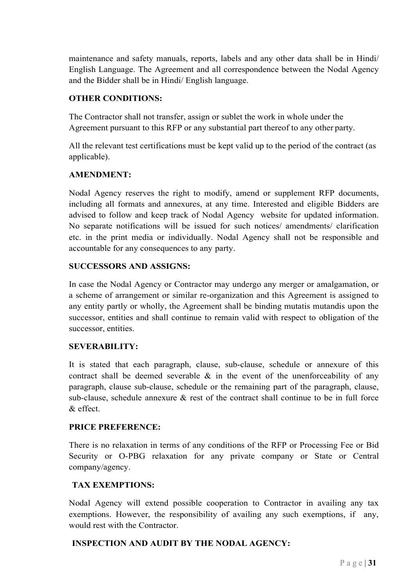maintenance and safety manuals, reports, labels and any other data shall be in Hindi/ English Language. The Agreement and all correspondence between the Nodal Agency and the Bidder shall be in Hindi/ English language.

## OTHER CONDITIONS:

The Contractor shall not transfer, assign or sublet the work in whole under the Agreement pursuant to this RFP or any substantial part thereof to any other party.

All the relevant test certifications must be kept valid up to the period of the contract (as applicable).

#### AMENDMENT:

Nodal Agency reserves the right to modify, amend or supplement RFP documents, including all formats and annexures, at any time. Interested and eligible Bidders are advised to follow and keep track of Nodal Agency website for updated information. No separate notifications will be issued for such notices/ amendments/ clarification etc. in the print media or individually. Nodal Agency shall not be responsible and accountable for any consequences to any party.

## SUCCESSORS AND ASSIGNS:

In case the Nodal Agency or Contractor may undergo any merger or amalgamation, or a scheme of arrangement or similar re-organization and this Agreement is assigned to any entity partly or wholly, the Agreement shall be binding mutatis mutandis upon the successor, entities and shall continue to remain valid with respect to obligation of the successor, entities.

#### SEVERABILITY:

It is stated that each paragraph, clause, sub-clause, schedule or annexure of this contract shall be deemed severable  $\&$  in the event of the unenforceability of any paragraph, clause sub-clause, schedule or the remaining part of the paragraph, clause, sub-clause, schedule annexure  $\&$  rest of the contract shall continue to be in full force & effect.

#### PRICE PREFERENCE:

There is no relaxation in terms of any conditions of the RFP or Processing Fee or Bid Security or O-PBG relaxation for any private company or State or Central company/agency.

#### TAX EXEMPTIONS:

Nodal Agency will extend possible cooperation to Contractor in availing any tax exemptions. However, the responsibility of availing any such exemptions, if any, would rest with the Contractor.

#### INSPECTION AND AUDIT BY THE NODAL AGENCY: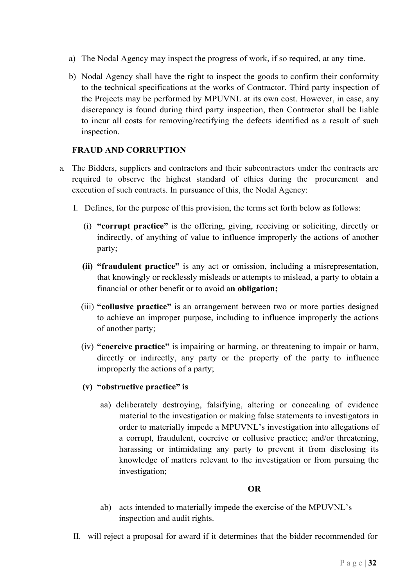- a) The Nodal Agency may inspect the progress of work, if so required, at any time.
- b) Nodal Agency shall have the right to inspect the goods to confirm their conformity to the technical specifications at the works of Contractor. Third party inspection of the Projects may be performed by MPUVNL at its own cost. However, in case, any discrepancy is found during third party inspection, then Contractor shall be liable to incur all costs for removing/rectifying the defects identified as a result of such inspection.

#### FRAUD AND CORRUPTION

- a. The Bidders, suppliers and contractors and their subcontractors under the contracts are required to observe the highest standard of ethics during the procurement and execution of such contracts. In pursuance of this, the Nodal Agency:
	- I. Defines, for the purpose of this provision, the terms set forth below as follows:
		- (i) "corrupt practice" is the offering, giving, receiving or soliciting, directly or indirectly, of anything of value to influence improperly the actions of another party;
		- (ii) "fraudulent practice" is any act or omission, including a misrepresentation, that knowingly or recklessly misleads or attempts to mislead, a party to obtain a financial or other benefit or to avoid an obligation;
		- (iii) "collusive practice" is an arrangement between two or more parties designed to achieve an improper purpose, including to influence improperly the actions of another party;
		- (iv) "coercive practice" is impairing or harming, or threatening to impair or harm, directly or indirectly, any party or the property of the party to influence improperly the actions of a party;
		- (v) "obstructive practice" is
			- aa) deliberately destroying, falsifying, altering or concealing of evidence material to the investigation or making false statements to investigators in order to materially impede a MPUVNL's investigation into allegations of a corrupt, fraudulent, coercive or collusive practice; and/or threatening, harassing or intimidating any party to prevent it from disclosing its knowledge of matters relevant to the investigation or from pursuing the investigation;

#### OR

- ab) acts intended to materially impede the exercise of the MPUVNL's inspection and audit rights.
- II. will reject a proposal for award if it determines that the bidder recommended for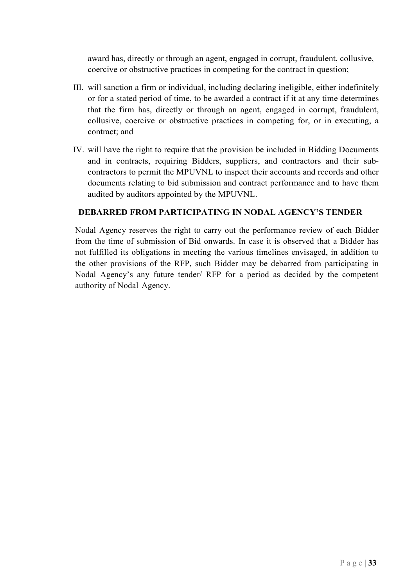award has, directly or through an agent, engaged in corrupt, fraudulent, collusive, coercive or obstructive practices in competing for the contract in question;

- III. will sanction a firm or individual, including declaring ineligible, either indefinitely or for a stated period of time, to be awarded a contract if it at any time determines that the firm has, directly or through an agent, engaged in corrupt, fraudulent, collusive, coercive or obstructive practices in competing for, or in executing, a contract; and
- IV. will have the right to require that the provision be included in Bidding Documents and in contracts, requiring Bidders, suppliers, and contractors and their subcontractors to permit the MPUVNL to inspect their accounts and records and other documents relating to bid submission and contract performance and to have them audited by auditors appointed by the MPUVNL.

## DEBARRED FROM PARTICIPATING IN NODAL AGENCY'S TENDER

Nodal Agency reserves the right to carry out the performance review of each Bidder from the time of submission of Bid onwards. In case it is observed that a Bidder has not fulfilled its obligations in meeting the various timelines envisaged, in addition to the other provisions of the RFP, such Bidder may be debarred from participating in Nodal Agency's any future tender/ RFP for a period as decided by the competent authority of Nodal Agency.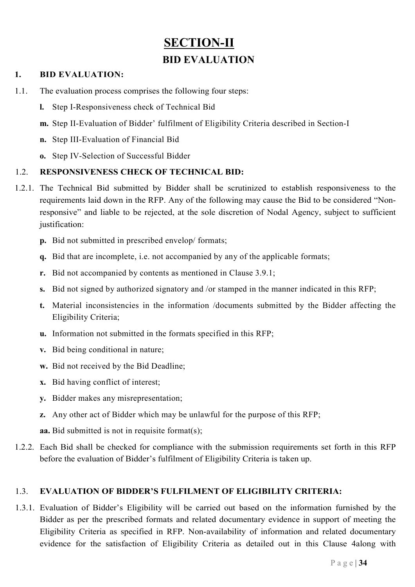# SECTION-II BID EVALUATION

### 1. BID EVALUATION:

- 1.1. The evaluation process comprises the following four steps:
	- l. Step I-Responsiveness check of Technical Bid
	- m. Step II-Evaluation of Bidder' fulfilment of Eligibility Criteria described in Section-I
	- n. Step III-Evaluation of Financial Bid
	- o. Step IV-Selection of Successful Bidder

## 1.2. RESPONSIVENESS CHECK OF TECHNICAL BID:

- 1.2.1. The Technical Bid submitted by Bidder shall be scrutinized to establish responsiveness to the requirements laid down in the RFP. Any of the following may cause the Bid to be considered "Nonresponsive" and liable to be rejected, at the sole discretion of Nodal Agency, subject to sufficient justification:
	- p. Bid not submitted in prescribed envelop/ formats;
	- q. Bid that are incomplete, i.e. not accompanied by any of the applicable formats;
	- r. Bid not accompanied by contents as mentioned in Clause 3.9.1;
	- s. Bid not signed by authorized signatory and /or stamped in the manner indicated in this RFP;
	- t. Material inconsistencies in the information /documents submitted by the Bidder affecting the Eligibility Criteria;
	- u. Information not submitted in the formats specified in this RFP;
	- v. Bid being conditional in nature;
	- w. Bid not received by the Bid Deadline;
	- x. Bid having conflict of interest;
	- y. Bidder makes any misrepresentation;
	- z. Any other act of Bidder which may be unlawful for the purpose of this RFP;

aa. Bid submitted is not in requisite format(s);

1.2.2. Each Bid shall be checked for compliance with the submission requirements set forth in this RFP before the evaluation of Bidder's fulfilment of Eligibility Criteria is taken up.

#### 1.3. EVALUATION OF BIDDER'S FULFILMENT OF ELIGIBILITY CRITERIA:

1.3.1. Evaluation of Bidder's Eligibility will be carried out based on the information furnished by the Bidder as per the prescribed formats and related documentary evidence in support of meeting the Eligibility Criteria as specified in RFP. Non-availability of information and related documentary evidence for the satisfaction of Eligibility Criteria as detailed out in this Clause 4along with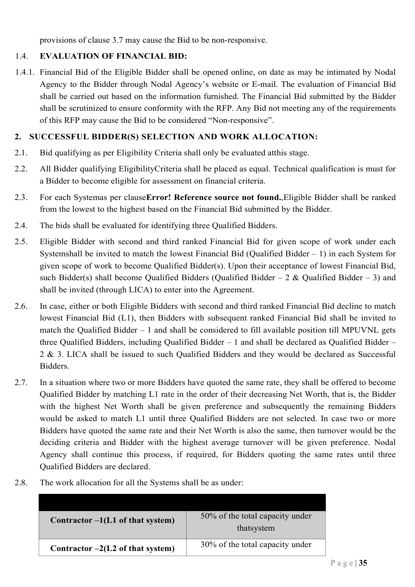provisions of clause 3.7 may cause the Bid to be non-responsive.

## 1.4. EVALUATION OF FINANCIAL BID:

1.4.1. Financial Bid of the Eligible Bidder shall be opened online, on date as may be intimated by Nodal Agency to the Bidder through Nodal Agency's website or E-mail. The evaluation of Financial Bid shall be carried out based on the information furnished. The Financial Bid submitted by the Bidder shall be scrutinized to ensure conformity with the RFP. Any Bid not meeting any of the requirements of this RFP may cause the Bid to be considered "Non-responsive".

### 2. SUCCESSFUL BIDDER(S) SELECTION AND WORK ALLOCATION:

- 2.1. Bid qualifying as per Eligibility Criteria shall only be evaluated atthis stage.
- 2.2. All Bidder qualifying EligibilityCriteria shall be placed as equal. Technical qualification is must for a Bidder to become eligible for assessment on financial criteria.
- 2.3. For each Systemas per clauseError! Reference source not found.,Eligible Bidder shall be ranked from the lowest to the highest based on the Financial Bid submitted by the Bidder.
- 2.4. The bids shall be evaluated for identifying three Qualified Bidders.
- 2.5. Eligible Bidder with second and third ranked Financial Bid for given scope of work under each Systemshall be invited to match the lowest Financial Bid (Qualified Bidder  $-1$ ) in each System for given scope of work to become Qualified Bidder(s). Upon their acceptance of lowest Financial Bid, such Bidder(s) shall become Qualified Bidders (Qualified Bidder  $-2 \&$  Qualified Bidder  $- 3$ ) and shall be invited (through LICA) to enter into the Agreement.
- 2.6. In case, either or both Eligible Bidders with second and third ranked Financial Bid decline to match lowest Financial Bid (L1), then Bidders with subsequent ranked Financial Bid shall be invited to match the Qualified Bidder – 1 and shall be considered to fill available position till MPUVNL gets three Qualified Bidders, including Qualified Bidder – 1 and shall be declared as Qualified Bidder – 2 & 3. LICA shall be issued to such Qualified Bidders and they would be declared as Successful Bidders.
- 2.7. In a situation where two or more Bidders have quoted the same rate, they shall be offered to become Qualified Bidder by matching L1 rate in the order of their decreasing Net Worth, that is, the Bidder with the highest Net Worth shall be given preference and subsequently the remaining Bidders would be asked to match L1 until three Qualified Bidders are not selected. In case two or more Bidders have quoted the same rate and their Net Worth is also the same, then turnover would be the deciding criteria and Bidder with the highest average turnover will be given preference. Nodal Agency shall continue this process, if required, for Bidders quoting the same rates until three Qualified Bidders are declared.
- 2.8. The work allocation for all the Systems shall be as under:

| Contractor $-1(L1$ of that system) | 50% of the total capacity under<br>thatsystem |
|------------------------------------|-----------------------------------------------|
| Contractor $-2(L2$ of that system) | 30% of the total capacity under               |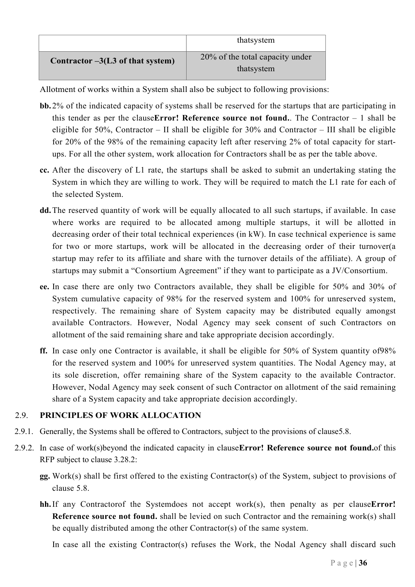|                                     | thatsystem                                    |
|-------------------------------------|-----------------------------------------------|
| Contractor $-3(L3)$ of that system) | 20% of the total capacity under<br>thatsystem |

Allotment of works within a System shall also be subject to following provisions:

- bb. 2% of the indicated capacity of systems shall be reserved for the startups that are participating in this tender as per the clauseError! Reference source not found.. The Contractor  $-1$  shall be eligible for 50%, Contractor – II shall be eligible for 30% and Contractor – III shall be eligible for 20% of the 98% of the remaining capacity left after reserving 2% of total capacity for startups. For all the other system, work allocation for Contractors shall be as per the table above.
- cc. After the discovery of L1 rate, the startups shall be asked to submit an undertaking stating the System in which they are willing to work. They will be required to match the L1 rate for each of the selected System.
- dd.The reserved quantity of work will be equally allocated to all such startups, if available. In case where works are required to be allocated among multiple startups, it will be allotted in decreasing order of their total technical experiences (in kW). In case technical experience is same for two or more startups, work will be allocated in the decreasing order of their turnover(a startup may refer to its affiliate and share with the turnover details of the affiliate). A group of startups may submit a "Consortium Agreement" if they want to participate as a JV/Consortium.
- ee. In case there are only two Contractors available, they shall be eligible for 50% and 30% of System cumulative capacity of 98% for the reserved system and 100% for unreserved system, respectively. The remaining share of System capacity may be distributed equally amongst available Contractors. However, Nodal Agency may seek consent of such Contractors on allotment of the said remaining share and take appropriate decision accordingly.
- ff. In case only one Contractor is available, it shall be eligible for 50% of System quantity of98% for the reserved system and 100% for unreserved system quantities. The Nodal Agency may, at its sole discretion, offer remaining share of the System capacity to the available Contractor. However, Nodal Agency may seek consent of such Contractor on allotment of the said remaining share of a System capacity and take appropriate decision accordingly.

## 2.9. PRINCIPLES OF WORK ALLOCATION

- 2.9.1. Generally, the Systems shall be offered to Contractors, subject to the provisions of clause5.8.
- 2.9.2. In case of work(s)beyond the indicated capacity in clauseError! Reference source not found.of this RFP subject to clause 3.28.2:
	- gg. Work(s) shall be first offered to the existing Contractor(s) of the System, subject to provisions of clause 5.8.
	- hh. If any Contractorof the Systemdoes not accept work(s), then penalty as per clauseError! Reference source not found. shall be levied on such Contractor and the remaining work(s) shall be equally distributed among the other Contractor(s) of the same system.

In case all the existing Contractor(s) refuses the Work, the Nodal Agency shall discard such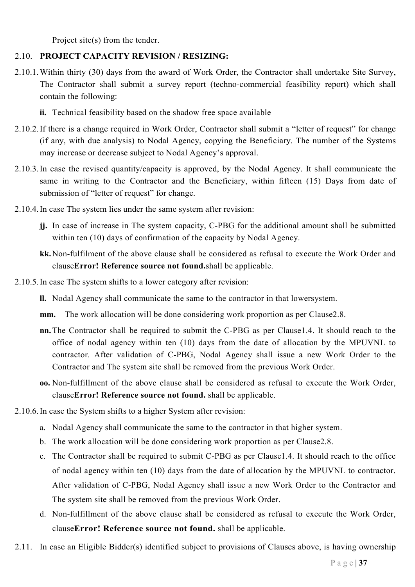Project site(s) from the tender.

## 2.10. PROJECT CAPACITY REVISION / RESIZING:

- 2.10.1.Within thirty (30) days from the award of Work Order, the Contractor shall undertake Site Survey, The Contractor shall submit a survey report (techno-commercial feasibility report) which shall contain the following:
	- ii. Technical feasibility based on the shadow free space available
- 2.10.2.If there is a change required in Work Order, Contractor shall submit a "letter of request" for change (if any, with due analysis) to Nodal Agency, copying the Beneficiary. The number of the Systems may increase or decrease subject to Nodal Agency's approval.
- 2.10.3.In case the revised quantity/capacity is approved, by the Nodal Agency. It shall communicate the same in writing to the Contractor and the Beneficiary, within fifteen (15) Days from date of submission of "letter of request" for change.
- 2.10.4.In case The system lies under the same system after revision:
	- jj. In case of increase in The system capacity, C-PBG for the additional amount shall be submitted within ten (10) days of confirmation of the capacity by Nodal Agency.
	- kk.Non-fulfilment of the above clause shall be considered as refusal to execute the Work Order and clauseError! Reference source not found.shall be applicable.
- 2.10.5.In case The system shifts to a lower category after revision:
	- ll. Nodal Agency shall communicate the same to the contractor in that lowersystem.
	- mm. The work allocation will be done considering work proportion as per Clause2.8.
	- nn.The Contractor shall be required to submit the C-PBG as per Clause1.4. It should reach to the office of nodal agency within ten (10) days from the date of allocation by the MPUVNL to contractor. After validation of C-PBG, Nodal Agency shall issue a new Work Order to the Contractor and The system site shall be removed from the previous Work Order.
	- oo. Non-fulfillment of the above clause shall be considered as refusal to execute the Work Order, clauseError! Reference source not found. shall be applicable.
- 2.10.6.In case the System shifts to a higher System after revision:
	- a. Nodal Agency shall communicate the same to the contractor in that higher system.
	- b. The work allocation will be done considering work proportion as per Clause2.8.
	- c. The Contractor shall be required to submit C-PBG as per Clause1.4. It should reach to the office of nodal agency within ten (10) days from the date of allocation by the MPUVNL to contractor. After validation of C-PBG, Nodal Agency shall issue a new Work Order to the Contractor and The system site shall be removed from the previous Work Order.
	- d. Non-fulfillment of the above clause shall be considered as refusal to execute the Work Order, clauseError! Reference source not found. shall be applicable.
- 2.11. In case an Eligible Bidder(s) identified subject to provisions of Clauses above, is having ownership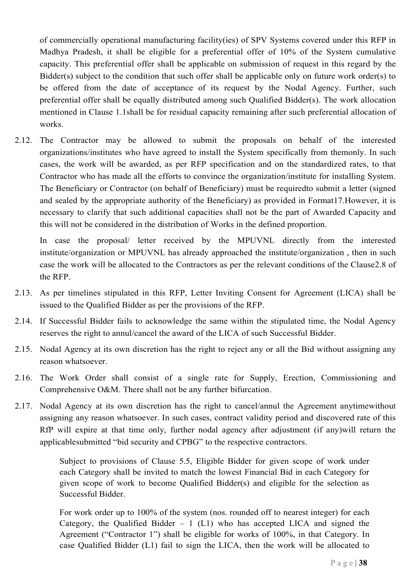of commercially operational manufacturing facility(ies) of SPV Systems covered under this RFP in Madhya Pradesh, it shall be eligible for a preferential offer of 10% of the System cumulative capacity. This preferential offer shall be applicable on submission of request in this regard by the Bidder(s) subject to the condition that such offer shall be applicable only on future work order(s) to be offered from the date of acceptance of its request by the Nodal Agency. Further, such preferential offer shall be equally distributed among such Qualified Bidder(s). The work allocation mentioned in Clause 1.1shall be for residual capacity remaining after such preferential allocation of works.

2.12. The Contractor may be allowed to submit the proposals on behalf of the interested organizations/institutes who have agreed to install the System specifically from themonly. In such cases, the work will be awarded, as per RFP specification and on the standardized rates, to that Contractor who has made all the efforts to convince the organization/institute for installing System. The Beneficiary or Contractor (on behalf of Beneficiary) must be requiredto submit a letter (signed and sealed by the appropriate authority of the Beneficiary) as provided in Format17.However, it is necessary to clarify that such additional capacities shall not be the part of Awarded Capacity and this will not be considered in the distribution of Works in the defined proportion.

In case the proposal/ letter received by the MPUVNL directly from the interested institute/organization or MPUVNL has already approached the institute/organization , then in such case the work will be allocated to the Contractors as per the relevant conditions of the Clause2.8 of the RFP.

- 2.13. As per timelines stipulated in this RFP, Letter Inviting Consent for Agreement (LICA) shall be issued to the Qualified Bidder as per the provisions of the RFP.
- 2.14. If Successful Bidder fails to acknowledge the same within the stipulated time, the Nodal Agency reserves the right to annul/cancel the award of the LICA of such Successful Bidder.
- 2.15. Nodal Agency at its own discretion has the right to reject any or all the Bid without assigning any reason whatsoever.
- 2.16. The Work Order shall consist of a single rate for Supply, Erection, Commissioning and Comprehensive O&M. There shall not be any further bifurcation.
- 2.17. Nodal Agency at its own discretion has the right to cancel/annul the Agreement anytimewithout assigning any reason whatsoever. In such cases, contract validity period and discovered rate of this RfP will expire at that time only, further nodal agency after adjustment (if any)will return the applicablesubmitted "bid security and CPBG" to the respective contractors.

Subject to provisions of Clause 5.5, Eligible Bidder for given scope of work under each Category shall be invited to match the lowest Financial Bid in each Category for given scope of work to become Qualified Bidder(s) and eligible for the selection as Successful Bidder.

For work order up to 100% of the system (nos. rounded off to nearest integer) for each Category, the Qualified Bidder  $-1$  (L1) who has accepted LICA and signed the Agreement ("Contractor 1") shall be eligible for works of 100%, in that Category. In case Qualified Bidder (L1) fail to sign the LICA, then the work will be allocated to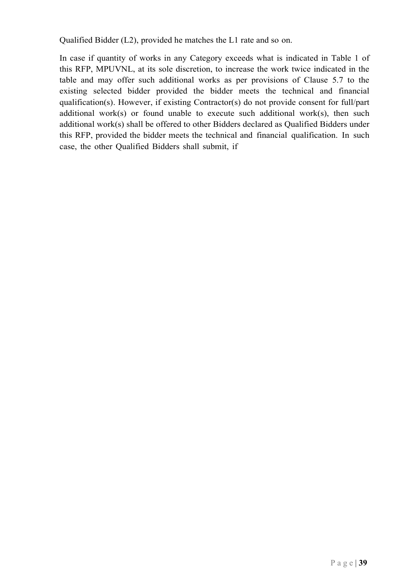Qualified Bidder (L2), provided he matches the L1 rate and so on.

In case if quantity of works in any Category exceeds what is indicated in Table 1 of this RFP, MPUVNL, at its sole discretion, to increase the work twice indicated in the table and may offer such additional works as per provisions of Clause 5.7 to the existing selected bidder provided the bidder meets the technical and financial qualification(s). However, if existing Contractor(s) do not provide consent for full/part additional work(s) or found unable to execute such additional work(s), then such additional work(s) shall be offered to other Bidders declared as Qualified Bidders under this RFP, provided the bidder meets the technical and financial qualification. In such case, the other Qualified Bidders shall submit, if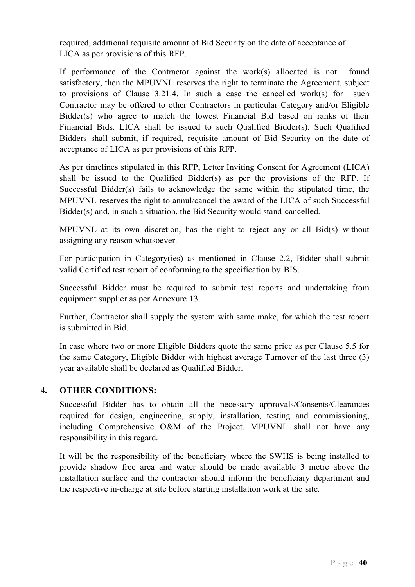required, additional requisite amount of Bid Security on the date of acceptance of LICA as per provisions of this RFP.

If performance of the Contractor against the work(s) allocated is not found satisfactory, then the MPUVNL reserves the right to terminate the Agreement, subject to provisions of Clause 3.21.4. In such a case the cancelled work(s) for such Contractor may be offered to other Contractors in particular Category and/or Eligible Bidder(s) who agree to match the lowest Financial Bid based on ranks of their Financial Bids. LICA shall be issued to such Qualified Bidder(s). Such Qualified Bidders shall submit, if required, requisite amount of Bid Security on the date of acceptance of LICA as per provisions of this RFP.

As per timelines stipulated in this RFP, Letter Inviting Consent for Agreement (LICA) shall be issued to the Qualified Bidder(s) as per the provisions of the RFP. If Successful Bidder(s) fails to acknowledge the same within the stipulated time, the MPUVNL reserves the right to annul/cancel the award of the LICA of such Successful Bidder(s) and, in such a situation, the Bid Security would stand cancelled.

MPUVNL at its own discretion, has the right to reject any or all Bid(s) without assigning any reason whatsoever.

For participation in Category(ies) as mentioned in Clause 2.2, Bidder shall submit valid Certified test report of conforming to the specification by BIS.

Successful Bidder must be required to submit test reports and undertaking from equipment supplier as per Annexure 13.

Further, Contractor shall supply the system with same make, for which the test report is submitted in Bid.

In case where two or more Eligible Bidders quote the same price as per Clause 5.5 for the same Category, Eligible Bidder with highest average Turnover of the last three (3) year available shall be declared as Qualified Bidder.

#### 4. OTHER CONDITIONS:

Successful Bidder has to obtain all the necessary approvals/Consents/Clearances required for design, engineering, supply, installation, testing and commissioning, including Comprehensive O&M of the Project. MPUVNL shall not have any responsibility in this regard.

It will be the responsibility of the beneficiary where the SWHS is being installed to provide shadow free area and water should be made available 3 metre above the installation surface and the contractor should inform the beneficiary department and the respective in-charge at site before starting installation work at the site.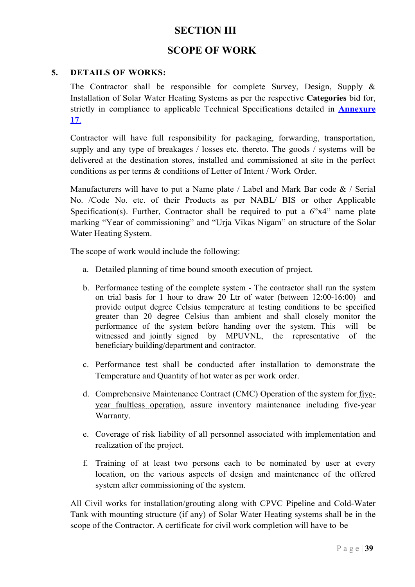# **SECTION III**

# SCOPE OF WORK

#### 5. DETAILS OF WORKS:

The Contractor shall be responsible for complete Survey, Design, Supply  $\&$ Installation of Solar Water Heating Systems as per the respective Categories bid for, strictly in compliance to applicable Technical Specifications detailed in **Annexure** 17.

Contractor will have full responsibility for packaging, forwarding, transportation, supply and any type of breakages / losses etc. thereto. The goods / systems will be delivered at the destination stores, installed and commissioned at site in the perfect conditions as per terms & conditions of Letter of Intent / Work Order.

Manufacturers will have to put a Name plate / Label and Mark Bar code  $\&$  / Serial No. /Code No. etc. of their Products as per NABL/ BIS or other Applicable Specification(s). Further, Contractor shall be required to put a  $6"x4"$  name plate marking "Year of commissioning" and "Urja Vikas Nigam" on structure of the Solar Water Heating System.

The scope of work would include the following:

- a. Detailed planning of time bound smooth execution of project.
- b. Performance testing of the complete system The contractor shall run the system on trial basis for 1 hour to draw 20 Ltr of water (between 12:00-16:00) and provide output degree Celsius temperature at testing conditions to be specified greater than 20 degree Celsius than ambient and shall closely monitor the performance of the system before handing over the system. This will be witnessed and jointly signed by MPUVNL, the representative of the beneficiary building/department and contractor.
- c. Performance test shall be conducted after installation to demonstrate the Temperature and Quantity of hot water as per work order.
- d. Comprehensive Maintenance Contract (CMC) Operation of the system for fiveyear faultless operation, assure inventory maintenance including five-year Warranty.
- e. Coverage of risk liability of all personnel associated with implementation and realization of the project.
- f. Training of at least two persons each to be nominated by user at every location, on the various aspects of design and maintenance of the offered system after commissioning of the system.

All Civil works for installation/grouting along with CPVC Pipeline and Cold-Water Tank with mounting structure (if any) of Solar Water Heating systems shall be in the scope of the Contractor. A certificate for civil work completion will have to be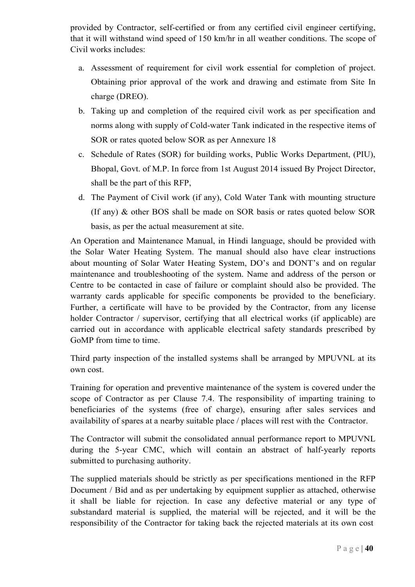provided by Contractor, self-certified or from any certified civil engineer certifying, that it will withstand wind speed of 150 km/hr in all weather conditions. The scope of Civil works includes:

- a. Assessment of requirement for civil work essential for completion of project. Obtaining prior approval of the work and drawing and estimate from Site In charge (DREO).
- b. Taking up and completion of the required civil work as per specification and norms along with supply of Cold-water Tank indicated in the respective items of SOR or rates quoted below SOR as per Annexure 18
- c. Schedule of Rates (SOR) for building works, Public Works Department, (PIU), Bhopal, Govt. of M.P. In force from 1st August 2014 issued By Project Director, shall be the part of this RFP,
- d. The Payment of Civil work (if any), Cold Water Tank with mounting structure (If any) & other BOS shall be made on SOR basis or rates quoted below SOR basis, as per the actual measurement at site.

An Operation and Maintenance Manual, in Hindi language, should be provided with the Solar Water Heating System. The manual should also have clear instructions about mounting of Solar Water Heating System, DO's and DONT's and on regular maintenance and troubleshooting of the system. Name and address of the person or Centre to be contacted in case of failure or complaint should also be provided. The warranty cards applicable for specific components be provided to the beneficiary. Further, a certificate will have to be provided by the Contractor, from any license holder Contractor / supervisor, certifying that all electrical works (if applicable) are carried out in accordance with applicable electrical safety standards prescribed by GoMP from time to time.

Third party inspection of the installed systems shall be arranged by MPUVNL at its own cost.

Training for operation and preventive maintenance of the system is covered under the scope of Contractor as per Clause 7.4. The responsibility of imparting training to beneficiaries of the systems (free of charge), ensuring after sales services and availability of spares at a nearby suitable place / places will rest with the Contractor.

The Contractor will submit the consolidated annual performance report to MPUVNL during the 5-year CMC, which will contain an abstract of half-yearly reports submitted to purchasing authority.

The supplied materials should be strictly as per specifications mentioned in the RFP Document / Bid and as per undertaking by equipment supplier as attached, otherwise it shall be liable for rejection. In case any defective material or any type of substandard material is supplied, the material will be rejected, and it will be the responsibility of the Contractor for taking back the rejected materials at its own cost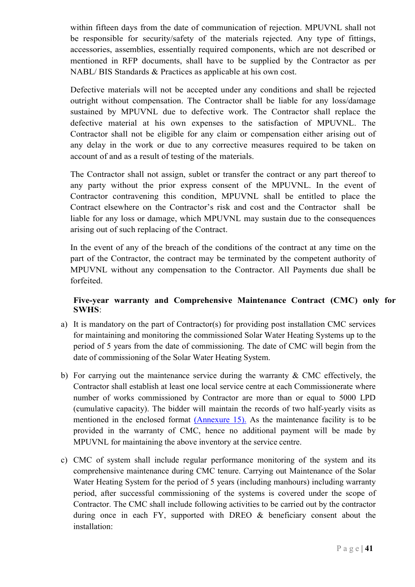within fifteen days from the date of communication of rejection. MPUVNL shall not be responsible for security/safety of the materials rejected. Any type of fittings, accessories, assemblies, essentially required components, which are not described or mentioned in RFP documents, shall have to be supplied by the Contractor as per NABL/ BIS Standards & Practices as applicable at his own cost.

Defective materials will not be accepted under any conditions and shall be rejected outright without compensation. The Contractor shall be liable for any loss/damage sustained by MPUVNL due to defective work. The Contractor shall replace the defective material at his own expenses to the satisfaction of MPUVNL. The Contractor shall not be eligible for any claim or compensation either arising out of any delay in the work or due to any corrective measures required to be taken on account of and as a result of testing of the materials.

The Contractor shall not assign, sublet or transfer the contract or any part thereof to any party without the prior express consent of the MPUVNL. In the event of Contractor contravening this condition, MPUVNL shall be entitled to place the Contract elsewhere on the Contractor's risk and cost and the Contractor shall be liable for any loss or damage, which MPUVNL may sustain due to the consequences arising out of such replacing of the Contract.

In the event of any of the breach of the conditions of the contract at any time on the part of the Contractor, the contract may be terminated by the competent authority of MPUVNL without any compensation to the Contractor. All Payments due shall be forfeited.

#### Five-year warranty and Comprehensive Maintenance Contract (CMC) only for SWHS:

- a) It is mandatory on the part of Contractor(s) for providing post installation CMC services for maintaining and monitoring the commissioned Solar Water Heating Systems up to the period of 5 years from the date of commissioning. The date of CMC will begin from the date of commissioning of the Solar Water Heating System.
- b) For carrying out the maintenance service during the warranty  $\&$  CMC effectively, the Contractor shall establish at least one local service centre at each Commissionerate where number of works commissioned by Contractor are more than or equal to 5000 LPD (cumulative capacity). The bidder will maintain the records of two half-yearly visits as mentioned in the enclosed format (Annexure 15). As the maintenance facility is to be provided in the warranty of CMC, hence no additional payment will be made by MPUVNL for maintaining the above inventory at the service centre.
- c) CMC of system shall include regular performance monitoring of the system and its comprehensive maintenance during CMC tenure. Carrying out Maintenance of the Solar Water Heating System for the period of 5 years (including manhours) including warranty period, after successful commissioning of the systems is covered under the scope of Contractor. The CMC shall include following activities to be carried out by the contractor during once in each FY, supported with DREO & beneficiary consent about the installation: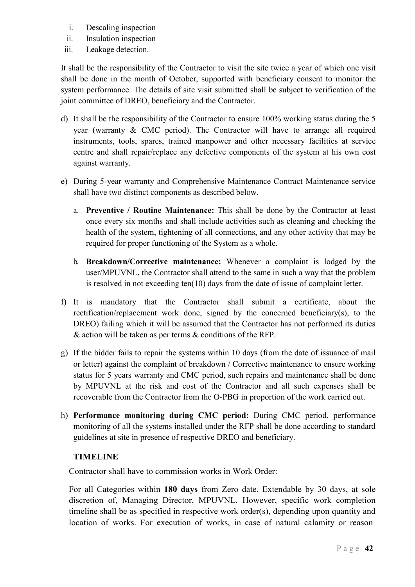- i. Descaling inspection
- ii. Insulation inspection
- iii. Leakage detection.

It shall be the responsibility of the Contractor to visit the site twice a year of which one visit shall be done in the month of October, supported with beneficiary consent to monitor the system performance. The details of site visit submitted shall be subject to verification of the joint committee of DREO, beneficiary and the Contractor.

- d) It shall be the responsibility of the Contractor to ensure 100% working status during the 5 year (warranty & CMC period). The Contractor will have to arrange all required instruments, tools, spares, trained manpower and other necessary facilities at service centre and shall repair/replace any defective components of the system at his own cost against warranty.
- e) During 5-year warranty and Comprehensive Maintenance Contract Maintenance service shall have two distinct components as described below.
	- a. Preventive / Routine Maintenance: This shall be done by the Contractor at least once every six months and shall include activities such as cleaning and checking the health of the system, tightening of all connections, and any other activity that may be required for proper functioning of the System as a whole.
	- b. Breakdown/Corrective maintenance: Whenever a complaint is lodged by the user/MPUVNL, the Contractor shall attend to the same in such a way that the problem is resolved in not exceeding ten(10) days from the date of issue of complaint letter.
- f) It is mandatory that the Contractor shall submit a certificate, about the rectification/replacement work done, signed by the concerned beneficiary(s), to the DREO) failing which it will be assumed that the Contractor has not performed its duties & action will be taken as per terms & conditions of the RFP.
- g) If the bidder fails to repair the systems within 10 days (from the date of issuance of mail or letter) against the complaint of breakdown / Corrective maintenance to ensure working status for 5 years warranty and CMC period, such repairs and maintenance shall be done by MPUVNL at the risk and cost of the Contractor and all such expenses shall be recoverable from the Contractor from the O-PBG in proportion of the work carried out.
- h) Performance monitoring during CMC period: During CMC period, performance monitoring of all the systems installed under the RFP shall be done according to standard guidelines at site in presence of respective DREO and beneficiary.

#### TIMELINE

Contractor shall have to commission works in Work Order:

For all Categories within 180 days from Zero date. Extendable by 30 days, at sole discretion of, Managing Director, MPUVNL. However, specific work completion timeline shall be as specified in respective work order(s), depending upon quantity and location of works. For execution of works, in case of natural calamity or reason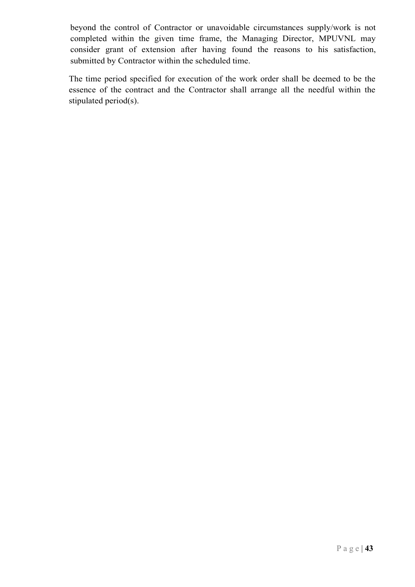beyond the control of Contractor or unavoidable circumstances supply/work is not completed within the given time frame, the Managing Director, MPUVNL may consider grant of extension after having found the reasons to his satisfaction, submitted by Contractor within the scheduled time.

The time period specified for execution of the work order shall be deemed to be the essence of the contract and the Contractor shall arrange all the needful within the stipulated period(s).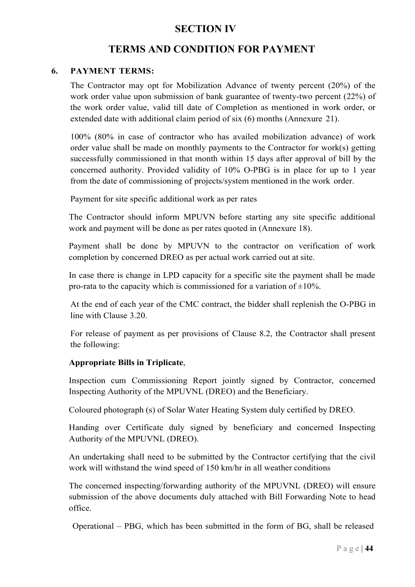# SECTION IV

# TERMS AND CONDITION FOR PAYMENT

#### 6. PAYMENT TERMS:

The Contractor may opt for Mobilization Advance of twenty percent (20%) of the work order value upon submission of bank guarantee of twenty-two percent (22%) of the work order value, valid till date of Completion as mentioned in work order, or extended date with additional claim period of six (6) months (Annexure 21).

100% (80% in case of contractor who has availed mobilization advance) of work order value shall be made on monthly payments to the Contractor for work(s) getting successfully commissioned in that month within 15 days after approval of bill by the concerned authority. Provided validity of 10% O-PBG is in place for up to 1 year from the date of commissioning of projects/system mentioned in the work order.

Payment for site specific additional work as per rates

The Contractor should inform MPUVN before starting any site specific additional work and payment will be done as per rates quoted in (Annexure 18).

Payment shall be done by MPUVN to the contractor on verification of work completion by concerned DREO as per actual work carried out at site.

In case there is change in LPD capacity for a specific site the payment shall be made pro-rata to the capacity which is commissioned for a variation of  $\pm 10\%$ .

At the end of each year of the CMC contract, the bidder shall replenish the O-PBG in line with Clause 3.20.

For release of payment as per provisions of Clause 8.2, the Contractor shall present the following:

#### Appropriate Bills in Triplicate,

Inspection cum Commissioning Report jointly signed by Contractor, concerned Inspecting Authority of the MPUVNL (DREO) and the Beneficiary.

Coloured photograph (s) of Solar Water Heating System duly certified by DREO.

Handing over Certificate duly signed by beneficiary and concerned Inspecting Authority of the MPUVNL (DREO).

An undertaking shall need to be submitted by the Contractor certifying that the civil work will withstand the wind speed of 150 km/hr in all weather conditions

The concerned inspecting/forwarding authority of the MPUVNL (DREO) will ensure submission of the above documents duly attached with Bill Forwarding Note to head office.

Operational – PBG, which has been submitted in the form of BG, shall be released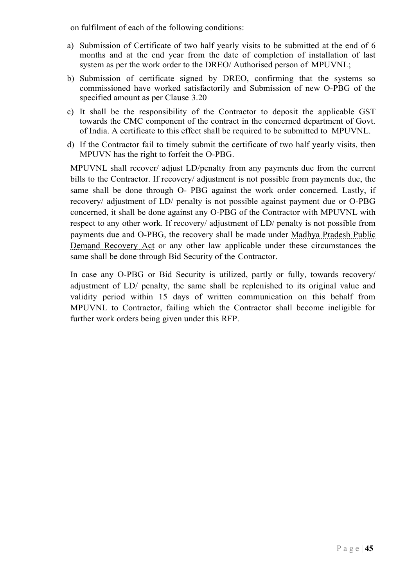on fulfilment of each of the following conditions:

- a) Submission of Certificate of two half yearly visits to be submitted at the end of 6 months and at the end year from the date of completion of installation of last system as per the work order to the DREO/ Authorised person of MPUVNL;
- b) Submission of certificate signed by DREO, confirming that the systems so commissioned have worked satisfactorily and Submission of new O-PBG of the specified amount as per Clause 3.20
- c) It shall be the responsibility of the Contractor to deposit the applicable GST towards the CMC component of the contract in the concerned department of Govt. of India. A certificate to this effect shall be required to be submitted to MPUVNL.
- d) If the Contractor fail to timely submit the certificate of two half yearly visits, then MPUVN has the right to forfeit the O-PBG.

MPUVNL shall recover/ adjust LD/penalty from any payments due from the current bills to the Contractor. If recovery/ adjustment is not possible from payments due, the same shall be done through O- PBG against the work order concerned. Lastly, if recovery/ adjustment of LD/ penalty is not possible against payment due or O-PBG concerned, it shall be done against any O-PBG of the Contractor with MPUVNL with respect to any other work. If recovery/ adjustment of LD/ penalty is not possible from payments due and O-PBG, the recovery shall be made under Madhya Pradesh Public Demand Recovery Act or any other law applicable under these circumstances the same shall be done through Bid Security of the Contractor.

In case any O-PBG or Bid Security is utilized, partly or fully, towards recovery/ adjustment of LD/ penalty, the same shall be replenished to its original value and validity period within 15 days of written communication on this behalf from MPUVNL to Contractor, failing which the Contractor shall become ineligible for further work orders being given under this RFP.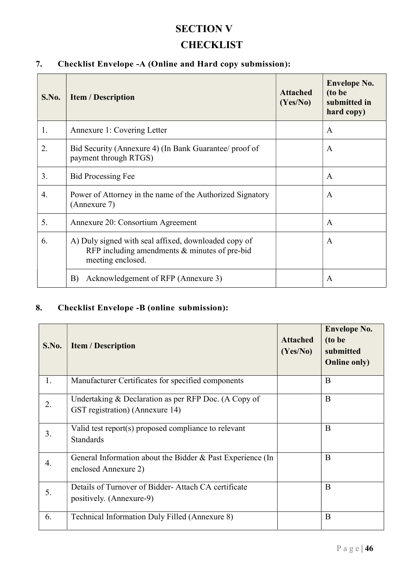# SECTION V **CHECKLIST**

# 7. Checklist Envelope -A (Online and Hard copy submission):

| S.No. | <b>Item / Description</b>                                                                                                    | <b>Attached</b><br>(Yes/No) | <b>Envelope No.</b><br>(to be<br>submitted in<br>hard copy) |
|-------|------------------------------------------------------------------------------------------------------------------------------|-----------------------------|-------------------------------------------------------------|
| 1.    | Annexure 1: Covering Letter                                                                                                  |                             | $\mathbf{A}$                                                |
| 2.    | Bid Security (Annexure 4) (In Bank Guarantee/ proof of<br>payment through RTGS)                                              |                             | $\mathbf{A}$                                                |
| 3.    | <b>Bid Processing Fee</b>                                                                                                    |                             | $\mathbf{A}$                                                |
| 4.    | Power of Attorney in the name of the Authorized Signatory<br>(Annexure 7)                                                    |                             | $\mathbf{A}$                                                |
| 5.    | Annexure 20: Consortium Agreement                                                                                            |                             | $\mathbf{A}$                                                |
| 6.    | A) Duly signed with seal affixed, downloaded copy of<br>RFP including amendments $&$ minutes of pre-bid<br>meeting enclosed. |                             | $\mathbf{A}$                                                |
|       | B)<br>Acknowledgement of RFP (Annexure 3)                                                                                    |                             | A                                                           |

## 8. Checklist Envelope -B (online submission):

| S.No. | <b>Item / Description</b>                                                               | <b>Attached</b><br>(Yes/No) | <b>Envelope No.</b><br>(to be<br>submitted<br><b>Online only)</b> |
|-------|-----------------------------------------------------------------------------------------|-----------------------------|-------------------------------------------------------------------|
| 1.    | Manufacturer Certificates for specified components                                      |                             | B                                                                 |
| 2.    | Undertaking & Declaration as per RFP Doc. (A Copy of<br>GST registration) (Annexure 14) |                             | B                                                                 |
| 3.    | Valid test report(s) proposed compliance to relevant<br><b>Standards</b>                |                             | B                                                                 |
| 4.    | General Information about the Bidder & Past Experience (In<br>enclosed Annexure 2)      |                             | B                                                                 |
| 5.    | Details of Turnover of Bidder-Attach CA certificate<br>positively. (Annexure-9)         |                             | $\mathbf{B}$                                                      |
| 6.    | Technical Information Duly Filled (Annexure 8)                                          |                             | B                                                                 |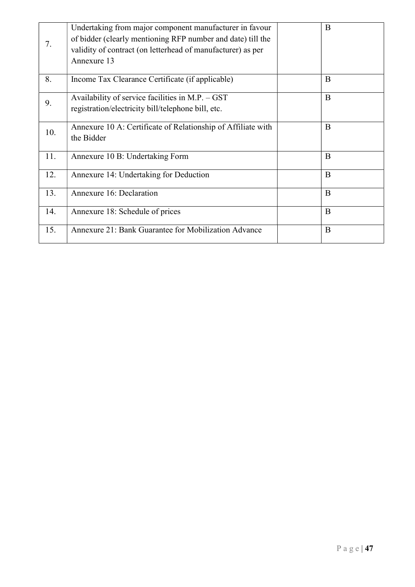|     | Undertaking from major component manufacturer in favour<br>of bidder (clearly mentioning RFP number and date) till the | $\mathbf{B}$ |
|-----|------------------------------------------------------------------------------------------------------------------------|--------------|
| 7.  | validity of contract (on letterhead of manufacturer) as per                                                            |              |
|     | Annexure 13                                                                                                            |              |
| 8.  | Income Tax Clearance Certificate (if applicable)                                                                       | B            |
| 9.  | Availability of service facilities in M.P. $-$ GST                                                                     | B            |
|     | registration/electricity bill/telephone bill, etc.                                                                     |              |
| 10. | Annexure 10 A: Certificate of Relationship of Affiliate with                                                           | B            |
|     | the Bidder                                                                                                             |              |
| 11. | Annexure 10 B: Undertaking Form                                                                                        | $\mathbf{B}$ |
| 12. | Annexure 14: Undertaking for Deduction                                                                                 | $\mathbf{B}$ |
| 13. | Annexure 16: Declaration                                                                                               | B            |
| 14. | Annexure 18: Schedule of prices                                                                                        | B            |
| 15. | <b>Annexure 21: Bank Guarantee for Mobilization Advance</b>                                                            | B            |
|     |                                                                                                                        |              |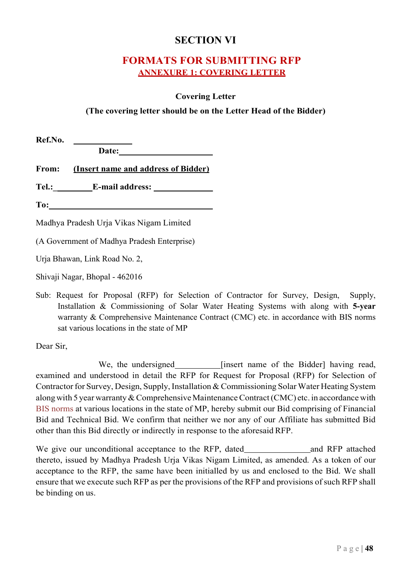# SECTION VI

# FORMATS FOR SUBMITTING RFP ANNEXURE 1: COVERING LETTER

#### Covering Letter

#### (The covering letter should be on the Letter Head of the Bidder)

Sub: Request for Proposal (RFP) for Selection of Contractor for Survey, Design, Supply, Installation & Commissioning of Solar Water Heating Systems with along with 5-year warranty & Comprehensive Maintenance Contract (CMC) etc. in accordance with BIS norms sat various locations in the state of MP

Dear Sir,

We, the undersigned \_\_\_\_\_\_\_\_\_\_ [insert name of the Bidder] having read, examined and understood in detail the RFP for Request for Proposal (RFP) for Selection of Contractor for Survey, Design, Supply, Installation & Commissioning Solar Water Heating System along with 5 year warranty & Comprehensive Maintenance Contract (CMC) etc. in accordance with BIS norms at various locations in the state of MP, hereby submit our Bid comprising of Financial Bid and Technical Bid. We confirm that neither we nor any of our Affiliate has submitted Bid other than this Bid directly or indirectly in response to the aforesaid RFP.

We give our unconditional acceptance to the RFP, dated and RFP attached thereto, issued by Madhya Pradesh Urja Vikas Nigam Limited, as amended. As a token of our acceptance to the RFP, the same have been initialled by us and enclosed to the Bid. We shall ensure that we execute such RFP as per the provisions of the RFP and provisions of such RFP shall be binding on us.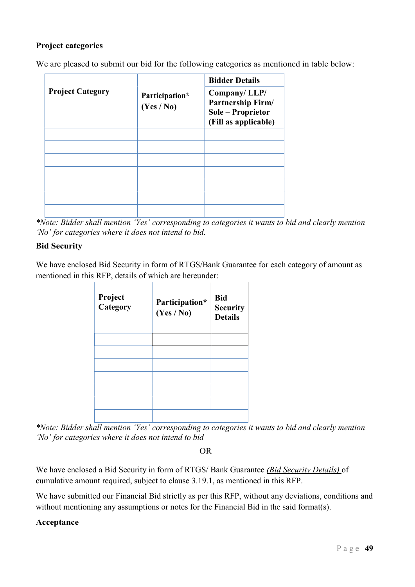## Project categories

We are pleased to submit our bid for the following categories as mentioned in table below:

|                         |                              | <b>Bidder Details</b>                                                          |
|-------------------------|------------------------------|--------------------------------------------------------------------------------|
| <b>Project Category</b> | Participation*<br>(Yes / No) | Company/LLP/<br>Partnership Firm/<br>Sole – Proprietor<br>(Fill as applicable) |
|                         |                              |                                                                                |
|                         |                              |                                                                                |
|                         |                              |                                                                                |
|                         |                              |                                                                                |
|                         |                              |                                                                                |
|                         |                              |                                                                                |
|                         |                              |                                                                                |

\*Note: Bidder shall mention 'Yes' corresponding to categories it wants to bid and clearly mention 'No' for categories where it does not intend to bid.

#### Bid Security

We have enclosed Bid Security in form of RTGS/Bank Guarantee for each category of amount as mentioned in this RFP, details of which are hereunder:

| Project<br>Category | Participation*<br>(Yes / No) | <b>Bid</b><br><b>Security</b><br><b>Details</b> |
|---------------------|------------------------------|-------------------------------------------------|
|                     |                              |                                                 |
|                     |                              |                                                 |
|                     |                              |                                                 |
|                     |                              |                                                 |
|                     |                              |                                                 |
|                     |                              |                                                 |
|                     |                              |                                                 |

\*Note: Bidder shall mention 'Yes' corresponding to categories it wants to bid and clearly mention 'No' for categories where it does not intend to bid

OR

We have enclosed a Bid Security in form of RTGS/ Bank Guarantee (Bid Security Details) of cumulative amount required, subject to clause 3.19.1, as mentioned in this RFP.

We have submitted our Financial Bid strictly as per this RFP, without any deviations, conditions and without mentioning any assumptions or notes for the Financial Bid in the said format(s).

### Acceptance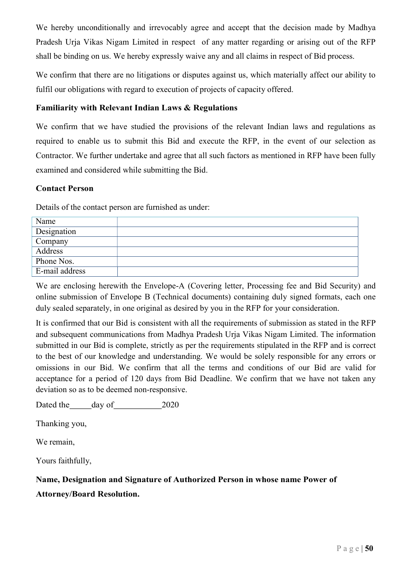We hereby unconditionally and irrevocably agree and accept that the decision made by Madhya Pradesh Urja Vikas Nigam Limited in respect of any matter regarding or arising out of the RFP shall be binding on us. We hereby expressly waive any and all claims in respect of Bid process.

We confirm that there are no litigations or disputes against us, which materially affect our ability to fulfil our obligations with regard to execution of projects of capacity offered.

#### Familiarity with Relevant Indian Laws & Regulations

We confirm that we have studied the provisions of the relevant Indian laws and regulations as required to enable us to submit this Bid and execute the RFP, in the event of our selection as Contractor. We further undertake and agree that all such factors as mentioned in RFP have been fully examined and considered while submitting the Bid.

#### Contact Person

Details of the contact person are furnished as under:

| Name           |  |
|----------------|--|
| Designation    |  |
| Company        |  |
| Address        |  |
| Phone Nos.     |  |
| E-mail address |  |

We are enclosing herewith the Envelope-A (Covering letter, Processing fee and Bid Security) and online submission of Envelope B (Technical documents) containing duly signed formats, each one duly sealed separately, in one original as desired by you in the RFP for your consideration.

It is confirmed that our Bid is consistent with all the requirements of submission as stated in the RFP and subsequent communications from Madhya Pradesh Urja Vikas Nigam Limited. The information submitted in our Bid is complete, strictly as per the requirements stipulated in the RFP and is correct to the best of our knowledge and understanding. We would be solely responsible for any errors or omissions in our Bid. We confirm that all the terms and conditions of our Bid are valid for acceptance for a period of 120 days from Bid Deadline. We confirm that we have not taken any deviation so as to be deemed non-responsive.

Dated the day of 2020

Thanking you,

We remain,

Yours faithfully,

## Name, Designation and Signature of Authorized Person in whose name Power of

#### Attorney/Board Resolution.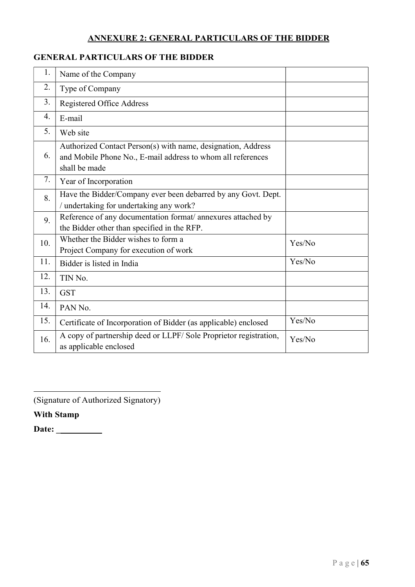# ANNEXURE 2: GENERAL PARTICULARS OF THE BIDDER

# GENERAL PARTICULARS OF THE BIDDER

| 1.  | Name of the Company                                                                                                                          |        |
|-----|----------------------------------------------------------------------------------------------------------------------------------------------|--------|
| 2.  | Type of Company                                                                                                                              |        |
| 3.  | Registered Office Address                                                                                                                    |        |
| 4.  | E-mail                                                                                                                                       |        |
| 5.  | Web site                                                                                                                                     |        |
| 6.  | Authorized Contact Person(s) with name, designation, Address<br>and Mobile Phone No., E-mail address to whom all references<br>shall be made |        |
| 7.  | Year of Incorporation                                                                                                                        |        |
| 8.  | Have the Bidder/Company ever been debarred by any Govt. Dept.<br>/ undertaking for undertaking any work?                                     |        |
| 9.  | Reference of any documentation format/ annexures attached by<br>the Bidder other than specified in the RFP.                                  |        |
| 10. | Whether the Bidder wishes to form a<br>Project Company for execution of work                                                                 | Yes/No |
| 11. | Bidder is listed in India                                                                                                                    | Yes/No |
| 12. | TIN No.                                                                                                                                      |        |
| 13. | <b>GST</b>                                                                                                                                   |        |
| 14. | PAN No.                                                                                                                                      |        |
| 15. | Certificate of Incorporation of Bidder (as applicable) enclosed                                                                              | Yes/No |
| 16. | A copy of partnership deed or LLPF/Sole Proprietor registration,<br>as applicable enclosed                                                   | Yes/No |

(Signature of Authorized Signatory)

With Stamp

Date: \_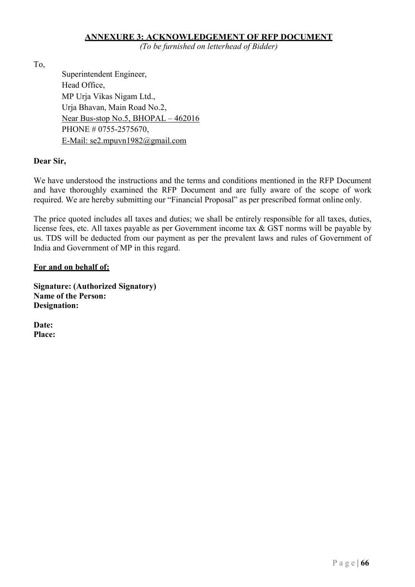#### ANNEXURE 3: ACKNOWLEDGEMENT OF RFP DOCUMENT

(To be furnished on letterhead of Bidder)

To,

Superintendent Engineer, Head Office, MP Urja Vikas Nigam Ltd., Urja Bhavan, Main Road No.2, Near Bus-stop No.5, BHOPAL – 462016 PHONE # 0755-2575670, E-Mail: se2.mpuvn1982@gmail.com

#### Dear Sir,

We have understood the instructions and the terms and conditions mentioned in the RFP Document and have thoroughly examined the RFP Document and are fully aware of the scope of work required. We are hereby submitting our "Financial Proposal" as per prescribed format online only.

The price quoted includes all taxes and duties; we shall be entirely responsible for all taxes, duties, license fees, etc. All taxes payable as per Government income tax & GST norms will be payable by us. TDS will be deducted from our payment as per the prevalent laws and rules of Government of India and Government of MP in this regard.

#### For and on behalf of:

Signature: (Authorized Signatory) Name of the Person: Designation:

Date: Place: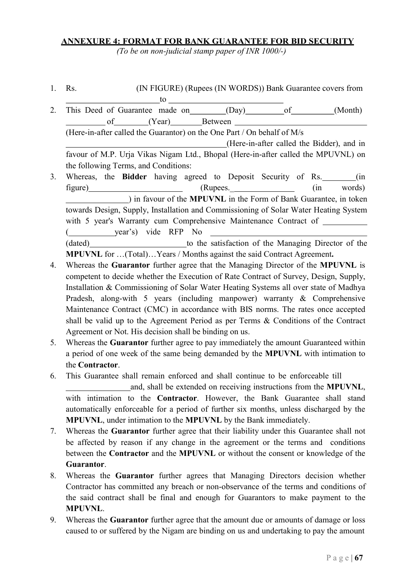## ANNEXURE 4: FORMAT FOR BANK GUARANTEE FOR BID SECURITY

(To be on non-judicial stamp paper of INR 1000/-)

- 1. Rs. (IN FIGURE) (Rupees (IN WORDS)) Bank Guarantee covers from
- $\overline{\phantom{a}}$  to  $\overline{\phantom{a}}$ 2. This Deed of Guarantee made on (Day) of (Month) of (Year) Between (Here-in-after called the Guarantor) on the One Part / On behalf of M/s (Here-in-after called the Bidder), and in favour of M.P. Urja Vikas Nigam Ltd., Bhopal (Here-in-after called the MPUVNL) on the following Terms, and Conditions:
- 3. Whereas, the Bidder having agreed to Deposit Security of Rs. \_\_\_\_\_\_\_ (in figure) (Rupees. (in words) ) in favour of the MPUVNL in the Form of Bank Guarantee, in token towards Design, Supply, Installation and Commissioning of Solar Water Heating System with 5 year's Warranty cum Comprehensive Maintenance Contract of ( year's) vide RFP No (dated) to the satisfaction of the Managing Director of the MPUVNL for …(Total)…Years / Months against the said Contract Agreement.
- 4. Whereas the Guarantor further agree that the Managing Director of the MPUVNL is competent to decide whether the Execution of Rate Contract of Survey, Design, Supply, Installation & Commissioning of Solar Water Heating Systems all over state of Madhya Pradesh, along-with 5 years (including manpower) warranty & Comprehensive Maintenance Contract (CMC) in accordance with BIS norms. The rates once accepted shall be valid up to the Agreement Period as per Terms & Conditions of the Contract Agreement or Not. His decision shall be binding on us.
- 5. Whereas the Guarantor further agree to pay immediately the amount Guaranteed within a period of one week of the same being demanded by the MPUVNL with intimation to the Contractor.
- 6. This Guarantee shall remain enforced and shall continue to be enforceable till
	- and, shall be extended on receiving instructions from the MPUVNL, with intimation to the Contractor. However, the Bank Guarantee shall stand automatically enforceable for a period of further six months, unless discharged by the MPUVNL, under intimation to the MPUVNL by the Bank immediately.
- 7. Whereas the Guarantor further agree that their liability under this Guarantee shall not be affected by reason if any change in the agreement or the terms and conditions between the Contractor and the MPUVNL or without the consent or knowledge of the Guarantor.
- 8. Whereas the Guarantor further agrees that Managing Directors decision whether Contractor has committed any breach or non-observance of the terms and conditions of the said contract shall be final and enough for Guarantors to make payment to the MPUVNL.
- 9. Whereas the Guarantor further agree that the amount due or amounts of damage or loss caused to or suffered by the Nigam are binding on us and undertaking to pay the amount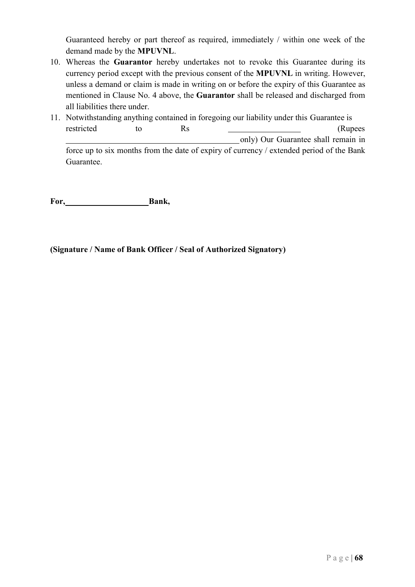Guaranteed hereby or part thereof as required, immediately / within one week of the demand made by the MPUVNL.

- 10. Whereas the Guarantor hereby undertakes not to revoke this Guarantee during its currency period except with the previous consent of the MPUVNL in writing. However, unless a demand or claim is made in writing on or before the expiry of this Guarantee as mentioned in Clause No. 4 above, the Guarantor shall be released and discharged from all liabilities there under.
- 11. Notwithstanding anything contained in foregoing our liability under this Guarantee is restricted to Rs (Rupees only) Our Guarantee shall remain in force up to six months from the date of expiry of currency / extended period of the Bank Guarantee.

For, Bank,

(Signature / Name of Bank Officer / Seal of Authorized Signatory)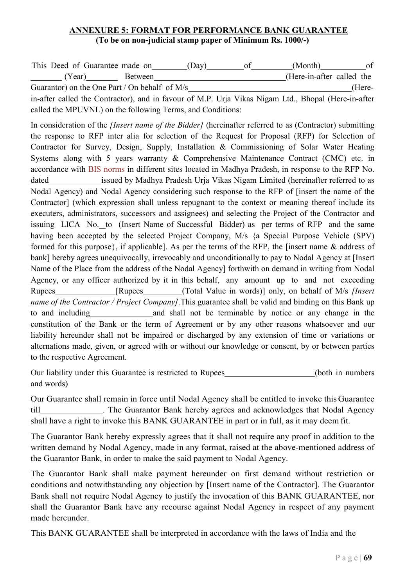## ANNEXURE 5: FORMAT FOR PERFORMANCE BANK GUARANTEE (To be on non-judicial stamp paper of Minimum Rs. 1000/-)

| This Deed of Guarantee made on                  |                | (Dav)      | (Month)                   | Ωt     |
|-------------------------------------------------|----------------|------------|---------------------------|--------|
| (Year)                                          | <b>Between</b> |            | (Here-in-after called the |        |
| Guarantor) on the One Part / On behalf of $M/s$ |                |            |                           | (Here- |
|                                                 |                | ---------- |                           |        |

in-after called the Contractor), and in favour of M.P. Urja Vikas Nigam Ltd., Bhopal (Here-in-after called the MPUVNL) on the following Terms, and Conditions:

In consideration of the *[Insert name of the Bidder]* (hereinafter referred to as (Contractor) submitting the response to RFP inter alia for selection of the Request for Proposal (RFP) for Selection of Contractor for Survey, Design, Supply, Installation & Commissioning of Solar Water Heating Systems along with 5 years warranty & Comprehensive Maintenance Contract (CMC) etc. in accordance with BIS norms in different sites located in Madhya Pradesh, in response to the RFP No. dated issued by Madhya Pradesh Urja Vikas Nigam Limited (hereinafter referred to as Nodal Agency) and Nodal Agency considering such response to the RFP of [insert the name of the Contractor] (which expression shall unless repugnant to the context or meaning thereof include its executers, administrators, successors and assignees) and selecting the Project of the Contractor and issuing LICA No. to (Insert Name of Successful Bidder) as per terms of RFP and the same having been accepted by the selected Project Company, M/s {a Special Purpose Vehicle (SPV) formed for this purpose}, if applicable]. As per the terms of the RFP, the [insert name & address of bank] hereby agrees unequivocally, irrevocably and unconditionally to pay to Nodal Agency at [Insert Name of the Place from the address of the Nodal Agency] forthwith on demand in writing from Nodal Agency, or any officer authorized by it in this behalf, any amount up to and not exceeding Rupees [Rupees [Rupees (Total Value in words)] only, on behalf of M/s *[Insert*] name of the Contractor / Project Company]. This guarantee shall be valid and binding on this Bank up to and including and shall not be terminable by notice or any change in the constitution of the Bank or the term of Agreement or by any other reasons whatsoever and our liability hereunder shall not be impaired or discharged by any extension of time or variations or alternations made, given, or agreed with or without our knowledge or consent, by or between parties to the respective Agreement.

Our liability under this Guarantee is restricted to Rupees (both in numbers) and words)

Our Guarantee shall remain in force until Nodal Agency shall be entitled to invoke this Guarantee till . The Guarantor Bank hereby agrees and acknowledges that Nodal Agency shall have a right to invoke this BANK GUARANTEE in part or in full, as it may deem fit.

The Guarantor Bank hereby expressly agrees that it shall not require any proof in addition to the written demand by Nodal Agency, made in any format, raised at the above-mentioned address of the Guarantor Bank, in order to make the said payment to Nodal Agency.

The Guarantor Bank shall make payment hereunder on first demand without restriction or conditions and notwithstanding any objection by [Insert name of the Contractor]. The Guarantor Bank shall not require Nodal Agency to justify the invocation of this BANK GUARANTEE, nor shall the Guarantor Bank have any recourse against Nodal Agency in respect of any payment made hereunder.

This BANK GUARANTEE shall be interpreted in accordance with the laws of India and the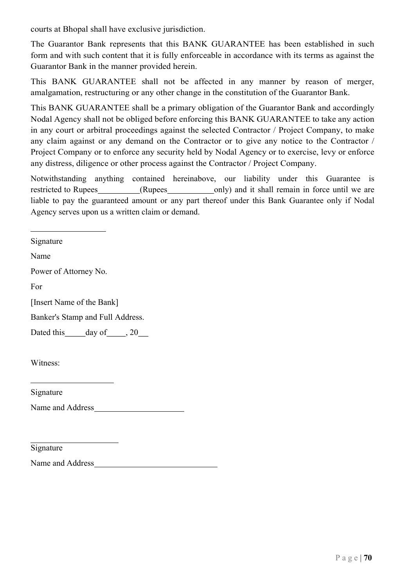courts at Bhopal shall have exclusive jurisdiction.

The Guarantor Bank represents that this BANK GUARANTEE has been established in such form and with such content that it is fully enforceable in accordance with its terms as against the Guarantor Bank in the manner provided herein.

This BANK GUARANTEE shall not be affected in any manner by reason of merger, amalgamation, restructuring or any other change in the constitution of the Guarantor Bank.

This BANK GUARANTEE shall be a primary obligation of the Guarantor Bank and accordingly Nodal Agency shall not be obliged before enforcing this BANK GUARANTEE to take any action in any court or arbitral proceedings against the selected Contractor / Project Company, to make any claim against or any demand on the Contractor or to give any notice to the Contractor / Project Company or to enforce any security held by Nodal Agency or to exercise, levy or enforce any distress, diligence or other process against the Contractor / Project Company.

Notwithstanding anything contained hereinabove, our liability under this Guarantee is restricted to Rupees (Rupees only) and it shall remain in force until we are liable to pay the guaranteed amount or any part thereof under this Bank Guarantee only if Nodal Agency serves upon us a written claim or demand.

Signature

Name

Power of Attorney No.

For

[Insert Name of the Bank]

Banker's Stamp and Full Address.

Dated this day of , 20

Witness:

Signature

Name and Address

Signature

Name and Address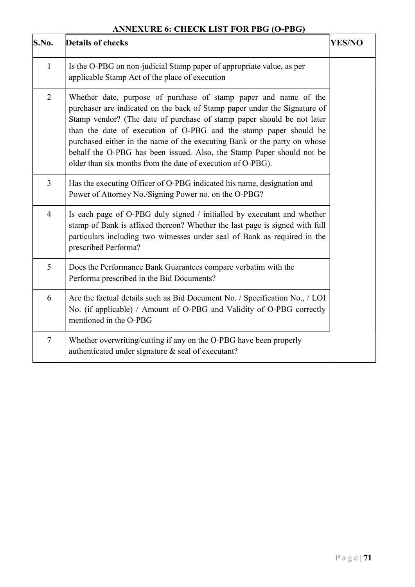# ANNEXURE 6: CHECK LIST FOR PBG (O-PBG)

| S.No.           | <b>Details of checks</b>                                                                                                                                                                                                                                                                                                                                                                                                                                                                                         | <b>YES/NO</b> |
|-----------------|------------------------------------------------------------------------------------------------------------------------------------------------------------------------------------------------------------------------------------------------------------------------------------------------------------------------------------------------------------------------------------------------------------------------------------------------------------------------------------------------------------------|---------------|
| $\mathbf{1}$    | Is the O-PBG on non-judicial Stamp paper of appropriate value, as per<br>applicable Stamp Act of the place of execution                                                                                                                                                                                                                                                                                                                                                                                          |               |
| 2               | Whether date, purpose of purchase of stamp paper and name of the<br>purchaser are indicated on the back of Stamp paper under the Signature of<br>Stamp vendor? (The date of purchase of stamp paper should be not later<br>than the date of execution of O-PBG and the stamp paper should be<br>purchased either in the name of the executing Bank or the party on whose<br>behalf the O-PBG has been issued. Also, the Stamp Paper should not be<br>older than six months from the date of execution of O-PBG). |               |
| 3               | Has the executing Officer of O-PBG indicated his name, designation and<br>Power of Attorney No./Signing Power no. on the O-PBG?                                                                                                                                                                                                                                                                                                                                                                                  |               |
| $\overline{4}$  | Is each page of O-PBG duly signed / initialled by executant and whether<br>stamp of Bank is affixed thereon? Whether the last page is signed with full<br>particulars including two witnesses under seal of Bank as required in the<br>prescribed Performa?                                                                                                                                                                                                                                                      |               |
| $5\overline{)}$ | Does the Performance Bank Guarantees compare verbatim with the<br>Performa prescribed in the Bid Documents?                                                                                                                                                                                                                                                                                                                                                                                                      |               |
| 6               | Are the factual details such as Bid Document No. / Specification No., / LOI<br>No. (if applicable) / Amount of O-PBG and Validity of O-PBG correctly<br>mentioned in the O-PBG                                                                                                                                                                                                                                                                                                                                   |               |
| $\tau$          | Whether overwriting/cutting if any on the O-PBG have been properly<br>authenticated under signature & seal of executant?                                                                                                                                                                                                                                                                                                                                                                                         |               |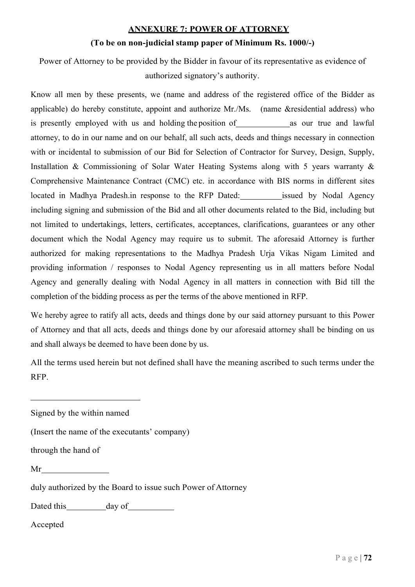#### ANNEXURE 7: POWER OF ATTORNEY

#### (To be on non-judicial stamp paper of Minimum Rs. 1000/-)

Power of Attorney to be provided by the Bidder in favour of its representative as evidence of authorized signatory's authority.

Know all men by these presents, we (name and address of the registered office of the Bidder as applicable) do hereby constitute, appoint and authorize Mr./Ms. (name &residential address) who is presently employed with us and holding the position of  $\qquad \qquad$  as our true and lawful attorney, to do in our name and on our behalf, all such acts, deeds and things necessary in connection with or incidental to submission of our Bid for Selection of Contractor for Survey, Design, Supply, Installation & Commissioning of Solar Water Heating Systems along with 5 years warranty & Comprehensive Maintenance Contract (CMC) etc. in accordance with BIS norms in different sites located in Madhya Pradesh.in response to the RFP Dated: issued by Nodal Agency including signing and submission of the Bid and all other documents related to the Bid, including but not limited to undertakings, letters, certificates, acceptances, clarifications, guarantees or any other document which the Nodal Agency may require us to submit. The aforesaid Attorney is further authorized for making representations to the Madhya Pradesh Urja Vikas Nigam Limited and providing information / responses to Nodal Agency representing us in all matters before Nodal Agency and generally dealing with Nodal Agency in all matters in connection with Bid till the completion of the bidding process as per the terms of the above mentioned in RFP.

We hereby agree to ratify all acts, deeds and things done by our said attorney pursuant to this Power of Attorney and that all acts, deeds and things done by our aforesaid attorney shall be binding on us and shall always be deemed to have been done by us.

All the terms used herein but not defined shall have the meaning ascribed to such terms under the RFP.

Signed by the within named

(Insert the name of the executants' company)

through the hand of

Mr<br>
duly authorized by the Board to issue such Power of Attorney

Dated this day of day of decepted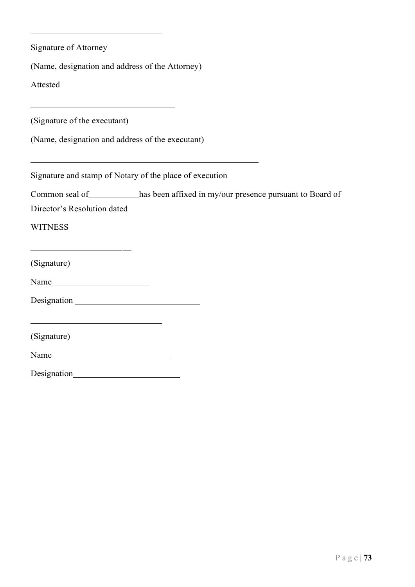| <b>Signature of Attorney</b>                                                               |                                                                                   |
|--------------------------------------------------------------------------------------------|-----------------------------------------------------------------------------------|
| (Name, designation and address of the Attorney)                                            |                                                                                   |
| Attested                                                                                   |                                                                                   |
| <u> 1989 - Johann Barbara, martxa alemaniar amerikan a</u><br>(Signature of the executant) |                                                                                   |
| (Name, designation and address of the executant)                                           |                                                                                   |
|                                                                                            | Signature and stamp of Notary of the place of execution                           |
|                                                                                            | Common seal of __________has been affixed in my/our presence pursuant to Board of |
| Director's Resolution dated                                                                |                                                                                   |
| <b>WITNESS</b>                                                                             |                                                                                   |
| <u> 1989 - Johann Barn, mars an t-Amerikaansk kommunister (</u><br>(Signature)             |                                                                                   |
| Name                                                                                       |                                                                                   |
|                                                                                            |                                                                                   |
| <u> 1989 - Johann Barn, mars and de Brasilian (b. 1989)</u><br>(Signature)                 |                                                                                   |
| Name                                                                                       |                                                                                   |
|                                                                                            |                                                                                   |
|                                                                                            |                                                                                   |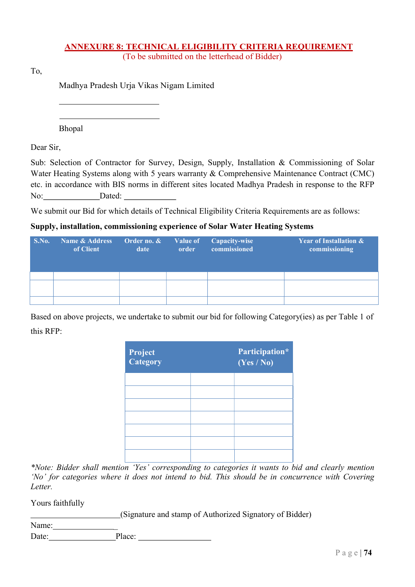#### ANNEXURE 8: TECHNICAL ELIGIBILITY CRITERIA REQUIREMENT (To be submitted on the letterhead of Bidder)

To,

Madhya Pradesh Urja Vikas Nigam Limited

Bhopal

Dear Sir,

Sub: Selection of Contractor for Survey, Design, Supply, Installation & Commissioning of Solar Water Heating Systems along with 5 years warranty & Comprehensive Maintenance Contract (CMC) etc. in accordance with BIS norms in different sites located Madhya Pradesh in response to the RFP No: Dated:

We submit our Bid for which details of Technical Eligibility Criteria Requirements are as follows:

## Supply, installation, commissioning experience of Solar Water Heating Systems

| S.No. | Name & Address<br>of Client | Order no. $\&$<br>date | Value of<br>order | Capacity-wise<br>commissioned | <b>Year of Installation &amp;</b><br>commissioning |
|-------|-----------------------------|------------------------|-------------------|-------------------------------|----------------------------------------------------|
|       |                             |                        |                   |                               |                                                    |
|       |                             |                        |                   |                               |                                                    |
|       |                             |                        |                   |                               |                                                    |

Based on above projects, we undertake to submit our bid for following Category(ies) as per Table 1 of this RFP:

| <b>Project</b><br>Category | Participation*<br>(Yes / No) |
|----------------------------|------------------------------|
|                            |                              |
|                            |                              |
|                            |                              |
|                            |                              |
|                            |                              |
|                            |                              |
|                            |                              |

\*Note: Bidder shall mention 'Yes' corresponding to categories it wants to bid and clearly mention 'No' for categories where it does not intend to bid. This should be in concurrence with Covering Letter.

Yours faithfully

(Signature and stamp of Authorized Signatory of Bidder)

Name: Date: Place: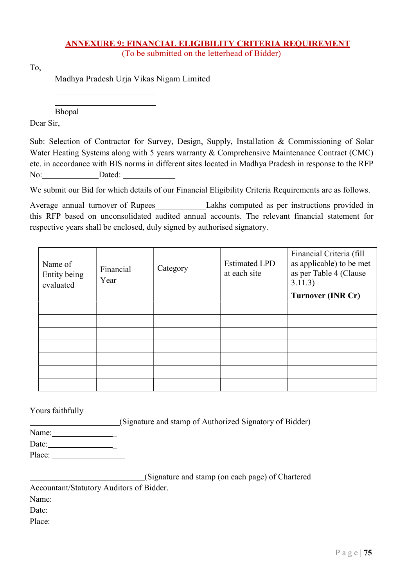# ANNEXURE 9: FINANCIAL ELIGIBILITY CRITERIA REQUIREMENT

(To be submitted on the letterhead of Bidder)

To,

Madhya Pradesh Urja Vikas Nigam Limited

Bhopal

Dear Sir,

Sub: Selection of Contractor for Survey, Design, Supply, Installation & Commissioning of Solar Water Heating Systems along with 5 years warranty & Comprehensive Maintenance Contract (CMC) etc. in accordance with BIS norms in different sites located in Madhya Pradesh in response to the RFP No: Dated:

We submit our Bid for which details of our Financial Eligibility Criteria Requirements are as follows.

Average annual turnover of Rupees Lakhs computed as per instructions provided in this RFP based on unconsolidated audited annual accounts. The relevant financial statement for respective years shall be enclosed, duly signed by authorised signatory.

| Name of<br>Entity being<br>evaluated | Financial<br>Year | Category | <b>Estimated LPD</b><br>at each site | Financial Criteria (fill<br>as applicable) to be met<br>as per Table 4 (Clause<br>3.11.3) |
|--------------------------------------|-------------------|----------|--------------------------------------|-------------------------------------------------------------------------------------------|
|                                      |                   |          |                                      | <b>Turnover (INR Cr)</b>                                                                  |
|                                      |                   |          |                                      |                                                                                           |
|                                      |                   |          |                                      |                                                                                           |
|                                      |                   |          |                                      |                                                                                           |
|                                      |                   |          |                                      |                                                                                           |
|                                      |                   |          |                                      |                                                                                           |
|                                      |                   |          |                                      |                                                                                           |
|                                      |                   |          |                                      |                                                                                           |

Yours faithfully

(Signature and stamp of Authorized Signatory of Bidder)

Name: \_

Date: \_ Place:

 (Signature and stamp (on each page) of Chartered Accountant/Statutory Auditors of Bidder. Name: Date:

Place:  $\blacksquare$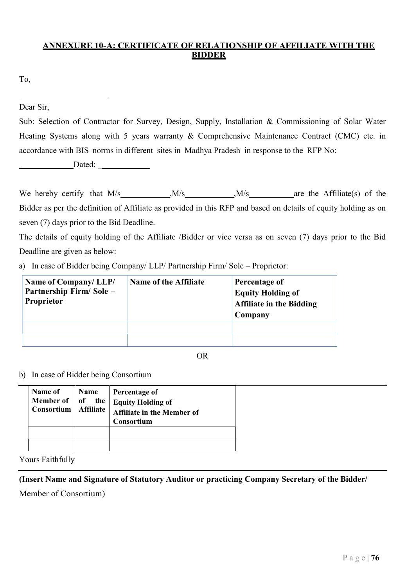# ANNEXURE 10-A: CERTIFICATE OF RELATIONSHIP OF AFFILIATE WITH THE BIDDER

To,

Dear Sir,

Sub: Selection of Contractor for Survey, Design, Supply, Installation & Commissioning of Solar Water Heating Systems along with 5 years warranty & Comprehensive Maintenance Contract (CMC) etc. in accordance with BIS norms in different sites in Madhya Pradesh in response to the RFP No:

Dated:

We hereby certify that  $M/s$  ,  $M/s$  ,  $M/s$  are the Affiliate(s) of the Bidder as per the definition of Affiliate as provided in this RFP and based on details of equity holding as on seven (7) days prior to the Bid Deadline.

The details of equity holding of the Affiliate /Bidder or vice versa as on seven (7) days prior to the Bid Deadline are given as below:

a) In case of Bidder being Company/ LLP/ Partnership Firm/ Sole – Proprietor:

| Name of Company/LLP/<br>Partnership Firm/Sole -<br>Proprietor | <b>Name of the Affiliate</b> | Percentage of<br><b>Equity Holding of</b><br><b>Affiliate in the Bidding</b><br>Company |
|---------------------------------------------------------------|------------------------------|-----------------------------------------------------------------------------------------|
|                                                               |                              |                                                                                         |
|                                                               |                              |                                                                                         |

OR

b) In case of Bidder being Consortium

| Name of<br><b>Member of</b><br>Consortium | Name<br>the<br>of<br><b>Affiliate</b> | Percentage of<br><b>Equity Holding of</b><br><b>Affiliate in the Member of</b><br>Consortium |
|-------------------------------------------|---------------------------------------|----------------------------------------------------------------------------------------------|
|                                           |                                       |                                                                                              |
|                                           |                                       |                                                                                              |

Yours Faithfully

(Insert Name and Signature of Statutory Auditor or practicing Company Secretary of the Bidder/

Member of Consortium)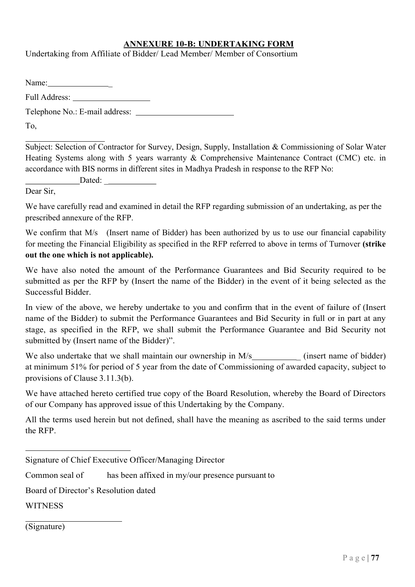#### ANNEXURE 10-B: UNDERTAKING FORM

Undertaking from Affiliate of Bidder/ Lead Member/ Member of Consortium

Name: \_ Full Address: Telephone No.: E-mail address:

To,

Subject: Selection of Contractor for Survey, Design, Supply, Installation & Commissioning of Solar Water Heating Systems along with 5 years warranty & Comprehensive Maintenance Contract (CMC) etc. in accordance with BIS norms in different sites in Madhya Pradesh in response to the RFP No:

Dated:

Dear Sir,

We have carefully read and examined in detail the RFP regarding submission of an undertaking, as per the prescribed annexure of the RFP.

We confirm that M/s (Insert name of Bidder) has been authorized by us to use our financial capability for meeting the Financial Eligibility as specified in the RFP referred to above in terms of Turnover (strike out the one which is not applicable).

We have also noted the amount of the Performance Guarantees and Bid Security required to be submitted as per the RFP by (Insert the name of the Bidder) in the event of it being selected as the Successful Bidder.

In view of the above, we hereby undertake to you and confirm that in the event of failure of (Insert name of the Bidder) to submit the Performance Guarantees and Bid Security in full or in part at any stage, as specified in the RFP, we shall submit the Performance Guarantee and Bid Security not submitted by (Insert name of the Bidder)".

We also undertake that we shall maintain our ownership in  $M/s$  (insert name of bidder) at minimum 51% for period of 5 year from the date of Commissioning of awarded capacity, subject to provisions of Clause 3.11.3(b).

We have attached hereto certified true copy of the Board Resolution, whereby the Board of Directors of our Company has approved issue of this Undertaking by the Company.

All the terms used herein but not defined, shall have the meaning as ascribed to the said terms under the RFP.

Common seal of has been affixed in my/our presence pursuant to

Board of Director's Resolution dated

**WITNESS** 

(Signature)

Signature of Chief Executive Officer/Managing Director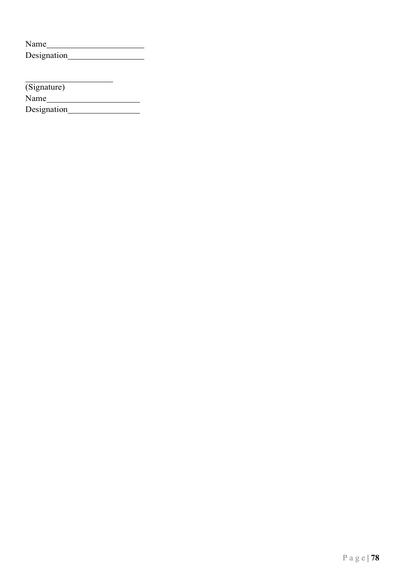| Name        |  |
|-------------|--|
| Designation |  |

<u>Name of the Second Communication</u>

Designation (Signature)

Designation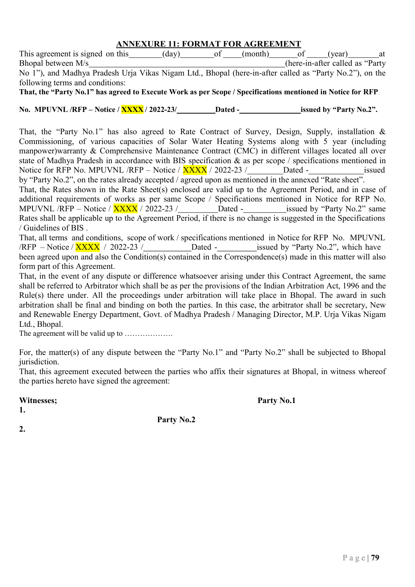#### ANNEXURE 11: FORMAT FOR AGREEMENT

This agreement is signed on this (day) of (month) of (year) at Bhopal between M/s (here-in-after called as "Party

No 1"), and Madhya Pradesh Urja Vikas Nigam Ltd., Bhopal (here-in-after called as "Party No.2"), on the following terms and conditions:

That, the "Party No.1" has agreed to Execute Work as per Scope / Specifications mentioned in Notice for RFP

No. MPUVNL /RFP – Notice /  $\frac{XXX}{X}$  / 2022-23/ Dated - issued by "Party No.2".

That, the "Party No.1" has also agreed to Rate Contract of Survey, Design, Supply, installation & Commissioning, of various capacities of Solar Water Heating Systems along with 5 year (including manpower)warranty & Comprehensive Maintenance Contract (CMC) in different villages located all over state of Madhya Pradesh in accordance with BIS specification & as per scope / specifications mentioned in Notice for RFP No. MPUVNL /RFP – Notice /  $\overline{XXX}$  / 2022-23 / Dated - issued by "Party No.2", on the rates already accepted / agreed upon as mentioned in the annexed "Rate sheet".

That, the Rates shown in the Rate Sheet(s) enclosed are valid up to the Agreement Period, and in case of additional requirements of works as per same Scope / Specifications mentioned in Notice for RFP No. MPUVNL /RFP – Notice /  $\overline{XXX}$  / 2022-23 / Dated - issued by "Party No.2" same Rates shall be applicable up to the Agreement Period, if there is no change is suggested in the Specifications / Guidelines of BIS .

That, all terms and conditions, scope of work / specifications mentioned in Notice for RFP No. MPUVNL /RFP – Notice /  $\frac{XXX}{X}$  / 2022-23 / Dated - issued by "Party No.2", which have been agreed upon and also the Condition(s) contained in the Correspondence(s) made in this matter will also form part of this Agreement.

That, in the event of any dispute or difference whatsoever arising under this Contract Agreement, the same shall be referred to Arbitrator which shall be as per the provisions of the Indian Arbitration Act, 1996 and the Rule(s) there under. All the proceedings under arbitration will take place in Bhopal. The award in such arbitration shall be final and binding on both the parties. In this case, the arbitrator shall be secretary, New and Renewable Energy Department, Govt. of Madhya Pradesh / Managing Director, M.P. Urja Vikas Nigam Ltd., Bhopal.

The agreement will be valid up to ……………….

For, the matter(s) of any dispute between the "Party No.1" and "Party No.2" shall be subjected to Bhopal jurisdiction.

That, this agreement executed between the parties who affix their signatures at Bhopal, in witness whereof the parties hereto have signed the agreement:

Party No.2

Witnesses; Party No.1

1.

 $2<sub>1</sub>$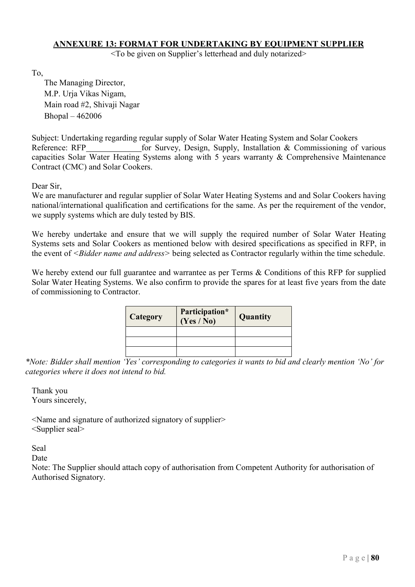#### ANNEXURE 13: FORMAT FOR UNDERTAKING BY EQUIPMENT SUPPLIER

<To be given on Supplier's letterhead and duly notarized>

To,

The Managing Director, M.P. Urja Vikas Nigam, Main road #2, Shivaji Nagar Bhopal – 462006

Subject: Undertaking regarding regular supply of Solar Water Heating System and Solar Cookers Reference: RFP for Survey, Design, Supply, Installation & Commissioning of various capacities Solar Water Heating Systems along with 5 years warranty & Comprehensive Maintenance Contract (CMC) and Solar Cookers.

Dear Sir,

We are manufacturer and regular supplier of Solar Water Heating Systems and and Solar Cookers having national/international qualification and certifications for the same. As per the requirement of the vendor, we supply systems which are duly tested by BIS.

We hereby undertake and ensure that we will supply the required number of Solar Water Heating Systems sets and Solar Cookers as mentioned below with desired specifications as specified in RFP, in the event of <*Bidder name and address*> being selected as Contractor regularly within the time schedule.

We hereby extend our full guarantee and warrantee as per Terms & Conditions of this RFP for supplied Solar Water Heating Systems. We also confirm to provide the spares for at least five years from the date of commissioning to Contractor.

| <b>Category</b> | Participation*<br>(Yes / No) | Quantity |
|-----------------|------------------------------|----------|
|                 |                              |          |
|                 |                              |          |
|                 |                              |          |

\*Note: Bidder shall mention 'Yes' corresponding to categories it wants to bid and clearly mention 'No' for categories where it does not intend to bid.

Thank you Yours sincerely,

<Name and signature of authorized signatory of supplier> <Supplier seal>

Seal

Date

Note: The Supplier should attach copy of authorisation from Competent Authority for authorisation of Authorised Signatory.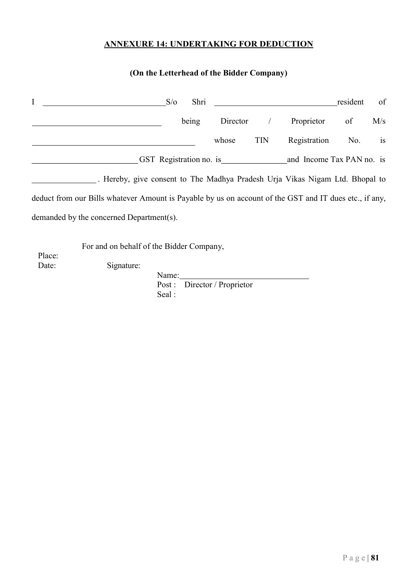## ANNEXURE 14: UNDERTAKING FOR DEDUCTION

## (On the Letterhead of the Bidder Company)

|        |                                                                                                        | $S/\sigma$ | Shri  |                         |            |                           | resident | of        |
|--------|--------------------------------------------------------------------------------------------------------|------------|-------|-------------------------|------------|---------------------------|----------|-----------|
|        |                                                                                                        |            | being | Director                |            | Proprietor                | of       | M/s       |
|        |                                                                                                        |            |       | whose                   | <b>TIN</b> | Registration              | No.      | <b>1S</b> |
|        |                                                                                                        |            |       | GST Registration no. is |            | and Income Tax PAN no. is |          |           |
|        | . Hereby, give consent to The Madhya Pradesh Urja Vikas Nigam Ltd. Bhopal to                           |            |       |                         |            |                           |          |           |
|        | deduct from our Bills whatever Amount is Payable by us on account of the GST and IT dues etc., if any, |            |       |                         |            |                           |          |           |
|        | demanded by the concerned Department(s).                                                               |            |       |                         |            |                           |          |           |
| Place: | For and on behalf of the Bidder Company,                                                               |            |       |                         |            |                           |          |           |
| Date:  | Signature:                                                                                             |            |       |                         |            |                           |          |           |
|        |                                                                                                        | Name:      |       |                         |            |                           |          |           |

Post : Director / Proprietor Seal :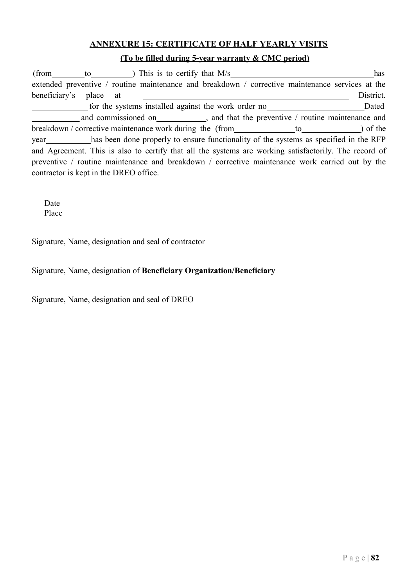## ANNEXURE 15: CERTIFICATE OF HALF YEARLY VISITS

## (To be filled during 5-year warranty & CMC period)

(from to ) This is to certify that  $M/s$  has extended preventive / routine maintenance and breakdown / corrective maintenance services at the beneficiary's place at District. for the systems installed against the work order no Dated and commissioned on , and that the preventive / routine maintenance and breakdown / corrective maintenance work during the (from to to ) of the year has been done properly to ensure functionality of the systems as specified in the RFP and Agreement. This is also to certify that all the systems are working satisfactorily. The record of preventive / routine maintenance and breakdown / corrective maintenance work carried out by the contractor is kept in the DREO office.

Date Place

Signature, Name, designation and seal of contractor

Signature, Name, designation of Beneficiary Organization/Beneficiary

Signature, Name, designation and seal of DREO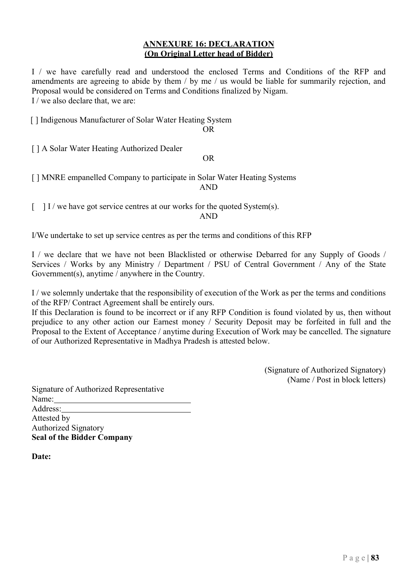### ANNEXURE 16: DECLARATION (On Original Letter head of Bidder)

I / we have carefully read and understood the enclosed Terms and Conditions of the RFP and amendments are agreeing to abide by them / by me / us would be liable for summarily rejection, and Proposal would be considered on Terms and Conditions finalized by Nigam. I / we also declare that, we are:

[] Indigenous Manufacturer of Solar Water Heating System

OR

[ ] A Solar Water Heating Authorized Dealer

OR

[ ] MNRE empanelled Company to participate in Solar Water Heating Systems AND

 $\lceil \quad | \quad | \quad | \quad | \quad |$  we have got service centres at our works for the quoted System(s).

AND

I/We undertake to set up service centres as per the terms and conditions of this RFP

I / we declare that we have not been Blacklisted or otherwise Debarred for any Supply of Goods / Services / Works by any Ministry / Department / PSU of Central Government / Any of the State Government(s), anytime / anywhere in the Country.

I / we solemnly undertake that the responsibility of execution of the Work as per the terms and conditions of the RFP/ Contract Agreement shall be entirely ours.

If this Declaration is found to be incorrect or if any RFP Condition is found violated by us, then without prejudice to any other action our Earnest money / Security Deposit may be forfeited in full and the Proposal to the Extent of Acceptance / anytime during Execution of Work may be cancelled. The signature of our Authorized Representative in Madhya Pradesh is attested below.

> (Signature of Authorized Signatory) (Name / Post in block letters)

Signature of Authorized Representative Name: Address: Attested by Authorized Signatory Seal of the Bidder Company

Date: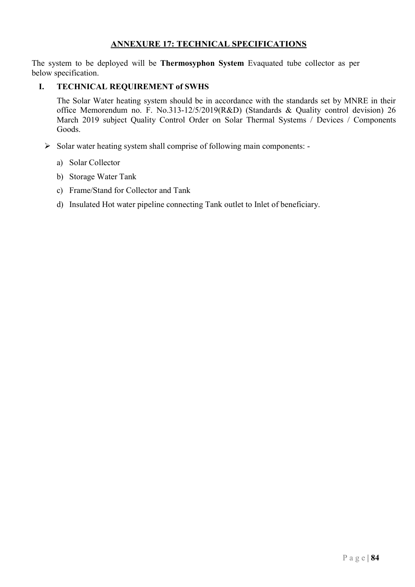## ANNEXURE 17: TECHNICAL SPECIFICATIONS

The system to be deployed will be Thermosyphon System Evaquated tube collector as per below specification.

## I. TECHNICAL REQUIREMENT of SWHS

The Solar Water heating system should be in accordance with the standards set by MNRE in their office Memorendum no. F. No.313-12/5/2019(R&D) (Standards & Quality control devision) 26 March 2019 subject Quality Control Order on Solar Thermal Systems / Devices / Components Goods.

- $\triangleright$  Solar water heating system shall comprise of following main components:
	- a) Solar Collector
	- b) Storage Water Tank
	- c) Frame/Stand for Collector and Tank
	- d) Insulated Hot water pipeline connecting Tank outlet to Inlet of beneficiary.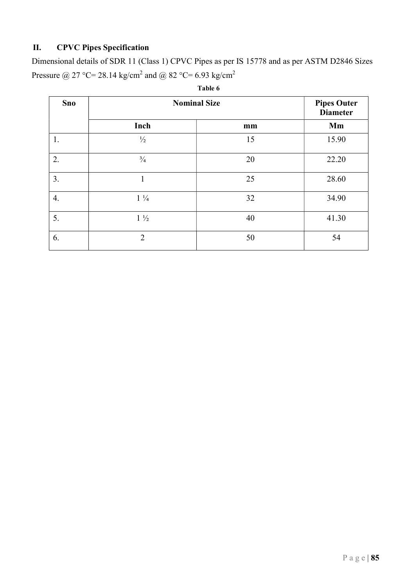## II. CPVC Pipes Specification

Dimensional details of SDR 11 (Class 1) CPVC Pipes as per IS 15778 and as per ASTM D2846 Sizes Pressure @ 27 °C= 28.14 kg/cm<sup>2</sup> and @ 82 °C= 6.93 kg/cm<sup>2</sup>

| <b>Sno</b> | <b>Nominal Size</b> |    | <b>Pipes Outer</b><br><b>Diameter</b> |
|------------|---------------------|----|---------------------------------------|
|            | Inch                | mm | Mm                                    |
| 1.         | $\frac{1}{2}$       | 15 | 15.90                                 |
| 2.         | $\frac{3}{4}$       | 20 | 22.20                                 |
| 3.         |                     | 25 | 28.60                                 |
| 4.         | $1\frac{1}{4}$      | 32 | 34.90                                 |
| 5.         | $1\frac{1}{2}$      | 40 | 41.30                                 |
| 6.         | $\overline{2}$      | 50 | 54                                    |

| able |
|------|
|------|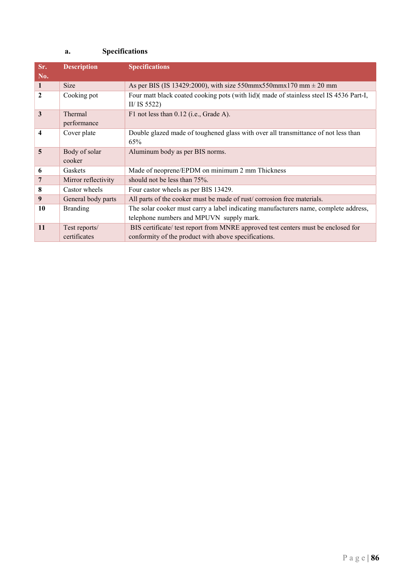## a. Specifications

| Sr.          | <b>Description</b>  | <b>Specifications</b>                                                                  |
|--------------|---------------------|----------------------------------------------------------------------------------------|
| No.          |                     |                                                                                        |
| -1           | <b>Size</b>         | As per BIS (IS 13429:2000), with size 550mmx550mmx170 mm $\pm$ 20 mm                   |
| $\mathbf{2}$ | Cooking pot         | Four matt black coated cooking pots (with lid)(made of stainless steel IS 4536 Part-I, |
|              |                     | II/ IS $5522$ )                                                                        |
| 3            | Thermal             | F1 not less than 0.12 (i.e., Grade A).                                                 |
|              | performance         |                                                                                        |
| 4            | Cover plate         | Double glazed made of toughened glass with over all transmittance of not less than     |
|              |                     | 65%                                                                                    |
| 5            | Body of solar       | Aluminum body as per BIS norms.                                                        |
|              | cooker              |                                                                                        |
| 6            | Gaskets             | Made of neoprene/EPDM on minimum 2 mm Thickness                                        |
| 7            | Mirror reflectivity | should not be less than 75%.                                                           |
| 8            | Castor wheels       | Four castor wheels as per BIS 13429.                                                   |
| 9            | General body parts  | All parts of the cooker must be made of rust/corrosion free materials.                 |
| 10           | <b>Branding</b>     | The solar cooker must carry a label indicating manufacturers name, complete address,   |
|              |                     | telephone numbers and MPUVN supply mark.                                               |
| 11           | Test reports/       | BIS certificate/ test report from MNRE approved test centers must be enclosed for      |
|              | certificates        | conformity of the product with above specifications.                                   |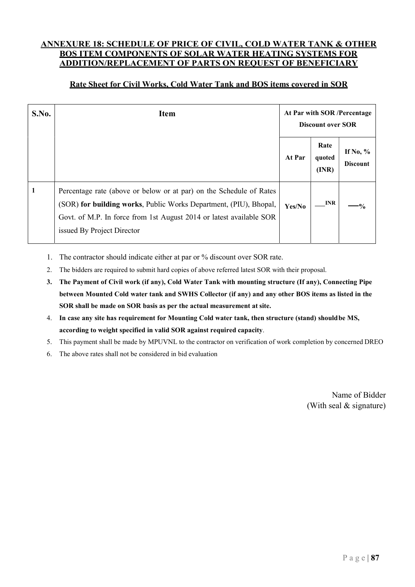### ANNEXURE 18: SCHEDULE OF PRICE OF CIVIL, COLD WATER TANK & OTHER BOS ITEM COMPONENTS OF SOLAR WATER HEATING SYSTEMS FOR ADDITION/REPLACEMENT OF PARTS ON REQUEST OF BENEFICIARY

## Rate Sheet for Civil Works, Cold Water Tank and BOS items covered in SOR

| <b>S.No.</b> | <b>Item</b>                                                                                                                                                                                                                                   | At Par with SOR /Percentage<br><b>Discount over SOR</b> |                         |                                |
|--------------|-----------------------------------------------------------------------------------------------------------------------------------------------------------------------------------------------------------------------------------------------|---------------------------------------------------------|-------------------------|--------------------------------|
|              |                                                                                                                                                                                                                                               | At Par                                                  | Rate<br>quoted<br>(INR) | If No, $\%$<br><b>Discount</b> |
| $\mathbf{1}$ | Percentage rate (above or below or at par) on the Schedule of Rates<br>(SOR) for building works, Public Works Department, (PIU), Bhopal,<br>Govt. of M.P. In force from 1st August 2014 or latest available SOR<br>issued By Project Director | Yes/No                                                  | <b>INR</b>              | $-9/2$                         |

1. The contractor should indicate either at par or % discount over SOR rate.

2. The bidders are required to submit hard copies of above referred latest SOR with their proposal.

- 3. The Payment of Civil work (if any), Cold Water Tank with mounting structure (If any), Connecting Pipe between Mounted Cold water tank and SWHS Collector (if any) and any other BOS items as listed in the SOR shall be made on SOR basis as per the actual measurement at site.
- 4. In case any site has requirement for Mounting Cold water tank, then structure (stand) should be MS, according to weight specified in valid SOR against required capacity.
- 5. This payment shall be made by MPUVNL to the contractor on verification of work completion by concerned DREO
- 6. The above rates shall not be considered in bid evaluation

Name of Bidder (With seal & signature)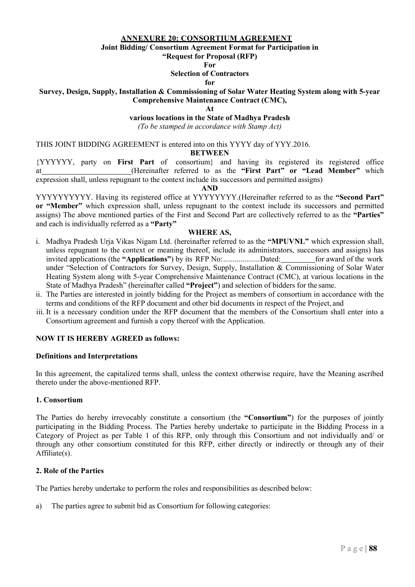#### ANNEXURE 20: CONSORTIUM AGREEMENT

Joint Bidding/ Consortium Agreement Format for Participation in

"Request for Proposal (RFP)

For

#### Selection of Contractors

#### for

#### Survey, Design, Supply, Installation & Commissioning of Solar Water Heating System along with 5-year Comprehensive Maintenance Contract (CMC),

At

#### various locations in the State of Madhya Pradesh

(To be stamped in accordance with Stamp Act)

THIS JOINT BIDDING AGREEMENT is entered into on this YYYY day of YYY.2016.

#### BETWEEN

{YYYYYY, party on First Part of consortium} and having its registered its registered office at (Hereinafter referred to as the "First Part" or "Lead Member" which expression shall, unless repugnant to the context include its successors and permitted assigns)

#### AND

YYYYYYYYYY. Having its registered office at YYYYYYYY. (Hereinafter referred to as the "Second Part" or "Member" which expression shall, unless repugnant to the context include its successors and permitted assigns) The above mentioned parties of the First and Second Part are collectively referred to as the "Parties" and each is individually referred as a "Party"

#### WHERE AS,

- i. Madhya Pradesh Urja Vikas Nigam Ltd. (hereinafter referred to as the "MPUVNL" which expression shall, unless repugnant to the context or meaning thereof, include its administrators, successors and assigns) has invited applications (the "Applications") by its RFP No: ................... Dated: for award of the work under "Selection of Contractors for Survey, Design, Supply, Installation & Commissioning of Solar Water Heating System along with 5-year Comprehensive Maintenance Contract (CMC), at various locations in the State of Madhya Pradesh" (hereinafter called "Project") and selection of bidders for the same.
- ii. The Parties are interested in jointly bidding for the Project as members of consortium in accordance with the terms and conditions of the RFP document and other bid documents in respect of the Project, and
- iii. It is a necessary condition under the RFP document that the members of the Consortium shall enter into a Consortium agreement and furnish a copy thereof with the Application.

#### NOW IT IS HEREBY AGREED as follows:

#### Definitions and Interpretations

In this agreement, the capitalized terms shall, unless the context otherwise require, have the Meaning ascribed thereto under the above-mentioned RFP.

#### 1. Consortium

The Parties do hereby irrevocably constitute a consortium (the "Consortium") for the purposes of jointly participating in the Bidding Process. The Parties hereby undertake to participate in the Bidding Process in a Category of Project as per Table 1 of this RFP, only through this Consortium and not individually and/ or through any other consortium constituted for this RFP, either directly or indirectly or through any of their Affiliate(s).

#### 2. Role of the Parties

The Parties hereby undertake to perform the roles and responsibilities as described below:

a) The parties agree to submit bid as Consortium for following categories: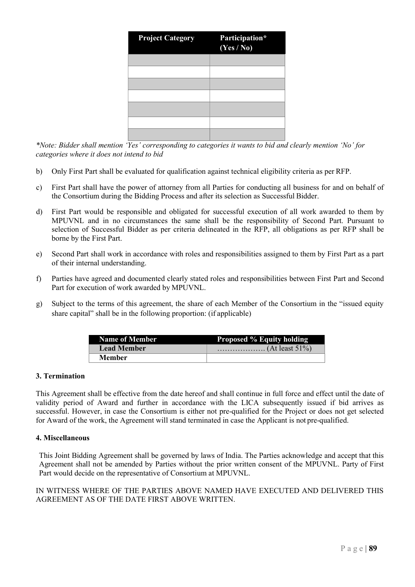| <b>Project Category</b> | Participation*<br>(Yes / No) |
|-------------------------|------------------------------|
|                         |                              |
|                         |                              |
|                         |                              |
|                         |                              |
|                         |                              |
|                         |                              |
|                         |                              |

\*Note: Bidder shall mention 'Yes' corresponding to categories it wants to bid and clearly mention 'No' for categories where it does not intend to bid

- b) Only First Part shall be evaluated for qualification against technical eligibility criteria as per RFP.
- c) First Part shall have the power of attorney from all Parties for conducting all business for and on behalf of the Consortium during the Bidding Process and after its selection as Successful Bidder.
- d) First Part would be responsible and obligated for successful execution of all work awarded to them by MPUVNL and in no circumstances the same shall be the responsibility of Second Part. Pursuant to selection of Successful Bidder as per criteria delineated in the RFP, all obligations as per RFP shall be borne by the First Part.
- e) Second Part shall work in accordance with roles and responsibilities assigned to them by First Part as a part of their internal understanding.
- f) Parties have agreed and documented clearly stated roles and responsibilities between First Part and Second Part for execution of work awarded by MPUVNL.
- g) Subject to the terms of this agreement, the share of each Member of the Consortium in the "issued equity share capital" shall be in the following proportion: (if applicable)

| <b>Name of Member</b> | <b>Proposed % Equity holding</b> |
|-----------------------|----------------------------------|
| <b>Lead Member</b>    |                                  |
| <b>Member</b>         |                                  |

#### 3. Termination

This Agreement shall be effective from the date hereof and shall continue in full force and effect until the date of validity period of Award and further in accordance with the LICA subsequently issued if bid arrives as successful. However, in case the Consortium is either not pre-qualified for the Project or does not get selected for Award of the work, the Agreement will stand terminated in case the Applicant is not pre-qualified.

#### 4. Miscellaneous

This Joint Bidding Agreement shall be governed by laws of India. The Parties acknowledge and accept that this Agreement shall not be amended by Parties without the prior written consent of the MPUVNL. Party of First Part would decide on the representative of Consortium at MPUVNL.

IN WITNESS WHERE OF THE PARTIES ABOVE NAMED HAVE EXECUTED AND DELIVERED THIS AGREEMENT AS OF THE DATE FIRST ABOVE WRITTEN.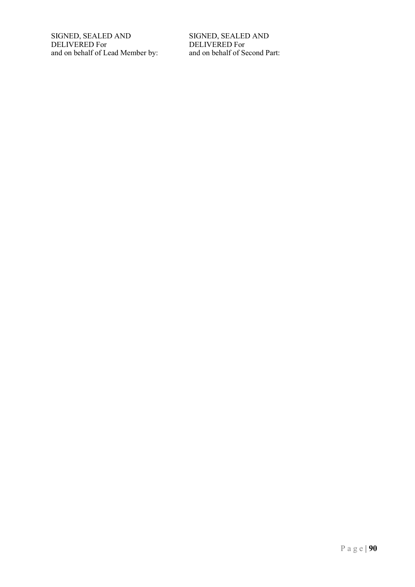SIGNED, SEALED AND DELIVERED For and on behalf of Lead Member by: SIGNED, SEALED AND DELIVERED For and on behalf of Second Part: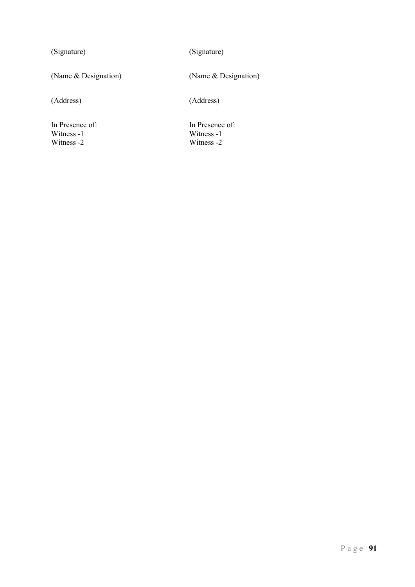(Signature) (Signature)

(Name & Designation) (Name & Designation)

(Address) (Address)

In Presence of: In Presence of: In Presence of: Vitness -1 Witness -1 Witness -2 Witness -2

Witness -2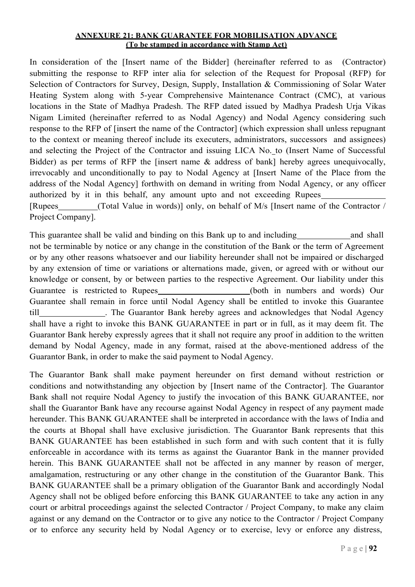#### ANNEXURE 21: BANK GUARANTEE FOR MOBILISATION ADVANCE (To be stamped in accordance with Stamp Act)

In consideration of the [Insert name of the Bidder] (hereinafter referred to as (Contractor) submitting the response to RFP inter alia for selection of the Request for Proposal (RFP) for Selection of Contractors for Survey, Design, Supply, Installation & Commissioning of Solar Water Heating System along with 5-year Comprehensive Maintenance Contract (CMC), at various locations in the State of Madhya Pradesh. The RFP dated issued by Madhya Pradesh Urja Vikas Nigam Limited (hereinafter referred to as Nodal Agency) and Nodal Agency considering such response to the RFP of [insert the name of the Contractor] (which expression shall unless repugnant to the context or meaning thereof include its executers, administrators, successors and assignees) and selecting the Project of the Contractor and issuing LICA No. to (Insert Name of Successful Bidder) as per terms of RFP the [insert name & address of bank] hereby agrees unequivocally, irrevocably and unconditionally to pay to Nodal Agency at [Insert Name of the Place from the address of the Nodal Agency] forthwith on demand in writing from Nodal Agency, or any officer authorized by it in this behalf, any amount upto and not exceeding Rupees<br>[Rupees (Total Value in words)] only, on behalf of M/s [Insert name of the Contractor /

Project Company].

This guarantee shall be valid and binding on this Bank up to and including and shall not be terminable by notice or any change in the constitution of the Bank or the term of Agreement or by any other reasons whatsoever and our liability hereunder shall not be impaired or discharged by any extension of time or variations or alternations made, given, or agreed with or without our knowledge or consent, by or between parties to the respective Agreement. Our liability under this Guarantee is restricted to Rupees (both in numbers and words) Our Guarantee shall remain in force until Nodal Agency shall be entitled to invoke this Guarantee till . The Guarantor Bank hereby agrees and acknowledges that Nodal Agency shall have a right to invoke this BANK GUARANTEE in part or in full, as it may deem fit. The Guarantor Bank hereby expressly agrees that it shall not require any proof in addition to the written demand by Nodal Agency, made in any format, raised at the above-mentioned address of the Guarantor Bank, in order to make the said payment to Nodal Agency.

The Guarantor Bank shall make payment hereunder on first demand without restriction or conditions and notwithstanding any objection by [Insert name of the Contractor]. The Guarantor Bank shall not require Nodal Agency to justify the invocation of this BANK GUARANTEE, nor shall the Guarantor Bank have any recourse against Nodal Agency in respect of any payment made hereunder. This BANK GUARANTEE shall be interpreted in accordance with the laws of India and the courts at Bhopal shall have exclusive jurisdiction. The Guarantor Bank represents that this BANK GUARANTEE has been established in such form and with such content that it is fully enforceable in accordance with its terms as against the Guarantor Bank in the manner provided herein. This BANK GUARANTEE shall not be affected in any manner by reason of merger, amalgamation, restructuring or any other change in the constitution of the Guarantor Bank. This BANK GUARANTEE shall be a primary obligation of the Guarantor Bank and accordingly Nodal Agency shall not be obliged before enforcing this BANK GUARANTEE to take any action in any court or arbitral proceedings against the selected Contractor / Project Company, to make any claim against or any demand on the Contractor or to give any notice to the Contractor / Project Company or to enforce any security held by Nodal Agency or to exercise, levy or enforce any distress,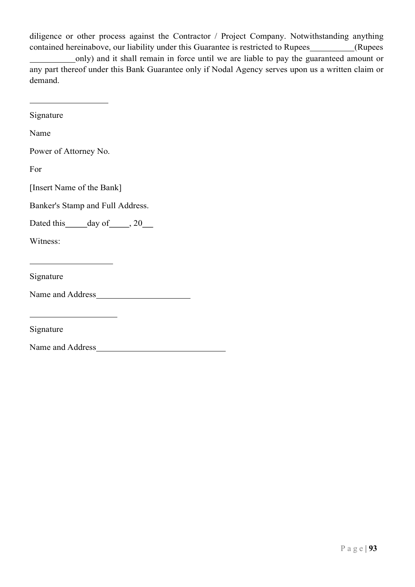diligence or other process against the Contractor / Project Company. Notwithstanding anything contained hereinabove, our liability under this Guarantee is restricted to Rupees \_\_\_\_\_\_\_\_\_(Rupees only) and it shall remain in force until we are liable to pay the guaranteed amount or any part thereof under this Bank Guarantee only if Nodal Agency serves upon us a written claim or demand.

| Signature                                                       |
|-----------------------------------------------------------------|
| Name                                                            |
| Power of Attorney No.                                           |
| For                                                             |
| [Insert Name of the Bank]                                       |
| Banker's Stamp and Full Address.                                |
| Dated this _____ day of _____, 20___                            |
| Witness:                                                        |
| the control of the control of the control of the control of the |
| Signature                                                       |
| Name and Address                                                |
| the control of the control of the control of the control of     |
| Signature                                                       |
| Name and Address                                                |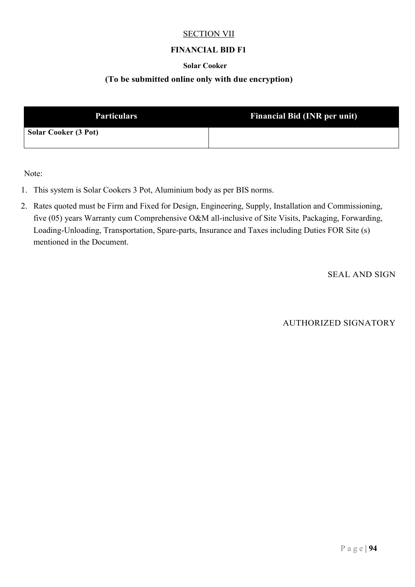### SECTION VII

## FINANCIAL BID F1

### Solar Cooker

### (To be submitted online only with due encryption)

| <b>Particulars</b>          | <b>Financial Bid (INR per unit)</b> |
|-----------------------------|-------------------------------------|
| <b>Solar Cooker (3 Pot)</b> |                                     |

Note:

- 1. This system is Solar Cookers 3 Pot, Aluminium body as per BIS norms.
- 2. Rates quoted must be Firm and Fixed for Design, Engineering, Supply, Installation and Commissioning, five (05) years Warranty cum Comprehensive O&M all-inclusive of Site Visits, Packaging, Forwarding, Loading-Unloading, Transportation, Spare-parts, Insurance and Taxes including Duties FOR Site (s) mentioned in the Document.

SEAL AND SIGN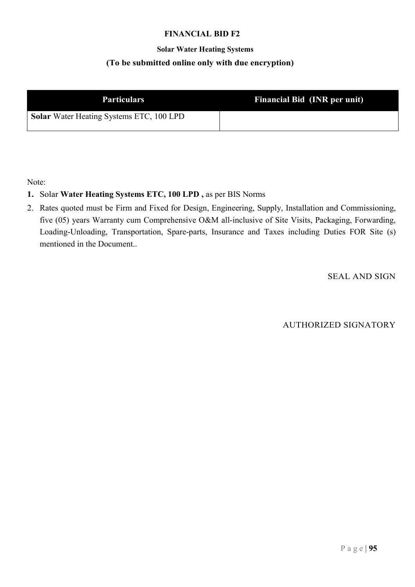## Solar Water Heating Systems (To be submitted online only with due encryption)

| <b>Particulars</b>                              | <b>Financial Bid (INR per unit)</b> |  |
|-------------------------------------------------|-------------------------------------|--|
| <b>Solar</b> Water Heating Systems ETC, 100 LPD |                                     |  |

Note:

## 1. Solar Water Heating Systems ETC, 100 LPD , as per BIS Norms

2. Rates quoted must be Firm and Fixed for Design, Engineering, Supply, Installation and Commissioning, five (05) years Warranty cum Comprehensive O&M all-inclusive of Site Visits, Packaging, Forwarding, Loading-Unloading, Transportation, Spare-parts, Insurance and Taxes including Duties FOR Site (s) mentioned in the Document..

SEAL AND SIGN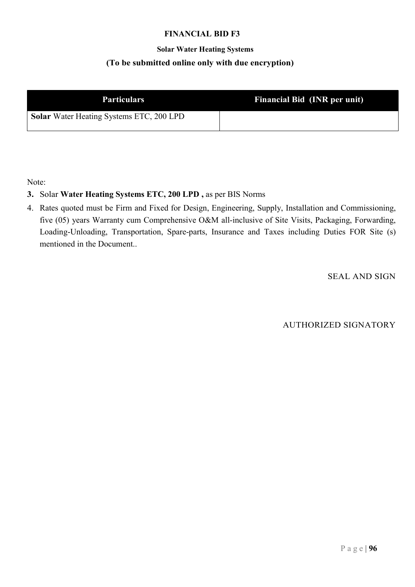## Solar Water Heating Systems (To be submitted online only with due encryption)

| <b>Particulars</b>                              | Financial Bid (INR per unit) |  |
|-------------------------------------------------|------------------------------|--|
| <b>Solar</b> Water Heating Systems ETC, 200 LPD |                              |  |

Note:

## 3. Solar Water Heating Systems ETC, 200 LPD , as per BIS Norms

4. Rates quoted must be Firm and Fixed for Design, Engineering, Supply, Installation and Commissioning, five (05) years Warranty cum Comprehensive O&M all-inclusive of Site Visits, Packaging, Forwarding, Loading-Unloading, Transportation, Spare-parts, Insurance and Taxes including Duties FOR Site (s) mentioned in the Document..

SEAL AND SIGN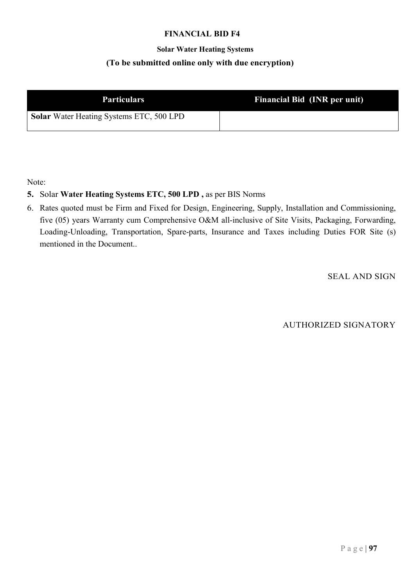## Solar Water Heating Systems (To be submitted online only with due encryption)

| <b>Particulars</b>                              | Financial Bid (INR per unit) |  |
|-------------------------------------------------|------------------------------|--|
| <b>Solar</b> Water Heating Systems ETC, 500 LPD |                              |  |

Note:

## 5. Solar Water Heating Systems ETC, 500 LPD , as per BIS Norms

6. Rates quoted must be Firm and Fixed for Design, Engineering, Supply, Installation and Commissioning, five (05) years Warranty cum Comprehensive O&M all-inclusive of Site Visits, Packaging, Forwarding, Loading-Unloading, Transportation, Spare-parts, Insurance and Taxes including Duties FOR Site (s) mentioned in the Document..

SEAL AND SIGN